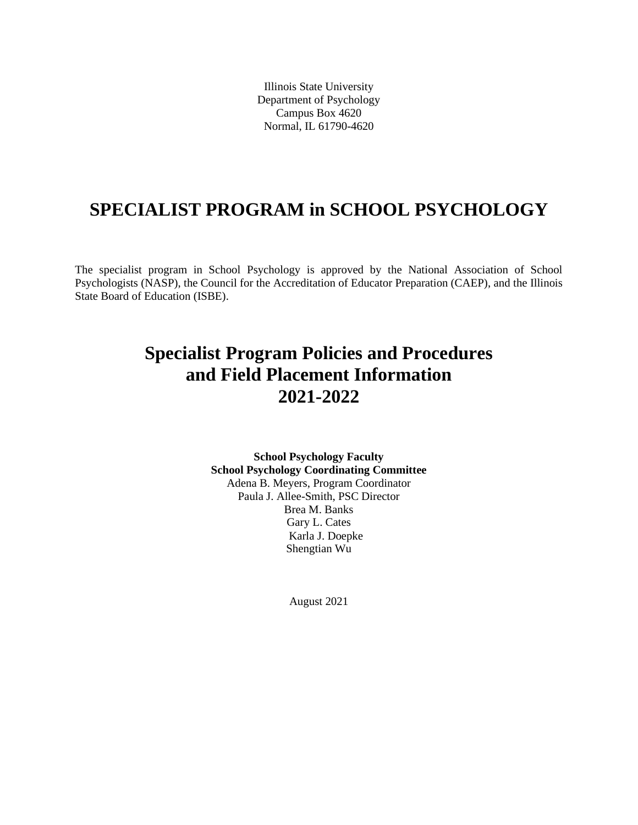Illinois State University Department of Psychology Campus Box 4620 Normal, IL 61790-4620

# **SPECIALIST PROGRAM in SCHOOL PSYCHOLOGY**

The specialist program in School Psychology is approved by the National Association of School Psychologists (NASP), the Council for the Accreditation of Educator Preparation (CAEP), and the Illinois State Board of Education (ISBE).

# **Specialist Program Policies and Procedures and Field Placement Information 2021-2022**

**School Psychology Faculty School Psychology Coordinating Committee** Adena B. Meyers, Program Coordinator Paula J. Allee-Smith, PSC Director Brea M. Banks Gary L. Cates Karla J. Doepke Shengtian Wu

August 2021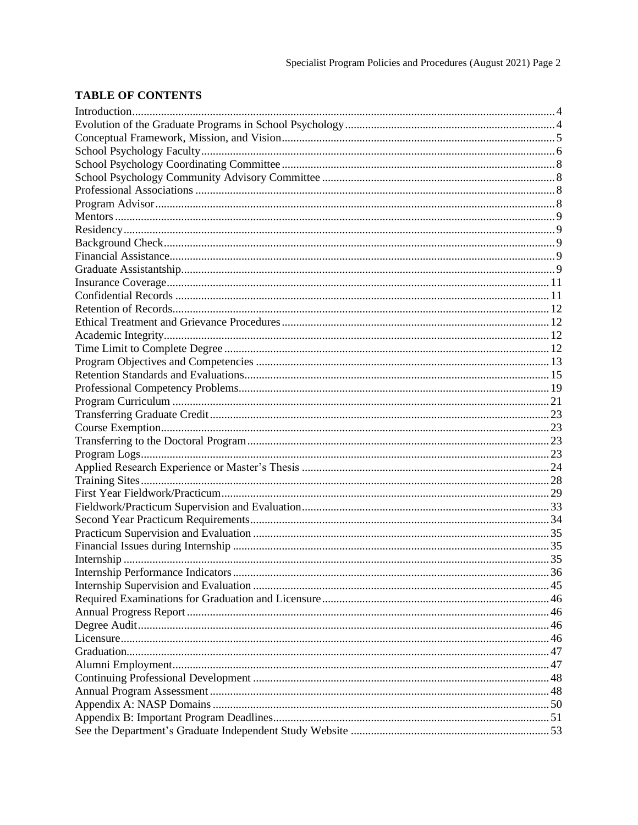## **TABLE OF CONTENTS**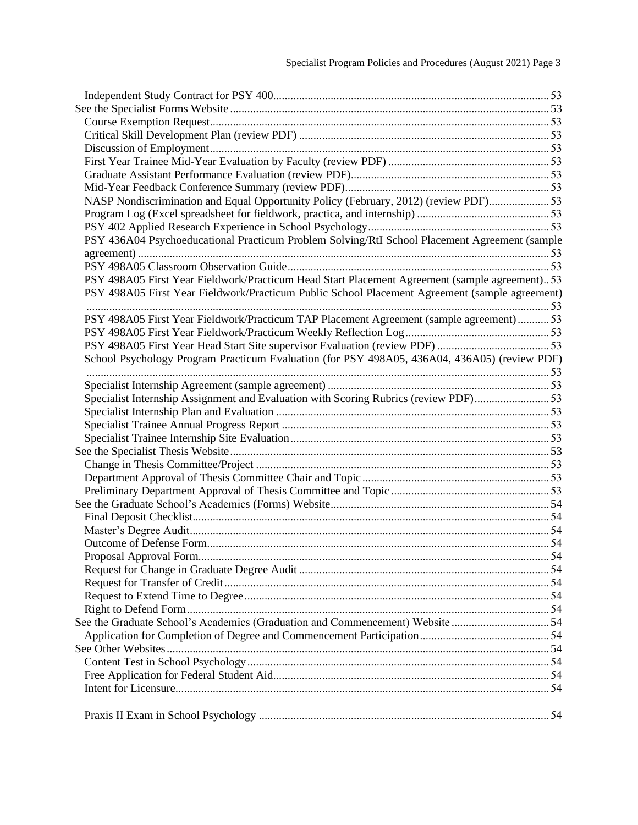| NASP Nondiscrimination and Equal Opportunity Policy (February, 2012) (review PDF)53            |  |
|------------------------------------------------------------------------------------------------|--|
|                                                                                                |  |
|                                                                                                |  |
| PSY 436A04 Psychoeducational Practicum Problem Solving/RtI School Placement Agreement (sample  |  |
|                                                                                                |  |
|                                                                                                |  |
| PSY 498A05 First Year Fieldwork/Practicum Head Start Placement Agreement (sample agreement) 53 |  |
| PSY 498A05 First Year Fieldwork/Practicum Public School Placement Agreement (sample agreement) |  |
|                                                                                                |  |
| PSY 498A05 First Year Fieldwork/Practicum TAP Placement Agreement (sample agreement)53         |  |
|                                                                                                |  |
|                                                                                                |  |
| School Psychology Program Practicum Evaluation (for PSY 498A05, 436A04, 436A05) (review PDF)   |  |
|                                                                                                |  |
|                                                                                                |  |
| Specialist Internship Assignment and Evaluation with Scoring Rubrics (review PDF)53            |  |
|                                                                                                |  |
|                                                                                                |  |
|                                                                                                |  |
|                                                                                                |  |
|                                                                                                |  |
|                                                                                                |  |
|                                                                                                |  |
|                                                                                                |  |
|                                                                                                |  |
|                                                                                                |  |
|                                                                                                |  |
|                                                                                                |  |
|                                                                                                |  |
|                                                                                                |  |
|                                                                                                |  |
|                                                                                                |  |
| See the Graduate School's Academics (Graduation and Commencement) Website 54                   |  |
|                                                                                                |  |
|                                                                                                |  |
|                                                                                                |  |
|                                                                                                |  |
|                                                                                                |  |
|                                                                                                |  |
|                                                                                                |  |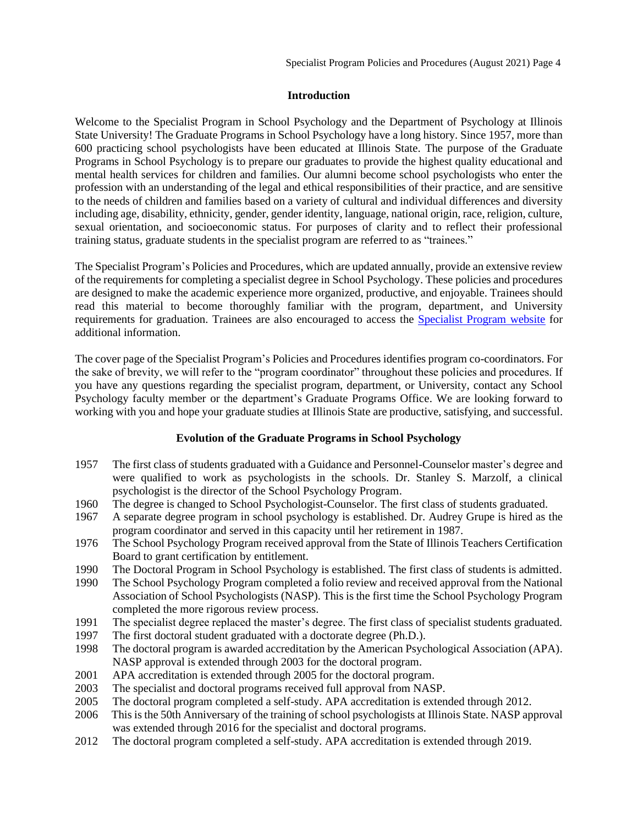## **Introduction**

<span id="page-3-0"></span>Welcome to the Specialist Program in School Psychology and the Department of Psychology at Illinois State University! The Graduate Programs in School Psychology have a long history. Since 1957, more than 600 practicing school psychologists have been educated at Illinois State. The purpose of the Graduate Programs in School Psychology is to prepare our graduates to provide the highest quality educational and mental health services for children and families. Our alumni become school psychologists who enter the profession with an understanding of the legal and ethical responsibilities of their practice, and are sensitive to the needs of children and families based on a variety of cultural and individual differences and diversity including age, disability, ethnicity, gender, gender identity, language, national origin, race, religion, culture, sexual orientation, and socioeconomic status. For purposes of clarity and to reflect their professional training status, graduate students in the specialist program are referred to as "trainees."

The Specialist Program's Policies and Procedures, which are updated annually, provide an extensive review of the requirements for completing a specialist degree in School Psychology. These policies and procedures are designed to make the academic experience more organized, productive, and enjoyable. Trainees should read this material to become thoroughly familiar with the program, department, and University requirements for graduation. Trainees are also encouraged to access the [Specialist Program](https://psychology.illinoisstate.edu/graduate/school-psychology/specialist-in-school-psychology/forms-and-agreements/) website for additional information.

The cover page of the Specialist Program's Policies and Procedures identifies program co-coordinators. For the sake of brevity, we will refer to the "program coordinator" throughout these policies and procedures. If you have any questions regarding the specialist program, department, or University, contact any School Psychology faculty member or the department's Graduate Programs Office. We are looking forward to working with you and hope your graduate studies at Illinois State are productive, satisfying, and successful.

## <span id="page-3-1"></span>**Evolution of the Graduate Programs in School Psychology**

- 1957 The first class of students graduated with a Guidance and Personnel-Counselor master's degree and were qualified to work as psychologists in the schools. Dr. Stanley S. Marzolf, a clinical psychologist is the director of the School Psychology Program.
- 1960 The degree is changed to School Psychologist-Counselor. The first class of students graduated.
- 1967 A separate degree program in school psychology is established. Dr. Audrey Grupe is hired as the program coordinator and served in this capacity until her retirement in 1987.
- 1976 The School Psychology Program received approval from the State of Illinois Teachers Certification Board to grant certification by entitlement.
- 1990 The Doctoral Program in School Psychology is established. The first class of students is admitted.
- 1990 The School Psychology Program completed a folio review and received approval from the National Association of School Psychologists (NASP). This is the first time the School Psychology Program completed the more rigorous review process.
- 1991 The specialist degree replaced the master's degree. The first class of specialist students graduated.
- 1997 The first doctoral student graduated with a doctorate degree (Ph.D.).
- 1998 The doctoral program is awarded accreditation by the American Psychological Association (APA). NASP approval is extended through 2003 for the doctoral program.
- 2001 APA accreditation is extended through 2005 for the doctoral program.
- 2003 The specialist and doctoral programs received full approval from NASP.
- 2005 The doctoral program completed a self-study. APA accreditation is extended through 2012.
- 2006 This is the 50th Anniversary of the training of school psychologists at Illinois State. NASP approval was extended through 2016 for the specialist and doctoral programs.
- 2012 The doctoral program completed a self-study. APA accreditation is extended through 2019.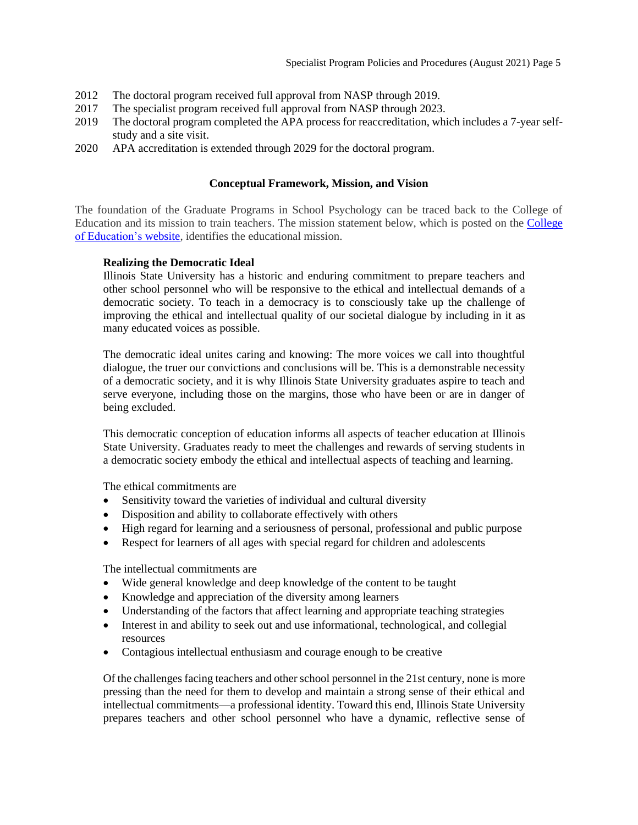- 2012 The doctoral program received full approval from NASP through 2019.
- 2017 The specialist program received full approval from NASP through 2023.
- 2019 The doctoral program completed the APA process for reaccreditation, which includes a 7-year selfstudy and a site visit.
- 2020 APA accreditation is extended through 2029 for the doctoral program.

## **Conceptual Framework, Mission, and Vision**

<span id="page-4-0"></span>The foundation of the Graduate Programs in School Psychology can be traced back to the College of Education and its mission to train teachers. The mission statement below, which is posted on the [College](https://education.illinoisstate.edu/) of Education's website, identifies the educational mission.

## **Realizing the Democratic Ideal**

Illinois State University has a historic and enduring commitment to prepare teachers and other school personnel who will be responsive to the ethical and intellectual demands of a democratic society. To teach in a democracy is to consciously take up the challenge of improving the ethical and intellectual quality of our societal dialogue by including in it as many educated voices as possible.

The democratic ideal unites caring and knowing: The more voices we call into thoughtful dialogue, the truer our convictions and conclusions will be. This is a demonstrable necessity of a democratic society, and it is why Illinois State University graduates aspire to teach and serve everyone, including those on the margins, those who have been or are in danger of being excluded.

This democratic conception of education informs all aspects of teacher education at Illinois State University. Graduates ready to meet the challenges and rewards of serving students in a democratic society embody the ethical and intellectual aspects of teaching and learning.

The ethical commitments are

- Sensitivity toward the varieties of individual and cultural diversity
- Disposition and ability to collaborate effectively with others
- High regard for learning and a seriousness of personal, professional and public purpose
- Respect for learners of all ages with special regard for children and adolescents

The intellectual commitments are

- Wide general knowledge and deep knowledge of the content to be taught
- Knowledge and appreciation of the diversity among learners
- Understanding of the factors that affect learning and appropriate teaching strategies
- Interest in and ability to seek out and use informational, technological, and collegial resources
- Contagious intellectual enthusiasm and courage enough to be creative

Of the challenges facing teachers and other school personnel in the 21st century, none is more pressing than the need for them to develop and maintain a strong sense of their ethical and intellectual commitments—a professional identity. Toward this end, Illinois State University prepares teachers and other school personnel who have a dynamic, reflective sense of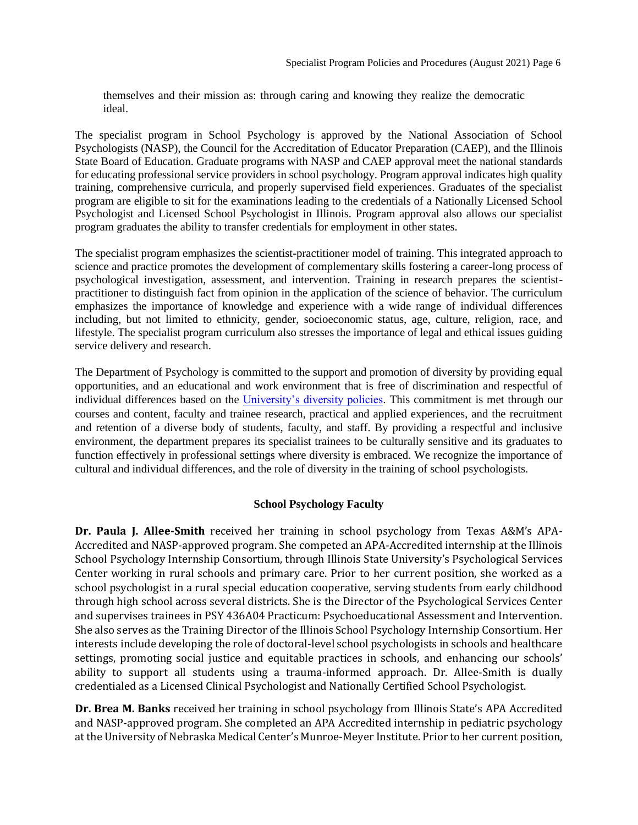themselves and their mission as: through caring and knowing they realize the democratic ideal.

The specialist program in School Psychology is approved by the National Association of School Psychologists (NASP), the Council for the Accreditation of Educator Preparation (CAEP), and the Illinois State Board of Education. Graduate programs with NASP and CAEP approval meet the national standards for educating professional service providers in school psychology. Program approval indicates high quality training, comprehensive curricula, and properly supervised field experiences. Graduates of the specialist program are eligible to sit for the examinations leading to the credentials of a Nationally Licensed School Psychologist and Licensed School Psychologist in Illinois. Program approval also allows our specialist program graduates the ability to transfer credentials for employment in other states.

The specialist program emphasizes the scientist-practitioner model of training. This integrated approach to science and practice promotes the development of complementary skills fostering a career-long process of psychological investigation, assessment, and intervention. Training in research prepares the scientistpractitioner to distinguish fact from opinion in the application of the science of behavior. The curriculum emphasizes the importance of knowledge and experience with a wide range of individual differences including, but not limited to ethnicity, gender, socioeconomic status, age, culture, religion, race, and lifestyle. The specialist program curriculum also stresses the importance of legal and ethical issues guiding service delivery and research.

The Department of Psychology is committed to the support and promotion of diversity by providing equal opportunities, and an educational and work environment that is free of discrimination and respectful of individual differences based on the [University's diversity policies.](http://illinoisstate.edu/diversity/) This commitment is met through our courses and content, faculty and trainee research, practical and applied experiences, and the recruitment and retention of a diverse body of students, faculty, and staff. By providing a respectful and inclusive environment, the department prepares its specialist trainees to be culturally sensitive and its graduates to function effectively in professional settings where diversity is embraced. We recognize the importance of cultural and individual differences, and the role of diversity in the training of school psychologists.

## **School Psychology Faculty**

<span id="page-5-0"></span>**Dr. Paula J. Allee-Smith** received her training in school psychology from Texas A&M's APA-Accredited and NASP-approved program. She competed an APA-Accredited internship at the Illinois School Psychology Internship Consortium, through Illinois State University's Psychological Services Center working in rural schools and primary care. Prior to her current position, she worked as a school psychologist in a rural special education cooperative, serving students from early childhood through high school across several districts. She is the Director of the Psychological Services Center and supervises trainees in PSY 436A04 Practicum: Psychoeducational Assessment and Intervention. She also serves as the Training Director of the Illinois School Psychology Internship Consortium. Her interests include developing the role of doctoral-level school psychologists in schools and healthcare settings, promoting social justice and equitable practices in schools, and enhancing our schools' ability to support all students using a trauma-informed approach. Dr. Allee-Smith is dually credentialed as a Licensed Clinical Psychologist and Nationally Certified School Psychologist.

**Dr. Brea M. Banks** received her training in school psychology from Illinois State's APA Accredited and NASP-approved program. She completed an APA Accredited internship in pediatric psychology at the University of Nebraska Medical Center's Munroe-Meyer Institute. Prior to her current position,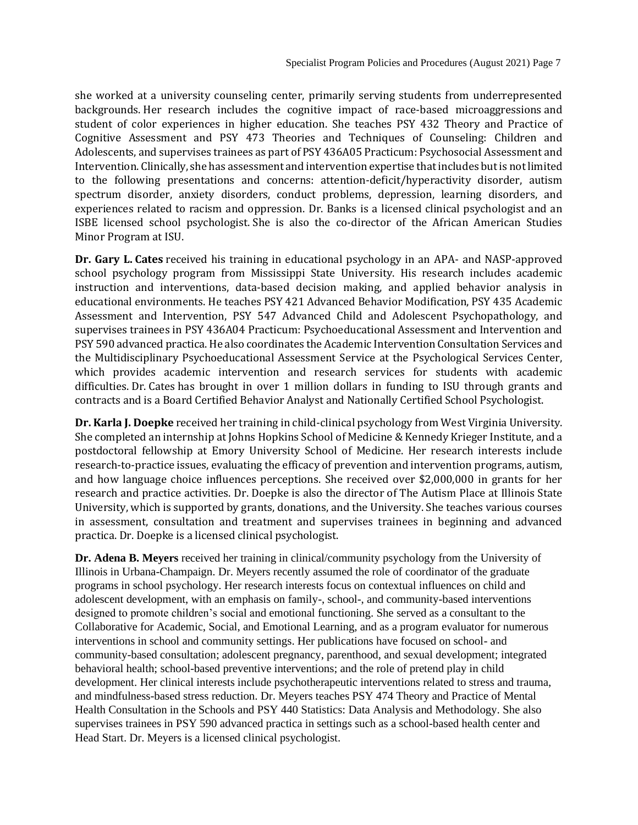she worked at a university counseling center, primarily serving students from underrepresented backgrounds. Her research includes the cognitive impact of race-based microaggressions and student of color experiences in higher education. She teaches PSY 432 Theory and Practice of Cognitive Assessment and PSY 473 Theories and Techniques of Counseling: Children and Adolescents, and supervises trainees as part of PSY 436A05 Practicum: Psychosocial Assessment and Intervention. Clinically, she has assessment and intervention expertise that includes but is not limited to the following presentations and concerns: attention-deficit/hyperactivity disorder, autism spectrum disorder, anxiety disorders, conduct problems, depression, learning disorders, and experiences related to racism and oppression. Dr. Banks is a licensed clinical psychologist and an ISBE licensed school psychologist. She is also the co-director of the African American Studies Minor Program at ISU.

**Dr. Gary L. Cates** received his training in educational psychology in an APA- and NASP-approved school psychology program from Mississippi State University. His research includes academic instruction and interventions, data-based decision making, and applied behavior analysis in educational environments. He teaches PSY 421 Advanced Behavior Modification, PSY 435 Academic Assessment and Intervention, PSY 547 Advanced Child and Adolescent Psychopathology, and supervises trainees in PSY 436A04 Practicum: Psychoeducational Assessment and Intervention and PSY 590 advanced practica. He also coordinates the Academic Intervention Consultation Services and the Multidisciplinary Psychoeducational Assessment Service at the Psychological Services Center, which provides academic intervention and research services for students with academic difficulties. Dr. Cates has brought in over 1 million dollars in funding to ISU through grants and contracts and is a Board Certified Behavior Analyst and Nationally Certified School Psychologist.

**Dr. Karla J. Doepke** received her training in child-clinical psychology from West Virginia University. She completed an internship at Johns Hopkins School of Medicine & Kennedy Krieger Institute, and a postdoctoral fellowship at Emory University School of Medicine. Her research interests include research-to-practice issues, evaluating the efficacy of prevention and intervention programs, autism, and how language choice influences perceptions. She received over \$2,000,000 in grants for her research and practice activities. Dr. Doepke is also the director of The Autism Place at Illinois State University, which is supported by grants, donations, and the University. She teaches various courses in assessment, consultation and treatment and supervises trainees in beginning and advanced practica. Dr. Doepke is a licensed clinical psychologist.

**Dr. Adena B. Meyers** received her training in clinical/community psychology from the University of Illinois in Urbana-Champaign. Dr. Meyers recently assumed the role of coordinator of the graduate programs in school psychology. Her research interests focus on contextual influences on child and adolescent development, with an emphasis on family-, school-, and community-based interventions designed to promote children's social and emotional functioning. She served as a consultant to the Collaborative for Academic, Social, and Emotional Learning, and as a program evaluator for numerous interventions in school and community settings. Her publications have focused on school- and community-based consultation; adolescent pregnancy, parenthood, and sexual development; integrated behavioral health; school-based preventive interventions; and the role of pretend play in child development. Her clinical interests include psychotherapeutic interventions related to stress and trauma, and mindfulness-based stress reduction. Dr. Meyers teaches PSY 474 Theory and Practice of Mental Health Consultation in the Schools and PSY 440 Statistics: Data Analysis and Methodology. She also supervises trainees in PSY 590 advanced practica in settings such as a school-based health center and Head Start. Dr. Meyers is a licensed clinical psychologist.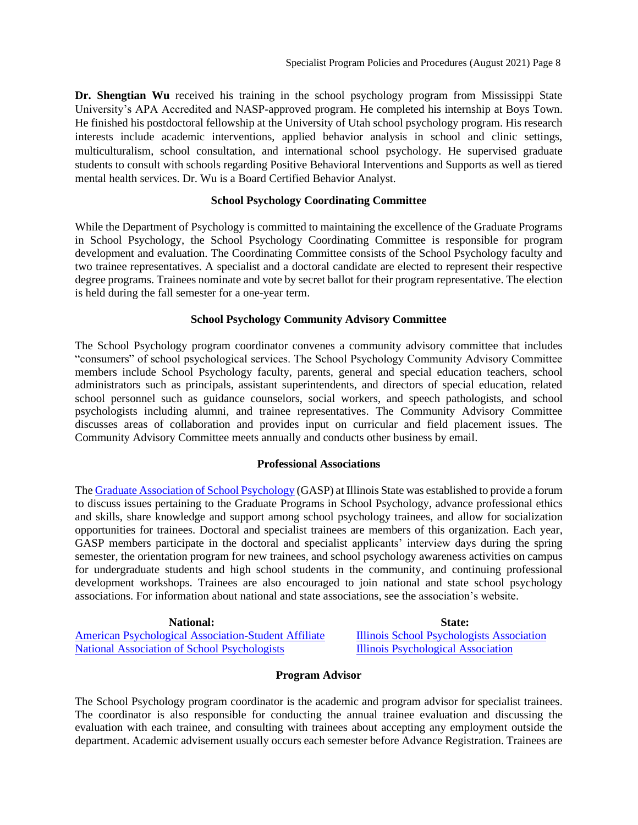**Dr. Shengtian Wu** received his training in the school psychology program from Mississippi State University's APA Accredited and NASP-approved program. He completed his internship at Boys Town. He finished his postdoctoral fellowship at the University of Utah school psychology program. His research interests include academic interventions, applied behavior analysis in school and clinic settings, multiculturalism, school consultation, and international school psychology. He supervised graduate students to consult with schools regarding Positive Behavioral Interventions and Supports as well as tiered mental health services. Dr. Wu is a Board Certified Behavior Analyst.

## <span id="page-7-0"></span>**School Psychology Coordinating Committee**

While the Department of Psychology is committed to maintaining the excellence of the Graduate Programs in School Psychology, the School Psychology Coordinating Committee is responsible for program development and evaluation. The Coordinating Committee consists of the School Psychology faculty and two trainee representatives. A specialist and a doctoral candidate are elected to represent their respective degree programs. Trainees nominate and vote by secret ballot for their program representative. The election is held during the fall semester for a one-year term.

## <span id="page-7-1"></span>**School Psychology Community Advisory Committee**

The School Psychology program coordinator convenes a community advisory committee that includes "consumers" of school psychological services. The School Psychology Community Advisory Committee members include School Psychology faculty, parents, general and special education teachers, school administrators such as principals, assistant superintendents, and directors of special education, related school personnel such as guidance counselors, social workers, and speech pathologists, and school psychologists including alumni, and trainee representatives. The Community Advisory Committee discusses areas of collaboration and provides input on curricular and field placement issues. The Community Advisory Committee meets annually and conducts other business by email.

## <span id="page-7-2"></span>**[Professional Associations](#page-10-1)**

The [Graduate Association of School Psychology](https://psychology.illinoisstate.edu/graduate/school-psychology/graduate-association-of-school-psychology/) (GASP) at Illinois State was established to provide a forum to discuss issues pertaining to the Graduate Programs in School Psychology, advance professional ethics and skills, share knowledge and support among school psychology trainees, and allow for socialization opportunities for trainees. Doctoral and specialist trainees are members of this organization. Each year, GASP members participate in the doctoral and specialist applicants' interview days during the spring semester, the orientation program for new trainees, and school psychology awareness activities on campus for undergraduate students and high school students in the community, and continuing professional development workshops. Trainees are also encouraged to join national and state school psychology associations. For information about national and state associations, see the association's website.

[American Psychological Association-Student Affiliate](https://www.apa.org/members) [Illinois School Psychologists Association](https://www.ilispa.org/)<br>National Association of School Psychologists Illinois Psychological Association [National Association of School Psychologists](http://www.nasponline.org/)

**National:**<br> **State:**<br> **State:**<br> **State:**<br> **State:**<br> **State:**<br> **State:**<br> **State:**<br> **State:**<br> **State:**<br> **State:**<br> **State:**<br> **State:**<br> **State:**<br> **State:** 

## **Program Advisor**

<span id="page-7-3"></span>The School Psychology program coordinator is the academic and program advisor for specialist trainees. The coordinator is also responsible for conducting the annual trainee evaluation and discussing the evaluation with each trainee, and consulting with trainees about accepting any employment outside the department. Academic advisement usually occurs each semester before Advance Registration. Trainees are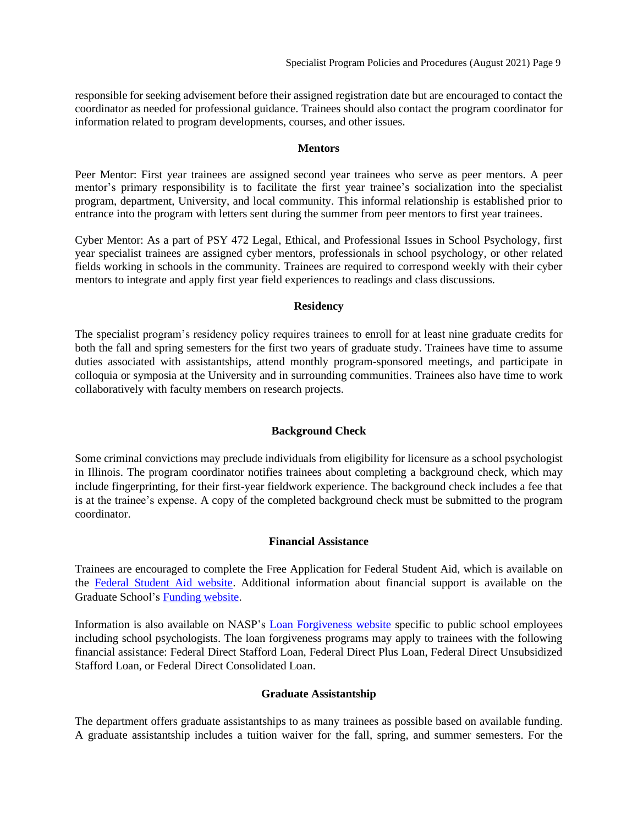responsible for seeking advisement before their assigned registration date but are encouraged to contact the coordinator as needed for professional guidance. Trainees should also contact the program coordinator for information related to program developments, courses, and other issues.

## **Mentors**

<span id="page-8-0"></span>Peer Mentor: First year trainees are assigned second year trainees who serve as peer mentors. A peer mentor's primary responsibility is to facilitate the first year trainee's socialization into the specialist program, department, University, and local community. This informal relationship is established prior to entrance into the program with letters sent during the summer from peer mentors to first year trainees.

Cyber Mentor: As a part of PSY 472 Legal, Ethical, and Professional Issues in School Psychology, first year specialist trainees are assigned cyber mentors, professionals in school psychology, or other related fields working in schools in the community. Trainees are required to correspond weekly with their cyber mentors to integrate and apply first year field experiences to readings and class discussions.

## <span id="page-8-1"></span>**Residency**

The specialist program's residency policy requires trainees to enroll for at least nine graduate credits for both the fall and spring semesters for the first two years of graduate study. Trainees have time to assume duties associated with assistantships, attend monthly program-sponsored meetings, and participate in colloquia or symposia at the University and in surrounding communities. Trainees also have time to work collaboratively with faculty members on research projects.

## <span id="page-8-2"></span>**[Background Check](#page-8-5)**

Some criminal convictions may preclude individuals from eligibility for licensure as a school psychologist in Illinois. The program coordinator notifies trainees about completing a background check, which may include fingerprinting, for their first-year fieldwork experience. The background check includes a fee that is at the trainee's expense. A copy of the completed background check must be submitted to the program coordinator.

## <span id="page-8-3"></span>**[Financial As](#page-8-6)sistance**

<span id="page-8-6"></span>Trainees are encouraged to complete the Free Application for Federal Student Aid, which is available on the [Federal Student Aid website.](http://www.fafsa.ed.gov/) Additional information about financial support is available on the Graduate School's [Funding website.](http://grad.illinoisstate.edu/funding/)

Information is also available on NASP's [Loan Forgiveness website](http://www.nasponline.org/research-and-policy/current-law-and-policy-priorities/current-law/loan-forgiveness-for-school-psychologists) specific to public school employees including school psychologists. The loan forgiveness programs may apply to trainees with the following financial assistance: Federal Direct Stafford Loan, Federal Direct Plus Loan, Federal Direct Unsubsidized Stafford Loan, or Federal Direct Consolidated Loan.

## <span id="page-8-4"></span>**Graduate Assistantship**

<span id="page-8-5"></span>The department offers graduate assistantships to as many trainees as possible based on available funding. A graduate assistantship includes a tuition waiver for the fall, spring, and summer semesters. For the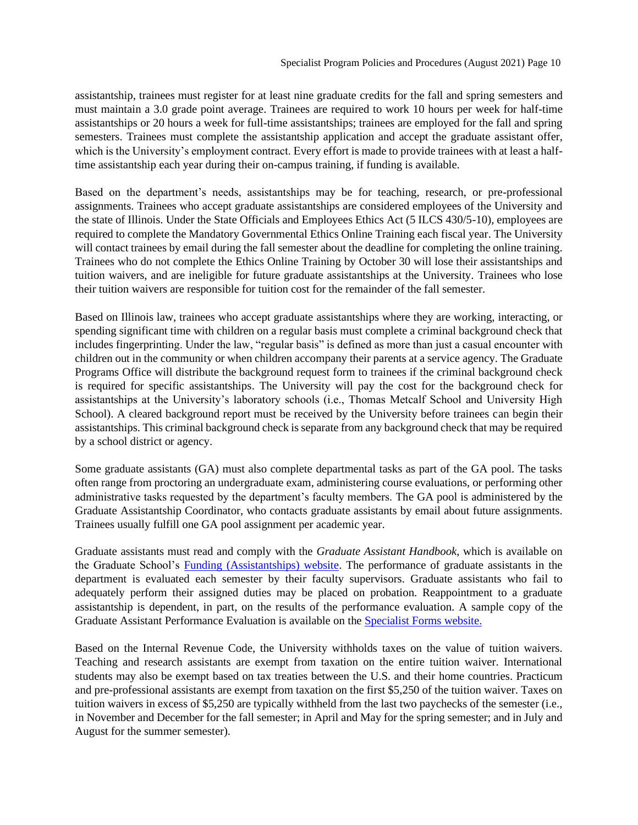assistantship, trainees must register for at least nine graduate credits for the fall and spring semesters and must maintain a 3.0 grade point average. Trainees are required to work 10 hours per week for half-time assistantships or 20 hours a week for full-time assistantships; trainees are employed for the fall and spring semesters. Trainees must complete the assistantship application and accept the graduate assistant offer, which is the University's employment contract. Every effort is made to provide trainees with at least a halftime assistantship each year during their on-campus training, if funding is available.

Based on the department's needs, assistantships may be for teaching, research, or pre-professional assignments. Trainees who accept graduate assistantships are considered employees of the University and the state of Illinois. Under the State Officials and Employees Ethics Act (5 ILCS 430/5-10), employees are required to complete the Mandatory Governmental Ethics Online Training each fiscal year. The University will contact trainees by email during the fall semester about the deadline for completing the online training. Trainees who do not complete the Ethics Online Training by October 30 will lose their assistantships and tuition waivers, and are ineligible for future graduate assistantships at the University. Trainees who lose their tuition waivers are responsible for tuition cost for the remainder of the fall semester.

Based on Illinois law, trainees who accept graduate assistantships where they are working, interacting, or spending significant time with children on a regular basis must complete a criminal background check that includes fingerprinting. Under the law, "regular basis" is defined as more than just a casual encounter with children out in the community or when children accompany their parents at a service agency. The Graduate Programs Office will distribute the background request form to trainees if the criminal background check is required for specific assistantships. The University will pay the cost for the background check for assistantships at the University's laboratory schools (i.e., Thomas Metcalf School and University High School). A cleared background report must be received by the University before trainees can begin their assistantships. This criminal background check is separate from any background check that may be required by a school district or agency.

Some graduate assistants (GA) must also complete departmental tasks as part of the GA pool. The tasks often range from proctoring an undergraduate exam, administering course evaluations, or performing other administrative tasks requested by the department's faculty members. The GA pool is administered by the Graduate Assistantship Coordinator, who contacts graduate assistants by email about future assignments. Trainees usually fulfill one GA pool assignment per academic year.

Graduate assistants must read and comply with the *Graduate Assistant Handbook*, which is available on the Graduate School's [Funding \(Assistantships\) website.](http://grad.illinoisstate.edu/funding/assistantships/) The performance of graduate assistants in the department is evaluated each semester by their faculty supervisors. Graduate assistants who fail to adequately perform their assigned duties may be placed on probation. Reappointment to a graduate assistantship is dependent, in part, on the results of the performance evaluation. A sample copy of the Graduate Assistant Performance Evaluation is available on the Specialist [Forms website.](https://psychology.illinoisstate.edu/graduate/school-psychology/specialist-in-school-psychology/forms-and-agreements/)

Based on the Internal Revenue Code, the University withholds taxes on the value of tuition waivers. Teaching and research assistants are exempt from taxation on the entire tuition waiver. International students may also be exempt based on tax treaties between the U.S. and their home countries. Practicum and pre-professional assistants are exempt from taxation on the first \$5,250 of the tuition waiver. Taxes on tuition waivers in excess of \$5,250 are typically withheld from the last two paychecks of the semester (i.e., in November and December for the fall semester; in April and May for the spring semester; and in July and August for the summer semester).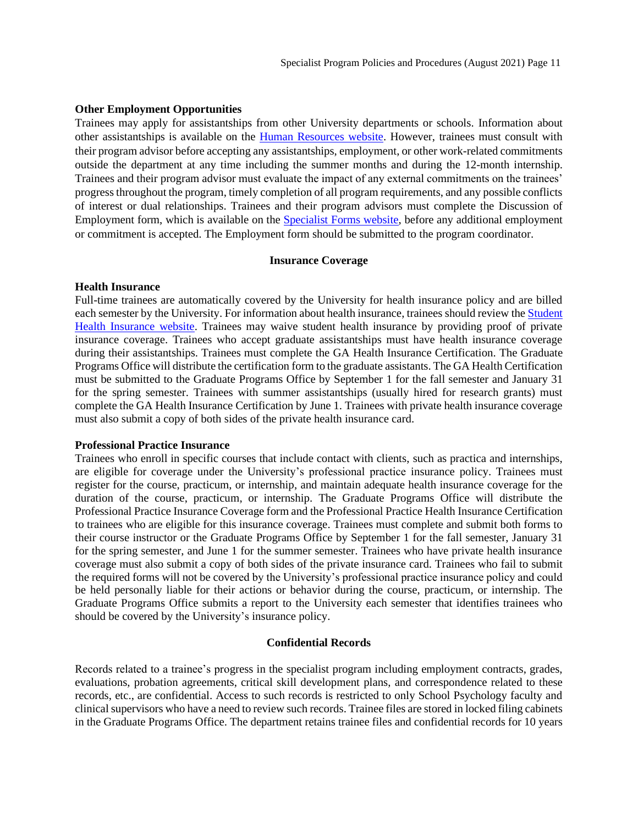#### **Other Employment Opportunities**

Trainees may apply for assistantships from other University departments or schools. Information about other assistantships is available on the [Human Resources website.](https://hr.illinoisstate.edu/prospective/opportunities/) However, trainees must consult with their program advisor before accepting any assistantships, employment, or other work-related commitments outside the department at any time including the summer months and during the 12-month internship. Trainees and their program advisor must evaluate the impact of any external commitments on the trainees' progress throughout the program, timely completion of all program requirements, and any possible conflicts of interest or dual relationships. Trainees and their program advisors must complete the Discussion of Employment form, which is available on the Specialist [Forms website,](https://hr.illinoisstate.edu/) before any additional employment or commitment is accepted. The Employment form should be submitted to the program coordinator.

#### <span id="page-10-0"></span>**[Insurance Coverage](#page-10-2)**

#### <span id="page-10-2"></span>**Health Insurance**

Full-time trainees are automatically covered by the University for health insurance policy and are billed each semester by the University. For information about health insurance, trainees should review th[e Student](http://shs.illinoisstate.edu/Insurance/)  [Health Insurance website.](http://shs.illinoisstate.edu/Insurance/) Trainees may waive student health insurance by providing proof of private insurance coverage. Trainees who accept graduate assistantships must have health insurance coverage during their assistantships. Trainees must complete the GA Health Insurance Certification. The Graduate Programs Office will distribute the certification form to the graduate assistants. The GA Health Certification must be submitted to the Graduate Programs Office by September 1 for the fall semester and January 31 for the spring semester. Trainees with summer assistantships (usually hired for research grants) must complete the GA Health Insurance Certification by June 1. Trainees with private health insurance coverage must also submit a copy of both sides of the private health insurance card.

#### **Professional Practice Insurance**

Trainees who enroll in specific courses that include contact with clients, such as practica and internships, are eligible for coverage under the University's professional practice insurance policy. Trainees must register for the course, practicum, or internship, and maintain adequate health insurance coverage for the duration of the course, practicum, or internship. The Graduate Programs Office will distribute the Professional Practice Insurance Coverage form and the Professional Practice Health Insurance Certification to trainees who are eligible for this insurance coverage. Trainees must complete and submit both forms to their course instructor or the Graduate Programs Office by September 1 for the fall semester, January 31 for the spring semester, and June 1 for the summer semester. Trainees who have private health insurance coverage must also submit a copy of both sides of the private insurance card. Trainees who fail to submit the required forms will not be covered by the University's professional practice insurance policy and could be held personally liable for their actions or behavior during the course, practicum, or internship. The Graduate Programs Office submits a report to the University each semester that identifies trainees who should be covered by the University's insurance policy.

#### **Confidential Records**

<span id="page-10-1"></span>Records related to a trainee's progress in the specialist program including employment contracts, grades, evaluations, probation agreements, critical skill development plans, and correspondence related to these records, etc., are confidential. Access to such records is restricted to only School Psychology faculty and clinical supervisors who have a need to review such records. Trainee files are stored in locked filing cabinets in the Graduate Programs Office. The department retains trainee files and confidential records for 10 years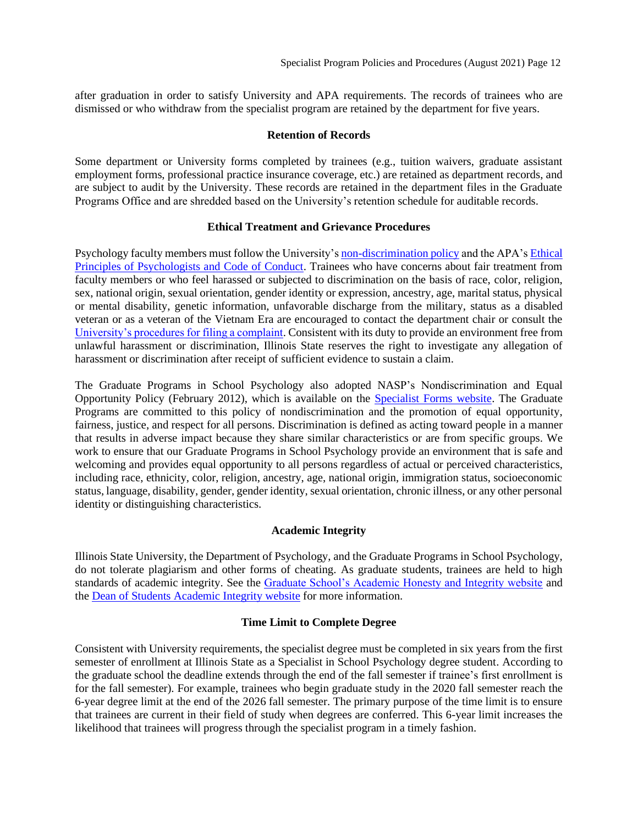after graduation in order to satisfy University and APA requirements. The records of trainees who are dismissed or who withdraw from the specialist program are retained by the department for five years.

#### **Retention of Records**

<span id="page-11-0"></span>Some department or University forms completed by trainees (e.g., tuition waivers, graduate assistant employment forms, professional practice insurance coverage, etc.) are retained as department records, and are subject to audit by the University. These records are retained in the department files in the Graduate Programs Office and are shredded based on the University's retention schedule for auditable records.

#### **Ethical Treatment and Grievance Procedures**

<span id="page-11-1"></span>Psychology faculty members must follow the University's [non-discrimination policy](http://equalopportunity.illinoisstate.edu/) and the APA's [Ethical](http://www.apa.org/ethics/code/index.aspx)  [Principles of Psychologists and Code of Conduct.](http://www.apa.org/ethics/code/index.aspx) Trainees who have concerns about fair treatment from faculty members or who feel harassed or subjected to discrimination on the basis of race, color, religion, sex, national origin, sexual orientation, gender identity or expression, ancestry, age, marital status, physical or mental disability, genetic information, unfavorable discharge from the military, status as a disabled veteran or as a veteran of the Vietnam Era are encouraged to contact the department chair or consult the [University's procedures for filing a complaint.](http://policy.illinoisstate.edu/conduct/1-1-2.shtml) Consistent with its duty to provide an environment free from unlawful harassment or discrimination, Illinois State reserves the right to investigate any allegation of harassment or discrimination after receipt of sufficient evidence to sustain a claim.

The Graduate Programs in School Psychology also adopted NASP's Nondiscrimination and Equal Opportunity Policy (February 2012), which is available on the Specialist [Forms website.](https://psychology.illinoisstate.edu/graduate/school-psychology/specialist-in-school-psychology/forms-and-agreements/) The Graduate Programs are committed to this policy of nondiscrimination and the promotion of equal opportunity, fairness, justice, and respect for all persons. Discrimination is defined as acting toward people in a manner that results in adverse impact because they share similar characteristics or are from specific groups. We work to ensure that our Graduate Programs in School Psychology provide an environment that is safe and welcoming and provides equal opportunity to all persons regardless of actual or perceived characteristics, including race, ethnicity, color, religion, ancestry, age, national origin, immigration status, socioeconomic status, language, disability, gender, gender identity, sexual orientation, chronic illness, or any other personal identity or distinguishing characteristics.

## **Academic Integrity**

<span id="page-11-2"></span>Illinois State University, the Department of Psychology, and the Graduate Programs in School Psychology, do not tolerate plagiarism and other forms of cheating. As graduate students, trainees are held to high standards of academic integrity. See the [Graduate School's Academic Honesty and Integrity website](http://grad.illinoisstate.edu/admission/orientation/honesty.shtml) and the [Dean of Students Academic Integrity website](http://deanofstudents.illinoisstate.edu/conflict/conduct/code/academic.php) for more information.

## **Time Limit to Complete Degree**

<span id="page-11-3"></span>Consistent with University requirements, the specialist degree must be completed in six years from the first semester of enrollment at Illinois State as a Specialist in School Psychology degree student. According to the graduate school the deadline extends through the end of the fall semester if trainee's first enrollment is for the fall semester). For example, trainees who begin graduate study in the 2020 fall semester reach the 6-year degree limit at the end of the 2026 fall semester. The primary purpose of the time limit is to ensure that trainees are current in their field of study when degrees are conferred. This 6-year limit increases the likelihood that trainees will progress through the specialist program in a timely fashion.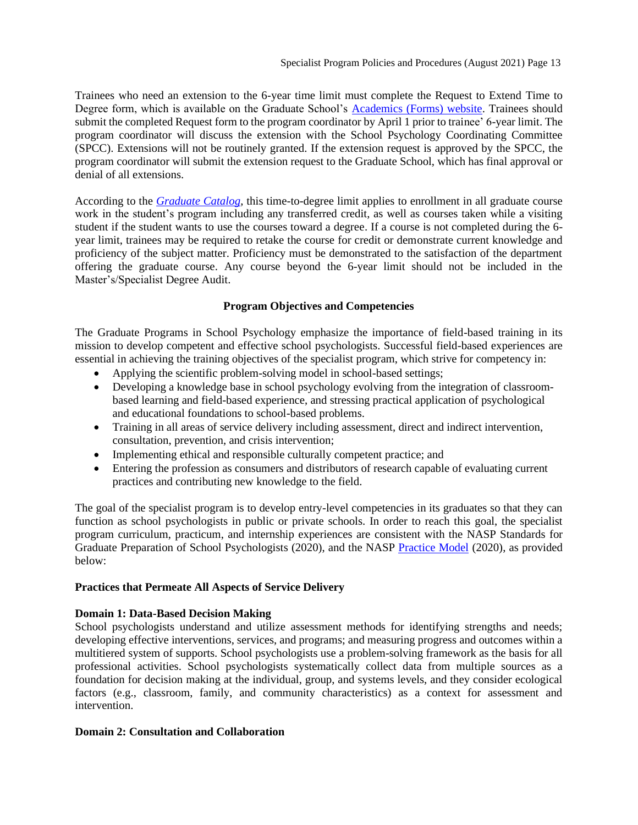Trainees who need an extension to the 6-year time limit must complete the Request to Extend Time to Degree form, which is available on the Graduate School's [Academics \(Forms\) website.](https://grad.illinoisstate.edu/students/forms/) Trainees should submit the completed Request form to the program coordinator by April 1 prior to trainee' 6-year limit. The program coordinator will discuss the extension with the School Psychology Coordinating Committee (SPCC). Extensions will not be routinely granted. If the extension request is approved by the SPCC, the program coordinator will submit the extension request to the Graduate School, which has final approval or denial of all extensions.

According to the *[Graduate Catalog](https://illinoisstate.edu/catalog/graduate/specialist-school-psychology/)*, this time-to-degree limit applies to enrollment in all graduate course work in the student's program including any transferred credit, as well as courses taken while a visiting student if the student wants to use the courses toward a degree. If a course is not completed during the 6 year limit, trainees may be required to retake the course for credit or demonstrate current knowledge and proficiency of the subject matter. Proficiency must be demonstrated to the satisfaction of the department offering the graduate course. Any course beyond the 6-year limit should not be included in the Master's/Specialist Degree Audit.

## **Program Objectives and Competencies**

<span id="page-12-0"></span>The Graduate Programs in School Psychology emphasize the importance of field-based training in its mission to develop competent and effective school psychologists. Successful field-based experiences are essential in achieving the training objectives of the specialist program, which strive for competency in:

- Applying the scientific problem-solving model in school-based settings;
- Developing a knowledge base in school psychology evolving from the integration of classroombased learning and field-based experience, and stressing practical application of psychological and educational foundations to school-based problems.
- Training in all areas of service delivery including assessment, direct and indirect intervention, consultation, prevention, and crisis intervention;
- Implementing ethical and responsible culturally competent practice; and
- Entering the profession as consumers and distributors of research capable of evaluating current practices and contributing new knowledge to the field.

The goal of the specialist program is to develop entry-level competencies in its graduates so that they can function as school psychologists in public or private schools. In order to reach this goal, the specialist program curriculum, practicum, and internship experiences are consistent with the NASP Standards for Graduate Preparation of School Psychologists (2020), and the NASP [Practice Model](https://www.nasponline.org/standards-and-certification/nasp-practice-model) (2020), as provided below:

## **Practices that Permeate All Aspects of Service Delivery**

## **Domain 1: Data-Based Decision Making**

School psychologists understand and utilize assessment methods for identifying strengths and needs; developing effective interventions, services, and programs; and measuring progress and outcomes within a multitiered system of supports. School psychologists use a problem-solving framework as the basis for all professional activities. School psychologists systematically collect data from multiple sources as a foundation for decision making at the individual, group, and systems levels, and they consider ecological factors (e.g., classroom, family, and community characteristics) as a context for assessment and intervention.

## **Domain 2: Consultation and Collaboration**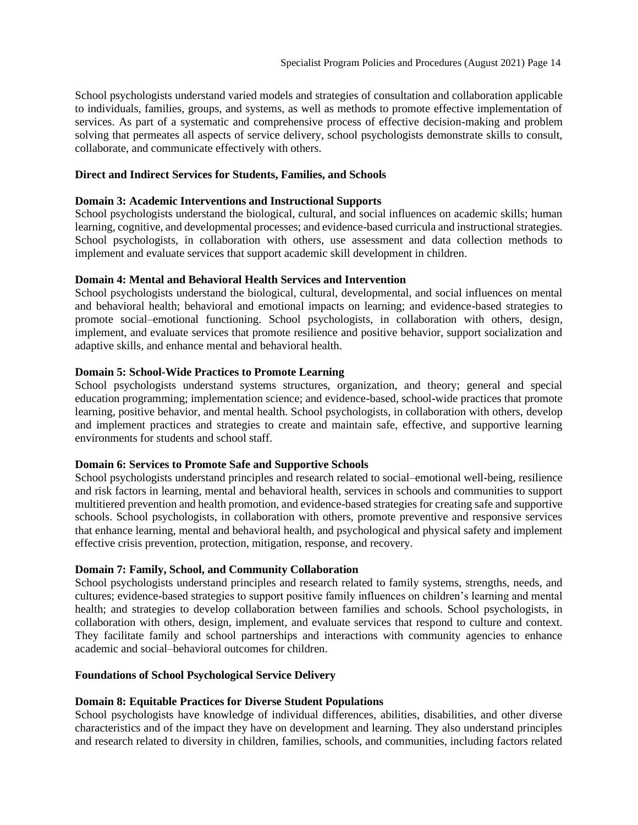School psychologists understand varied models and strategies of consultation and collaboration applicable to individuals, families, groups, and systems, as well as methods to promote effective implementation of services. As part of a systematic and comprehensive process of effective decision-making and problem solving that permeates all aspects of service delivery, school psychologists demonstrate skills to consult, collaborate, and communicate effectively with others.

## **Direct and Indirect Services for Students, Families, and Schools**

## **Domain 3: Academic Interventions and Instructional Supports**

School psychologists understand the biological, cultural, and social influences on academic skills; human learning, cognitive, and developmental processes; and evidence-based curricula and instructional strategies. School psychologists, in collaboration with others, use assessment and data collection methods to implement and evaluate services that support academic skill development in children.

## **Domain 4: Mental and Behavioral Health Services and Intervention**

School psychologists understand the biological, cultural, developmental, and social influences on mental and behavioral health; behavioral and emotional impacts on learning; and evidence-based strategies to promote social–emotional functioning. School psychologists, in collaboration with others, design, implement, and evaluate services that promote resilience and positive behavior, support socialization and adaptive skills, and enhance mental and behavioral health.

## **Domain 5: School-Wide Practices to Promote Learning**

School psychologists understand systems structures, organization, and theory; general and special education programming; implementation science; and evidence-based, school-wide practices that promote learning, positive behavior, and mental health. School psychologists, in collaboration with others, develop and implement practices and strategies to create and maintain safe, effective, and supportive learning environments for students and school staff.

## **Domain 6: Services to Promote Safe and Supportive Schools**

School psychologists understand principles and research related to social–emotional well-being, resilience and risk factors in learning, mental and behavioral health, services in schools and communities to support multitiered prevention and health promotion, and evidence-based strategies for creating safe and supportive schools. School psychologists, in collaboration with others, promote preventive and responsive services that enhance learning, mental and behavioral health, and psychological and physical safety and implement effective crisis prevention, protection, mitigation, response, and recovery.

## **Domain 7: Family, School, and Community Collaboration**

School psychologists understand principles and research related to family systems, strengths, needs, and cultures; evidence-based strategies to support positive family influences on children's learning and mental health; and strategies to develop collaboration between families and schools. School psychologists, in collaboration with others, design, implement, and evaluate services that respond to culture and context. They facilitate family and school partnerships and interactions with community agencies to enhance academic and social–behavioral outcomes for children.

## **Foundations of School Psychological Service Delivery**

## **Domain 8: Equitable Practices for Diverse Student Populations**

School psychologists have knowledge of individual differences, abilities, disabilities, and other diverse characteristics and of the impact they have on development and learning. They also understand principles and research related to diversity in children, families, schools, and communities, including factors related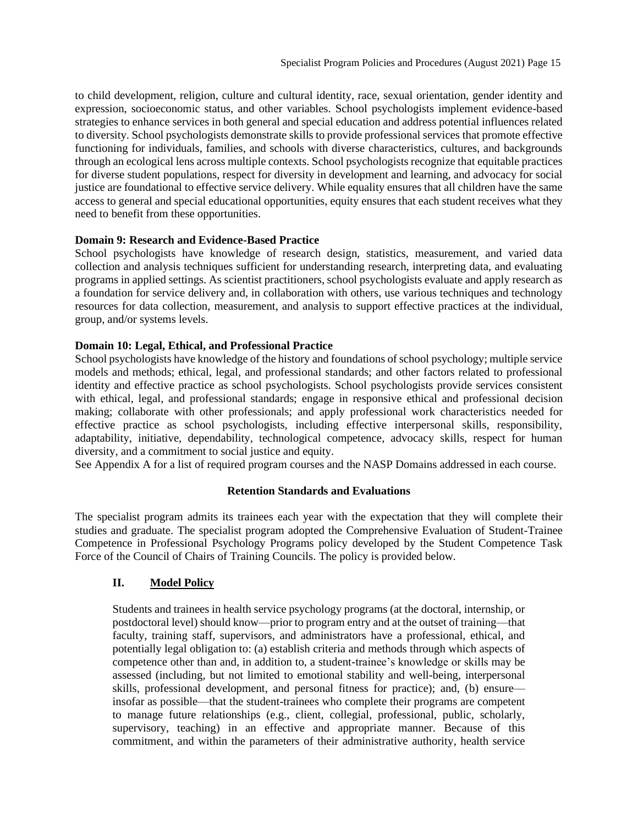to child development, religion, culture and cultural identity, race, sexual orientation, gender identity and expression, socioeconomic status, and other variables. School psychologists implement evidence-based strategies to enhance services in both general and special education and address potential influences related to diversity. School psychologists demonstrate skills to provide professional services that promote effective functioning for individuals, families, and schools with diverse characteristics, cultures, and backgrounds through an ecological lens across multiple contexts. School psychologists recognize that equitable practices for diverse student populations, respect for diversity in development and learning, and advocacy for social justice are foundational to effective service delivery. While equality ensures that all children have the same access to general and special educational opportunities, equity ensures that each student receives what they need to benefit from these opportunities.

## **Domain 9: Research and Evidence-Based Practice**

School psychologists have knowledge of research design, statistics, measurement, and varied data collection and analysis techniques sufficient for understanding research, interpreting data, and evaluating programs in applied settings. As scientist practitioners, school psychologists evaluate and apply research as a foundation for service delivery and, in collaboration with others, use various techniques and technology resources for data collection, measurement, and analysis to support effective practices at the individual, group, and/or systems levels.

## **Domain 10: Legal, Ethical, and Professional Practice**

School psychologists have knowledge of the history and foundations of school psychology; multiple service models and methods; ethical, legal, and professional standards; and other factors related to professional identity and effective practice as school psychologists. School psychologists provide services consistent with ethical, legal, and professional standards; engage in responsive ethical and professional decision making; collaborate with other professionals; and apply professional work characteristics needed for effective practice as school psychologists, including effective interpersonal skills, responsibility, adaptability, initiative, dependability, technological competence, advocacy skills, respect for human diversity, and a commitment to social justice and equity.

<span id="page-14-0"></span>See Appendix A for a list of required program courses and the NASP Domains addressed in each course.

## **Retention Standards and Evaluations**

The specialist program admits its trainees each year with the expectation that they will complete their studies and graduate. The specialist program adopted the Comprehensive Evaluation of Student-Trainee Competence in Professional Psychology Programs policy developed by the Student Competence Task Force of the Council of Chairs of Training Councils. The policy is provided below.

## **II. Model Policy**

Students and trainees in health service psychology programs (at the doctoral, internship, or postdoctoral level) should know—prior to program entry and at the outset of training—that faculty, training staff, supervisors, and administrators have a professional, ethical, and potentially legal obligation to: (a) establish criteria and methods through which aspects of competence other than and, in addition to, a student-trainee's knowledge or skills may be assessed (including, but not limited to emotional stability and well-being, interpersonal skills, professional development, and personal fitness for practice); and, (b) ensure insofar as possible—that the student-trainees who complete their programs are competent to manage future relationships (e.g., client, collegial, professional, public, scholarly, supervisory, teaching) in an effective and appropriate manner. Because of this commitment, and within the parameters of their administrative authority, health service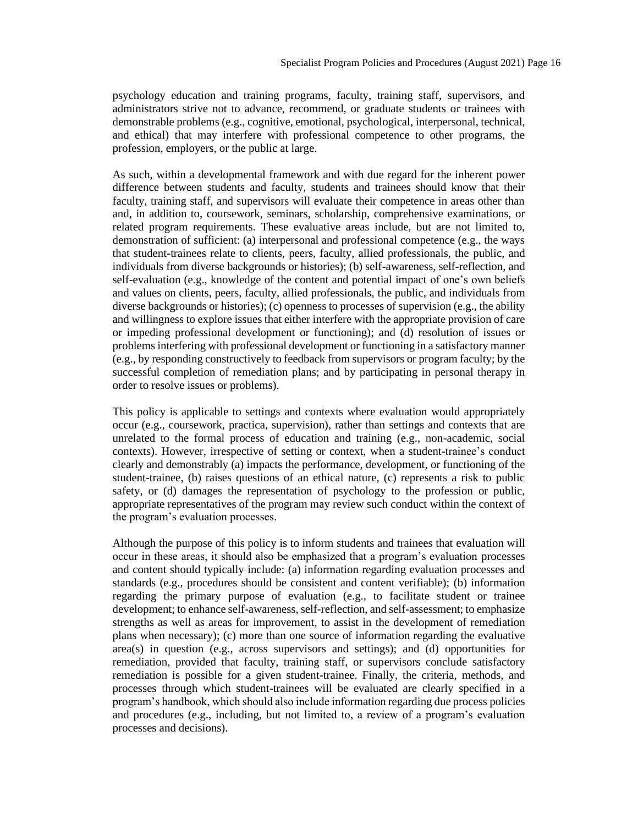psychology education and training programs, faculty, training staff, supervisors, and administrators strive not to advance, recommend, or graduate students or trainees with demonstrable problems (e.g., cognitive, emotional, psychological, interpersonal, technical, and ethical) that may interfere with professional competence to other programs, the profession, employers, or the public at large.

As such, within a developmental framework and with due regard for the inherent power difference between students and faculty, students and trainees should know that their faculty, training staff, and supervisors will evaluate their competence in areas other than and, in addition to, coursework, seminars, scholarship, comprehensive examinations, or related program requirements. These evaluative areas include, but are not limited to, demonstration of sufficient: (a) interpersonal and professional competence (e.g., the ways that student-trainees relate to clients, peers, faculty, allied professionals, the public, and individuals from diverse backgrounds or histories); (b) self-awareness, self-reflection, and self-evaluation (e.g., knowledge of the content and potential impact of one's own beliefs and values on clients, peers, faculty, allied professionals, the public, and individuals from diverse backgrounds or histories); (c) openness to processes of supervision (e.g., the ability and willingness to explore issues that either interfere with the appropriate provision of care or impeding professional development or functioning); and (d) resolution of issues or problems interfering with professional development or functioning in a satisfactory manner (e.g., by responding constructively to feedback from supervisors or program faculty; by the successful completion of remediation plans; and by participating in personal therapy in order to resolve issues or problems).

This policy is applicable to settings and contexts where evaluation would appropriately occur (e.g., coursework, practica, supervision), rather than settings and contexts that are unrelated to the formal process of education and training (e.g., non-academic, social contexts). However, irrespective of setting or context, when a student-trainee's conduct clearly and demonstrably (a) impacts the performance, development, or functioning of the student-trainee, (b) raises questions of an ethical nature, (c) represents a risk to public safety, or (d) damages the representation of psychology to the profession or public, appropriate representatives of the program may review such conduct within the context of the program's evaluation processes.

Although the purpose of this policy is to inform students and trainees that evaluation will occur in these areas, it should also be emphasized that a program's evaluation processes and content should typically include: (a) information regarding evaluation processes and standards (e.g., procedures should be consistent and content verifiable); (b) information regarding the primary purpose of evaluation (e.g., to facilitate student or trainee development; to enhance self-awareness, self-reflection, and self-assessment; to emphasize strengths as well as areas for improvement, to assist in the development of remediation plans when necessary); (c) more than one source of information regarding the evaluative area(s) in question (e.g., across supervisors and settings); and (d) opportunities for remediation, provided that faculty, training staff, or supervisors conclude satisfactory remediation is possible for a given student-trainee. Finally, the criteria, methods, and processes through which student-trainees will be evaluated are clearly specified in a program's handbook, which should also include information regarding due process policies and procedures (e.g., including, but not limited to, a review of a program's evaluation processes and decisions).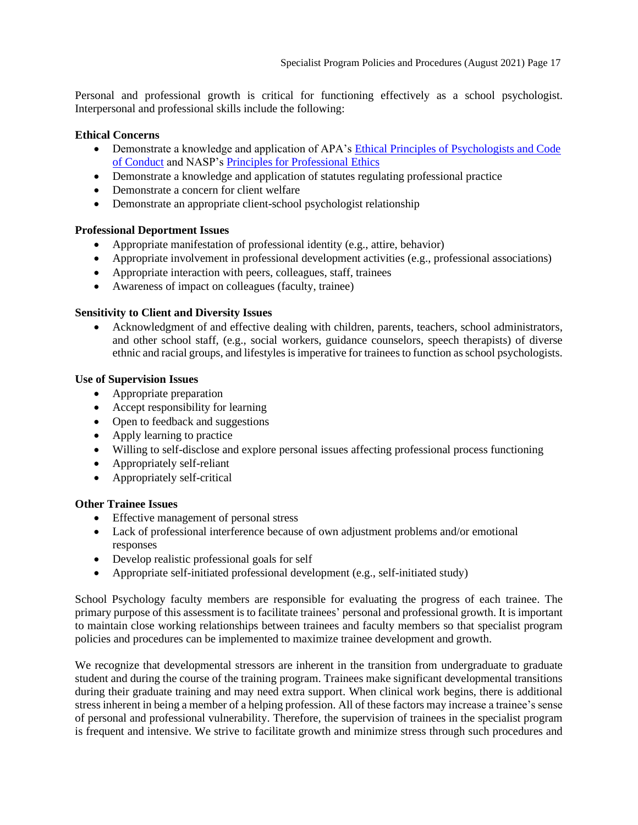Personal and professional growth is critical for functioning effectively as a school psychologist. Interpersonal and professional skills include the following:

## **Ethical Concerns**

- Demonstrate a knowledge and application of APA's [Ethical Principles of Psychologists and Code](http://www.apa.org/ethics/code/index.aspx)  [of Conduct](http://www.apa.org/ethics/code/index.aspx) and NASP's [Principles for Professional Ethics](https://apps.nasponline.org/search-results.aspx?q=professional+ethics)
- Demonstrate a knowledge and application of statutes regulating professional practice
- Demonstrate a concern for client welfare
- Demonstrate an appropriate client-school psychologist relationship

## **Professional Deportment Issues**

- Appropriate manifestation of professional identity (e.g., attire, behavior)
- Appropriate involvement in professional development activities (e.g., professional associations)
- Appropriate interaction with peers, colleagues, staff, trainees
- Awareness of impact on colleagues (faculty, trainee)

## **Sensitivity to Client and Diversity Issues**

• Acknowledgment of and effective dealing with children, parents, teachers, school administrators, and other school staff, (e.g., social workers, guidance counselors, speech therapists) of diverse ethnic and racial groups, and lifestyles is imperative for trainees to function as school psychologists.

## **Use of Supervision Issues**

- Appropriate preparation
- Accept responsibility for learning
- Open to feedback and suggestions
- Apply learning to practice
- Willing to self-disclose and explore personal issues affecting professional process functioning
- Appropriately self-reliant
- Appropriately self-critical

## **Other Trainee Issues**

- Effective management of personal stress
- Lack of professional interference because of own adjustment problems and/or emotional responses
- Develop realistic professional goals for self
- Appropriate self-initiated professional development (e.g., self-initiated study)

School Psychology faculty members are responsible for evaluating the progress of each trainee. The primary purpose of this assessment is to facilitate trainees' personal and professional growth. It is important to maintain close working relationships between trainees and faculty members so that specialist program policies and procedures can be implemented to maximize trainee development and growth.

We recognize that developmental stressors are inherent in the transition from undergraduate to graduate student and during the course of the training program. Trainees make significant developmental transitions during their graduate training and may need extra support. When clinical work begins, there is additional stress inherent in being a member of a helping profession. All of these factors may increase a trainee's sense of personal and professional vulnerability. Therefore, the supervision of trainees in the specialist program is frequent and intensive. We strive to facilitate growth and minimize stress through such procedures and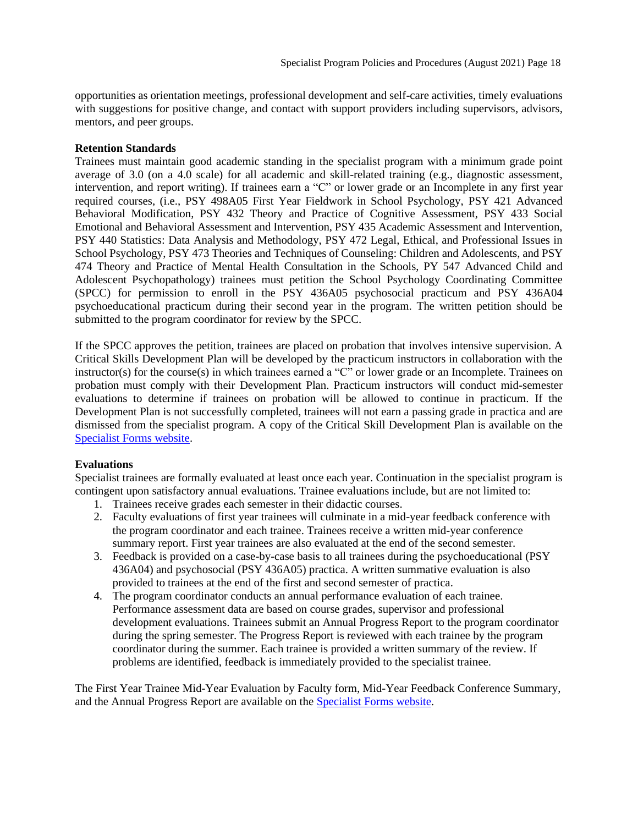opportunities as orientation meetings, professional development and self-care activities, timely evaluations with suggestions for positive change, and contact with support providers including supervisors, advisors, mentors, and peer groups.

## **Retention Standards**

Trainees must maintain good academic standing in the specialist program with a minimum grade point average of 3.0 (on a 4.0 scale) for all academic and skill-related training (e.g., diagnostic assessment, intervention, and report writing). If trainees earn a "C" or lower grade or an Incomplete in any first year required courses, (i.e., PSY 498A05 First Year Fieldwork in School Psychology, PSY 421 Advanced Behavioral Modification, PSY 432 Theory and Practice of Cognitive Assessment, PSY 433 Social Emotional and Behavioral Assessment and Intervention, PSY 435 Academic Assessment and Intervention, PSY 440 Statistics: Data Analysis and Methodology, PSY 472 Legal, Ethical, and Professional Issues in School Psychology, PSY 473 Theories and Techniques of Counseling: Children and Adolescents, and PSY 474 Theory and Practice of Mental Health Consultation in the Schools, PY 547 Advanced Child and Adolescent Psychopathology) trainees must petition the School Psychology Coordinating Committee (SPCC) for permission to enroll in the PSY 436A05 psychosocial practicum and PSY 436A04 psychoeducational practicum during their second year in the program. The written petition should be submitted to the program coordinator for review by the SPCC.

If the SPCC approves the petition, trainees are placed on probation that involves intensive supervision. A Critical Skills Development Plan will be developed by the practicum instructors in collaboration with the instructor(s) for the course(s) in which trainees earned a "C" or lower grade or an Incomplete. Trainees on probation must comply with their Development Plan. Practicum instructors will conduct mid-semester evaluations to determine if trainees on probation will be allowed to continue in practicum. If the Development Plan is not successfully completed, trainees will not earn a passing grade in practica and are dismissed from the specialist program. A copy of the Critical Skill Development Plan is available on the [Specialist Forms website.](https://psychology.illinoisstate.edu/graduate/school-psychology/specialist-in-school-psychology/forms-and-agreements/)

## **Evaluations**

Specialist trainees are formally evaluated at least once each year. Continuation in the specialist program is contingent upon satisfactory annual evaluations. Trainee evaluations include, but are not limited to:

- 1. Trainees receive grades each semester in their didactic courses.
- 2. Faculty evaluations of first year trainees will culminate in a mid-year feedback conference with the program coordinator and each trainee. Trainees receive a written mid-year conference summary report. First year trainees are also evaluated at the end of the second semester.
- 3. Feedback is provided on a case-by-case basis to all trainees during the psychoeducational (PSY 436A04) and psychosocial (PSY 436A05) practica. A written summative evaluation is also provided to trainees at the end of the first and second semester of practica.
- 4. The program coordinator conducts an annual performance evaluation of each trainee. Performance assessment data are based on course grades, supervisor and professional development evaluations. Trainees submit an Annual Progress Report to the program coordinator during the spring semester. The Progress Report is reviewed with each trainee by the program coordinator during the summer. Each trainee is provided a written summary of the review. If problems are identified, feedback is immediately provided to the specialist trainee.

The First Year Trainee Mid-Year Evaluation by Faculty form, Mid-Year Feedback Conference Summary, and the Annual Progress Report are available on the [Specialist Forms website.](https://psychology.illinoisstate.edu/graduate/school-psychology/specialist-in-school-psychology/forms-and-agreements/)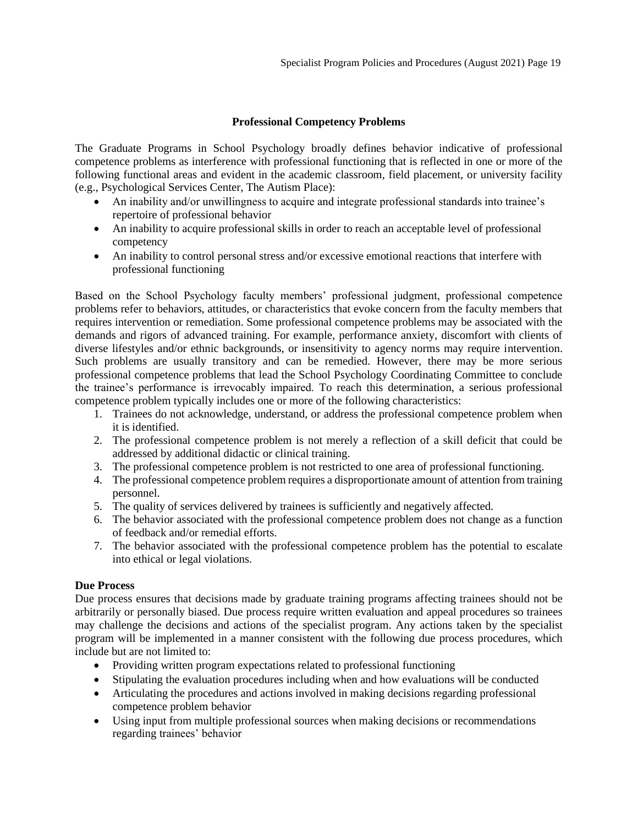## **Professional Competency Problems**

<span id="page-18-0"></span>The Graduate Programs in School Psychology broadly defines behavior indicative of professional competence problems as interference with professional functioning that is reflected in one or more of the following functional areas and evident in the academic classroom, field placement, or university facility (e.g., Psychological Services Center, The Autism Place):

- An inability and/or unwillingness to acquire and integrate professional standards into trainee's repertoire of professional behavior
- An inability to acquire professional skills in order to reach an acceptable level of professional competency
- An inability to control personal stress and/or excessive emotional reactions that interfere with professional functioning

Based on the School Psychology faculty members' professional judgment, professional competence problems refer to behaviors, attitudes, or characteristics that evoke concern from the faculty members that requires intervention or remediation. Some professional competence problems may be associated with the demands and rigors of advanced training. For example, performance anxiety, discomfort with clients of diverse lifestyles and/or ethnic backgrounds, or insensitivity to agency norms may require intervention. Such problems are usually transitory and can be remedied. However, there may be more serious professional competence problems that lead the School Psychology Coordinating Committee to conclude the trainee's performance is irrevocably impaired. To reach this determination, a serious professional competence problem typically includes one or more of the following characteristics:

- 1. Trainees do not acknowledge, understand, or address the professional competence problem when it is identified.
- 2. The professional competence problem is not merely a reflection of a skill deficit that could be addressed by additional didactic or clinical training.
- 3. The professional competence problem is not restricted to one area of professional functioning.
- 4. The professional competence problem requires a disproportionate amount of attention from training personnel.
- 5. The quality of services delivered by trainees is sufficiently and negatively affected.
- 6. The behavior associated with the professional competence problem does not change as a function of feedback and/or remedial efforts.
- 7. The behavior associated with the professional competence problem has the potential to escalate into ethical or legal violations.

## **Due Process**

Due process ensures that decisions made by graduate training programs affecting trainees should not be arbitrarily or personally biased. Due process require written evaluation and appeal procedures so trainees may challenge the decisions and actions of the specialist program. Any actions taken by the specialist program will be implemented in a manner consistent with the following due process procedures, which include but are not limited to:

- Providing written program expectations related to professional functioning
- Stipulating the evaluation procedures including when and how evaluations will be conducted
- Articulating the procedures and actions involved in making decisions regarding professional competence problem behavior
- Using input from multiple professional sources when making decisions or recommendations regarding trainees' behavior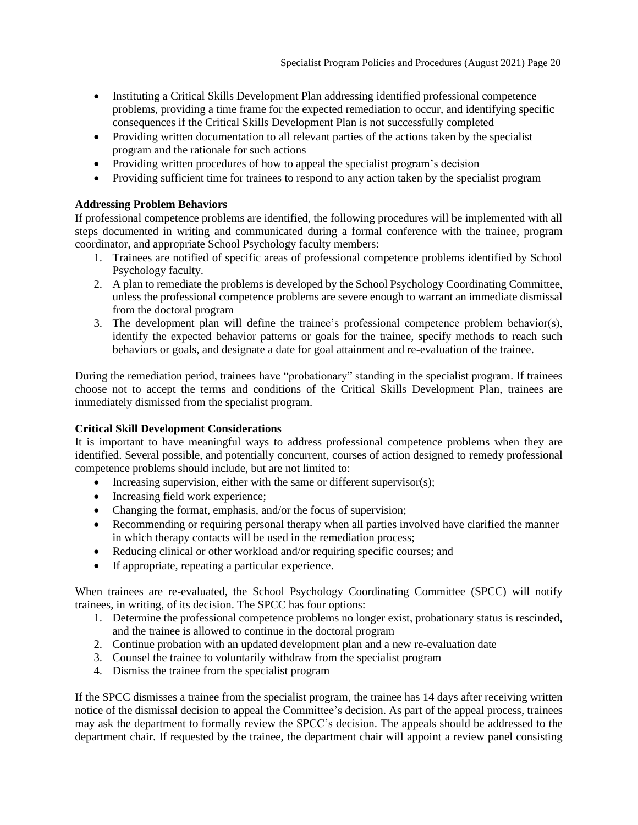- Instituting a Critical Skills Development Plan addressing identified professional competence problems, providing a time frame for the expected remediation to occur, and identifying specific consequences if the Critical Skills Development Plan is not successfully completed
- Providing written documentation to all relevant parties of the actions taken by the specialist program and the rationale for such actions
- Providing written procedures of how to appeal the specialist program's decision
- Providing sufficient time for trainees to respond to any action taken by the specialist program

## **Addressing Problem Behaviors**

If professional competence problems are identified, the following procedures will be implemented with all steps documented in writing and communicated during a formal conference with the trainee, program coordinator, and appropriate School Psychology faculty members:

- 1. Trainees are notified of specific areas of professional competence problems identified by School Psychology faculty.
- 2. A plan to remediate the problems is developed by the School Psychology Coordinating Committee, unless the professional competence problems are severe enough to warrant an immediate dismissal from the doctoral program
- 3. The development plan will define the trainee's professional competence problem behavior(s), identify the expected behavior patterns or goals for the trainee, specify methods to reach such behaviors or goals, and designate a date for goal attainment and re-evaluation of the trainee.

During the remediation period, trainees have "probationary" standing in the specialist program. If trainees choose not to accept the terms and conditions of the Critical Skills Development Plan, trainees are immediately dismissed from the specialist program.

## **Critical Skill Development Considerations**

It is important to have meaningful ways to address professional competence problems when they are identified. Several possible, and potentially concurrent, courses of action designed to remedy professional competence problems should include, but are not limited to:

- Increasing supervision, either with the same or different supervisor(s);
- Increasing field work experience;
- Changing the format, emphasis, and/or the focus of supervision;
- Recommending or requiring personal therapy when all parties involved have clarified the manner in which therapy contacts will be used in the remediation process;
- Reducing clinical or other workload and/or requiring specific courses; and
- If appropriate, repeating a particular experience.

When trainees are re-evaluated, the School Psychology Coordinating Committee (SPCC) will notify trainees, in writing, of its decision. The SPCC has four options:

- 1. Determine the professional competence problems no longer exist, probationary status is rescinded, and the trainee is allowed to continue in the doctoral program
- 2. Continue probation with an updated development plan and a new re-evaluation date
- 3. Counsel the trainee to voluntarily withdraw from the specialist program
- 4. Dismiss the trainee from the specialist program

If the SPCC dismisses a trainee from the specialist program, the trainee has 14 days after receiving written notice of the dismissal decision to appeal the Committee's decision. As part of the appeal process, trainees may ask the department to formally review the SPCC's decision. The appeals should be addressed to the department chair. If requested by the trainee, the department chair will appoint a review panel consisting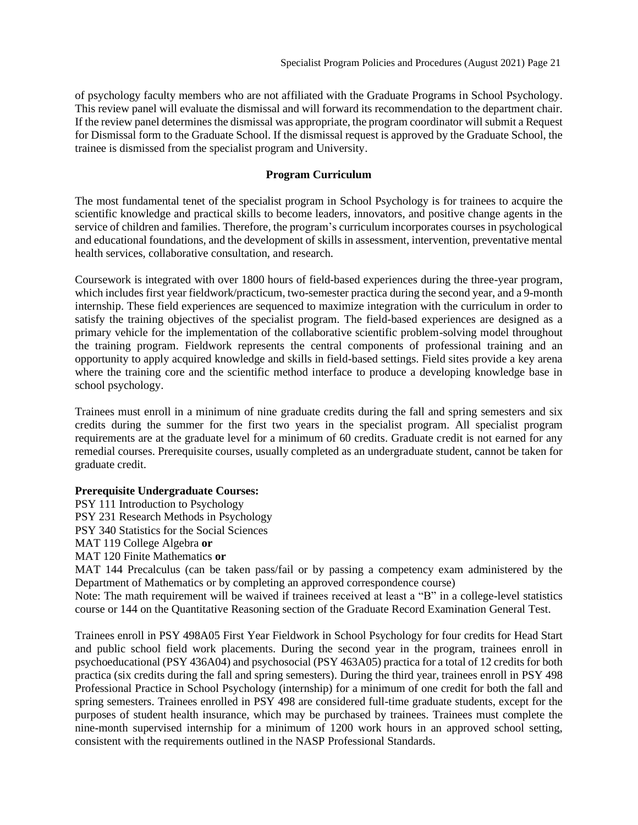of psychology faculty members who are not affiliated with the Graduate Programs in School Psychology. This review panel will evaluate the dismissal and will forward its recommendation to the department chair. If the review panel determines the dismissal was appropriate, the program coordinator will submit a Request for Dismissal form to the Graduate School. If the dismissal request is approved by the Graduate School, the trainee is dismissed from the specialist program and University.

## **Program Curriculum**

<span id="page-20-0"></span>The most fundamental tenet of the specialist program in School Psychology is for trainees to acquire the scientific knowledge and practical skills to become leaders, innovators, and positive change agents in the service of children and families. Therefore, the program's curriculum incorporates courses in psychological and educational foundations, and the development of skills in assessment, intervention, preventative mental health services, collaborative consultation, and research.

Coursework is integrated with over 1800 hours of field-based experiences during the three-year program, which includes first year fieldwork/practicum, two-semester practica during the second year, and a 9-month internship. These field experiences are sequenced to maximize integration with the curriculum in order to satisfy the training objectives of the specialist program. The field-based experiences are designed as a primary vehicle for the implementation of the collaborative scientific problem-solving model throughout the training program. Fieldwork represents the central components of professional training and an opportunity to apply acquired knowledge and skills in field-based settings. Field sites provide a key arena where the training core and the scientific method interface to produce a developing knowledge base in school psychology.

Trainees must enroll in a minimum of nine graduate credits during the fall and spring semesters and six credits during the summer for the first two years in the specialist program. All specialist program requirements are at the graduate level for a minimum of 60 credits. Graduate credit is not earned for any remedial courses. Prerequisite courses, usually completed as an undergraduate student, cannot be taken for graduate credit.

## **Prerequisite Undergraduate Courses:**

PSY 111 Introduction to Psychology

PSY 231 Research Methods in Psychology

PSY 340 Statistics for the Social Sciences

MAT 119 College Algebra **or**

MAT 120 Finite Mathematics **or**

MAT 144 Precalculus (can be taken pass/fail or by passing a competency exam administered by the Department of Mathematics or by completing an approved correspondence course)

Note: The math requirement will be waived if trainees received at least a "B" in a college-level statistics course or 144 on the Quantitative Reasoning section of the Graduate Record Examination General Test.

Trainees enroll in PSY 498A05 First Year Fieldwork in School Psychology for four credits for Head Start and public school field work placements. During the second year in the program, trainees enroll in psychoeducational (PSY 436A04) and psychosocial (PSY 463A05) practica for a total of 12 credits for both practica (six credits during the fall and spring semesters). During the third year, trainees enroll in PSY 498 Professional Practice in School Psychology (internship) for a minimum of one credit for both the fall and spring semesters. Trainees enrolled in PSY 498 are considered full-time graduate students, except for the purposes of student health insurance, which may be purchased by trainees. Trainees must complete the nine-month supervised internship for a minimum of 1200 work hours in an approved school setting, consistent with the requirements outlined in the NASP Professional Standards.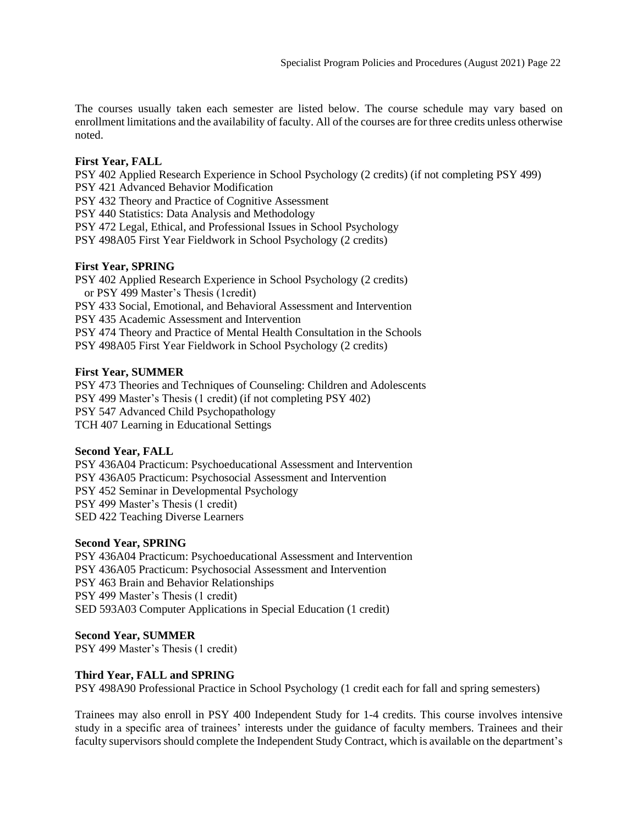The courses usually taken each semester are listed below. The course schedule may vary based on enrollment limitations and the availability of faculty. All of the courses are for three credits unless otherwise noted.

## **First Year, FALL**

PSY 402 Applied Research Experience in School Psychology (2 credits) (if not completing PSY 499) PSY 421 Advanced Behavior Modification

PSY 432 Theory and Practice of Cognitive Assessment

PSY 440 Statistics: Data Analysis and Methodology

PSY 472 Legal, Ethical, and Professional Issues in School Psychology

PSY 498A05 First Year Fieldwork in School Psychology (2 credits)

## **First Year, SPRING**

PSY 402 Applied Research Experience in School Psychology (2 credits) or PSY 499 Master's Thesis (1credit) PSY 433 Social, Emotional, and Behavioral Assessment and Intervention PSY 435 Academic Assessment and Intervention PSY 474 Theory and Practice of Mental Health Consultation in the Schools PSY 498A05 First Year Fieldwork in School Psychology (2 credits)

## **First Year, SUMMER**

PSY 473 Theories and Techniques of Counseling: Children and Adolescents PSY 499 Master's Thesis (1 credit) (if not completing PSY 402) PSY 547 Advanced Child Psychopathology TCH 407 Learning in Educational Settings

## **Second Year, FALL**

PSY 436A04 Practicum: Psychoeducational Assessment and Intervention PSY 436A05 Practicum: Psychosocial Assessment and Intervention PSY 452 Seminar in Developmental Psychology PSY 499 Master's Thesis (1 credit) SED 422 Teaching Diverse Learners

## **Second Year, SPRING**

PSY 436A04 Practicum: Psychoeducational Assessment and Intervention PSY 436A05 Practicum: Psychosocial Assessment and Intervention PSY 463 Brain and Behavior Relationships PSY 499 Master's Thesis (1 credit) SED 593A03 Computer Applications in Special Education (1 credit)

**Second Year, SUMMER** PSY 499 Master's Thesis (1 credit)

## **Third Year, FALL and SPRING**

PSY 498A90 Professional Practice in School Psychology (1 credit each for fall and spring semesters)

Trainees may also enroll in PSY 400 Independent Study for 1-4 credits. This course involves intensive study in a specific area of trainees' interests under the guidance of faculty members. Trainees and their faculty supervisors should complete the Independent Study Contract, which is available on the department's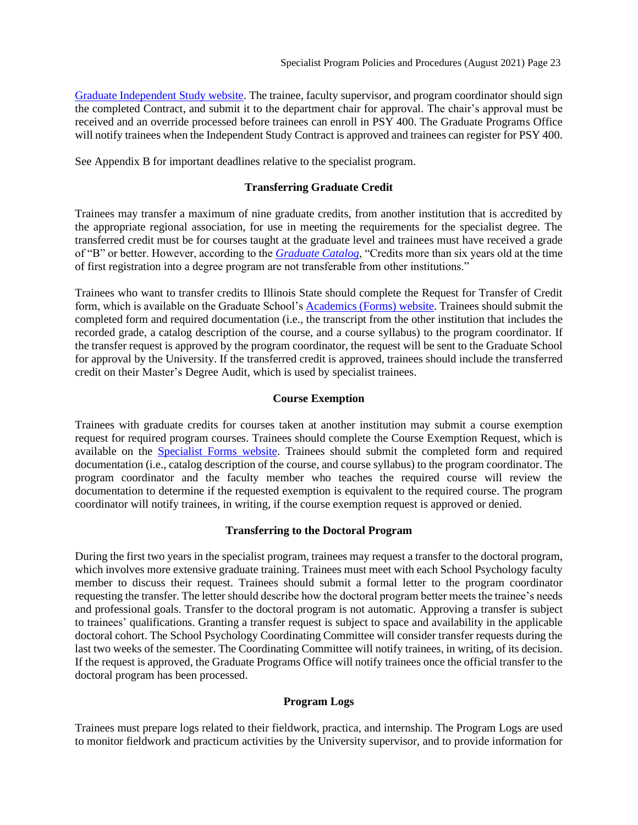[Graduate Independent Study](https://psychology.illinoisstate.edu/graduate/advising-resources/graduate-independent-study/) website. The trainee, faculty supervisor, and program coordinator should sign the completed Contract, and submit it to the department chair for approval. The chair's approval must be received and an override processed before trainees can enroll in PSY 400. The Graduate Programs Office will notify trainees when the Independent Study Contract is approved and trainees can register for PSY 400.

<span id="page-22-0"></span>See Appendix B for important deadlines relative to the specialist program.

## **Transferring Graduate Credit**

Trainees may transfer a maximum of nine graduate credits, from another institution that is accredited by the appropriate regional association, for use in meeting the requirements for the specialist degree. The transferred credit must be for courses taught at the graduate level and trainees must have received a grade of "B" or better. However, according to the *[Graduate Catalog](https://illinoisstate.edu/catalog/graduate/specialist-school-psychology/)*, "Credits more than six years old at the time of first registration into a degree program are not transferable from other institutions."

Trainees who want to transfer credits to Illinois State should complete the Request for Transfer of Credit form, which is available on the Graduate School'[s Academics \(Forms\)](https://grad.illinoisstate.edu/students/forms/) website. Trainees should submit the completed form and required documentation (i.e., the transcript from the other institution that includes the recorded grade, a catalog description of the course, and a course syllabus) to the program coordinator. If the transfer request is approved by the program coordinator, the request will be sent to the Graduate School for approval by the University. If the transferred credit is approved, trainees should include the transferred credit on their Master's Degree Audit, which is used by specialist trainees.

## **Course Exemption**

<span id="page-22-1"></span>Trainees with graduate credits for courses taken at another institution may submit a course exemption request for required program courses. Trainees should complete the Course Exemption Request, which is available on the [Specialist Forms website.](https://psychology.illinoisstate.edu/graduate/school-psychology/specialist-in-school-psychology/forms-and-agreements/) Trainees should submit the completed form and required documentation (i.e., catalog description of the course, and course syllabus) to the program coordinator. The program coordinator and the faculty member who teaches the required course will review the documentation to determine if the requested exemption is equivalent to the required course. The program coordinator will notify trainees, in writing, if the course exemption request is approved or denied.

## **Transferring to the Doctoral Program**

<span id="page-22-2"></span>During the first two years in the specialist program, trainees may request a transfer to the doctoral program, which involves more extensive graduate training. Trainees must meet with each School Psychology faculty member to discuss their request. Trainees should submit a formal letter to the program coordinator requesting the transfer. The letter should describe how the doctoral program better meets the trainee's needs and professional goals. Transfer to the doctoral program is not automatic. Approving a transfer is subject to trainees' qualifications. Granting a transfer request is subject to space and availability in the applicable doctoral cohort. The School Psychology Coordinating Committee will consider transfer requests during the last two weeks of the semester. The Coordinating Committee will notify trainees, in writing, of its decision. If the request is approved, the Graduate Programs Office will notify trainees once the official transfer to the doctoral program has been processed.

## **Program Logs**

<span id="page-22-3"></span>Trainees must prepare logs related to their fieldwork, practica, and internship. The Program Logs are used to monitor fieldwork and practicum activities by the University supervisor, and to provide information for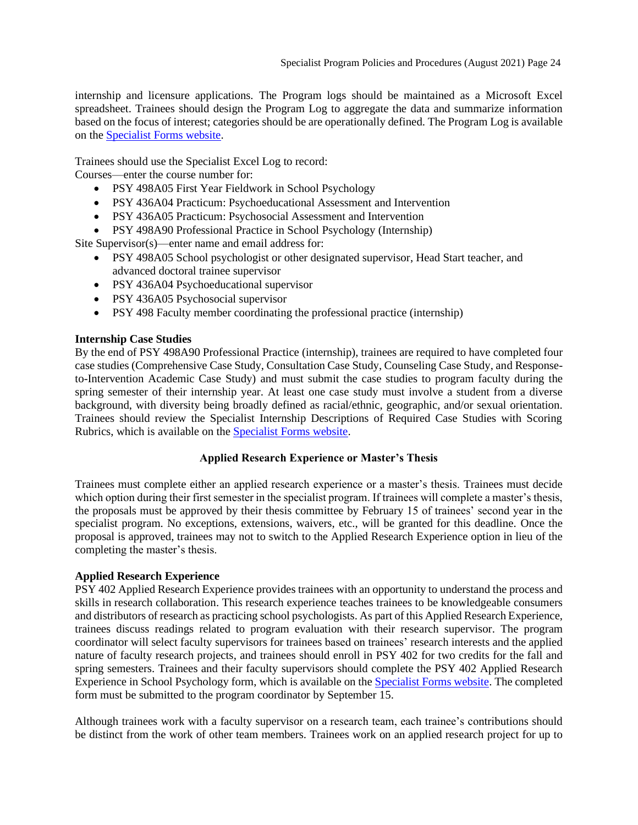internship and licensure applications. The Program logs should be maintained as a Microsoft Excel spreadsheet. Trainees should design the Program Log to aggregate the data and summarize information based on the focus of interest; categories should be are operationally defined. The Program Log is available on the [Specialist Forms website.](https://psychology.illinoisstate.edu/graduate/school-psychology/specialist-in-school-psychology/forms-and-agreements/)

Trainees should use the Specialist Excel Log to record:

Courses—enter the course number for:

- PSY 498A05 First Year Fieldwork in School Psychology
- PSY 436A04 Practicum: Psychoeducational Assessment and Intervention
- PSY 436A05 Practicum: Psychosocial Assessment and Intervention
- PSY 498A90 Professional Practice in School Psychology (Internship)

Site Supervisor(s)—enter name and email address for:

- PSY 498A05 School psychologist or other designated supervisor, Head Start teacher, and advanced doctoral trainee supervisor
- PSY 436A04 Psychoeducational supervisor
- PSY 436A05 Psychosocial supervisor
- PSY 498 Faculty member coordinating the professional practice (internship)

## **Internship Case Studies**

By the end of PSY 498A90 Professional Practice (internship), trainees are required to have completed four case studies (Comprehensive Case Study, Consultation Case Study, Counseling Case Study, and Responseto-Intervention Academic Case Study) and must submit the case studies to program faculty during the spring semester of their internship year. At least one case study must involve a student from a diverse background, with diversity being broadly defined as racial/ethnic, geographic, and/or sexual orientation. Trainees should review the Specialist Internship Descriptions of Required Case Studies with Scoring Rubrics, which is available on the [Specialist Forms website.](https://psychology.illinoisstate.edu/graduate/school-psychology/specialist-in-school-psychology/forms-and-agreements/)

## **Applied Research Experience or Master's Thesis**

<span id="page-23-0"></span>Trainees must complete either an applied research experience or a master's thesis. Trainees must decide which option during their first semester in the specialist program. If trainees will complete a master's thesis, the proposals must be approved by their thesis committee by February 15 of trainees' second year in the specialist program. No exceptions, extensions, waivers, etc., will be granted for this deadline. Once the proposal is approved, trainees may not to switch to the Applied Research Experience option in lieu of the completing the master's thesis.

## **Applied Research Experience**

PSY 402 Applied Research Experience provides trainees with an opportunity to understand the process and skills in research collaboration. This research experience teaches trainees to be knowledgeable consumers and distributors of research as practicing school psychologists. As part of this Applied Research Experience, trainees discuss readings related to program evaluation with their research supervisor. The program coordinator will select faculty supervisors for trainees based on trainees' research interests and the applied nature of faculty research projects, and trainees should enroll in PSY 402 for two credits for the fall and spring semesters. Trainees and their faculty supervisors should complete the PSY 402 Applied Research Experience in School Psychology form, which is available on the [Specialist Forms website.](https://psychology.illinoisstate.edu/graduate/school-psychology/specialist-in-school-psychology/forms-and-agreements/) The completed form must be submitted to the program coordinator by September 15.

Although trainees work with a faculty supervisor on a research team, each trainee's contributions should be distinct from the work of other team members. Trainees work on an applied research project for up to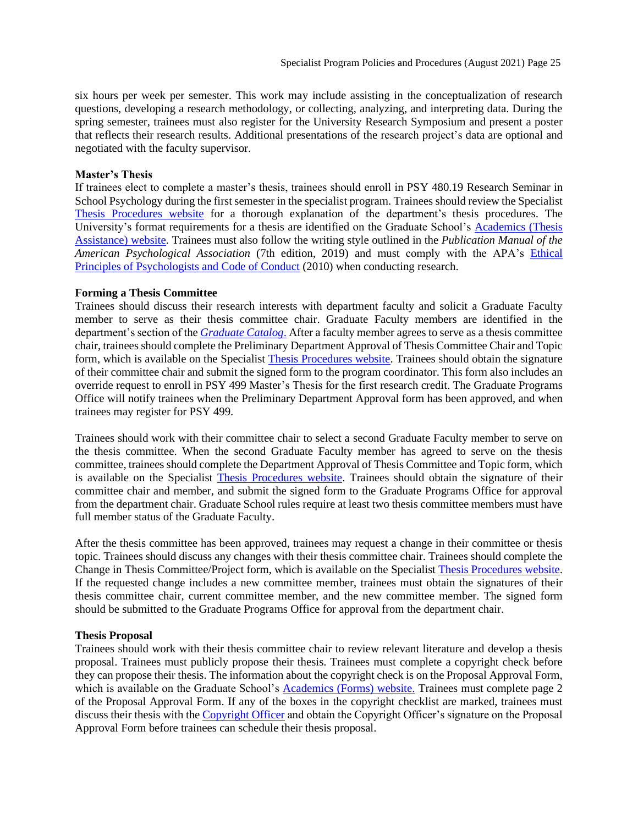six hours per week per semester. This work may include assisting in the conceptualization of research questions, developing a research methodology, or collecting, analyzing, and interpreting data. During the spring semester, trainees must also register for the University Research Symposium and present a poster that reflects their research results. Additional presentations of the research project's data are optional and negotiated with the faculty supervisor.

## **Master's Thesis**

If trainees elect to complete a master's thesis, trainees should enroll in PSY 480.19 Research Seminar in School Psychology during the first semester in the specialist program. Trainees should review the Specialist [Thesis Procedures website](https://psychology.illinoisstate.edu/graduate/school-psychology/specialist-in-school-psychology/thesis/) for a thorough explanation of the department's thesis procedures. The University's format requirements for a thesis are identified on the Graduate School's [Academics \(Thesis](https://grad.illinoisstate.edu/students/thesis-dissertation/)  [Assistance\)](https://grad.illinoisstate.edu/students/thesis-dissertation/) website. Trainees must also follow the writing style outlined in the *Publication Manual of the American Psychological Association* (7th edition, 2019) and must comply with the APA's [Ethical](https://www.apa.org/ethics/code)  [Principles of Psychologists and Code of Conduct](https://www.apa.org/ethics/code) (2010) when conducting research.

## **Forming a Thesis Committee**

Trainees should discuss their research interests with department faculty and solicit a Graduate Faculty member to serve as their thesis committee chair. Graduate Faculty members are identified in the department's section of the *[Graduate Catalog](https://illinoisstate.edu/catalog/graduate/)*. After a faculty member agrees to serve as a thesis committee chair, trainees should complete the Preliminary Department Approval of Thesis Committee Chair and Topic form, which is available on the Specialist [Thesis Procedures website.](https://psychology.illinoisstate.edu/graduate/school-psychology/specialist-in-school-psychology/thesis/) Trainees should obtain the signature of their committee chair and submit the signed form to the program coordinator. This form also includes an override request to enroll in PSY 499 Master's Thesis for the first research credit. The Graduate Programs Office will notify trainees when the Preliminary Department Approval form has been approved, and when trainees may register for PSY 499.

Trainees should work with their committee chair to select a second Graduate Faculty member to serve on the thesis committee. When the second Graduate Faculty member has agreed to serve on the thesis committee, trainees should complete the Department Approval of Thesis Committee and Topic form, which is available on the Specialist [Thesis Procedures website.](https://psychology.illinoisstate.edu/graduate/school-psychology/specialist-in-school-psychology/thesis/) Trainees should obtain the signature of their committee chair and member, and submit the signed form to the Graduate Programs Office for approval from the department chair. Graduate School rules require at least two thesis committee members must have full member status of the Graduate Faculty.

After the thesis committee has been approved, trainees may request a change in their committee or thesis topic. Trainees should discuss any changes with their thesis committee chair. Trainees should complete the Change in Thesis Committee/Project form, which is available on the Specialist [Thesis Procedures website.](https://psychology.illinoisstate.edu/graduate/school-psychology/specialist-in-school-psychology/thesis/) If the requested change includes a new committee member, trainees must obtain the signatures of their thesis committee chair, current committee member, and the new committee member. The signed form should be submitted to the Graduate Programs Office for approval from the department chair.

## **Thesis Proposal**

Trainees should work with their thesis committee chair to review relevant literature and develop a thesis proposal. Trainees must publicly propose their thesis. Trainees must complete a copyright check before they can propose their thesis. The information about the copyright check is on the Proposal Approval Form, which is available on the Graduate School's **Academics** (Forms) website. Trainees must complete page 2 of the Proposal Approval Form. If any of the boxes in the copyright checklist are marked, trainees must discuss their thesis with the [Copyright Officer](https://grad.illinoisstate.edu/contact/) and obtain the Copyright Officer's signature on the Proposal Approval Form before trainees can schedule their thesis proposal.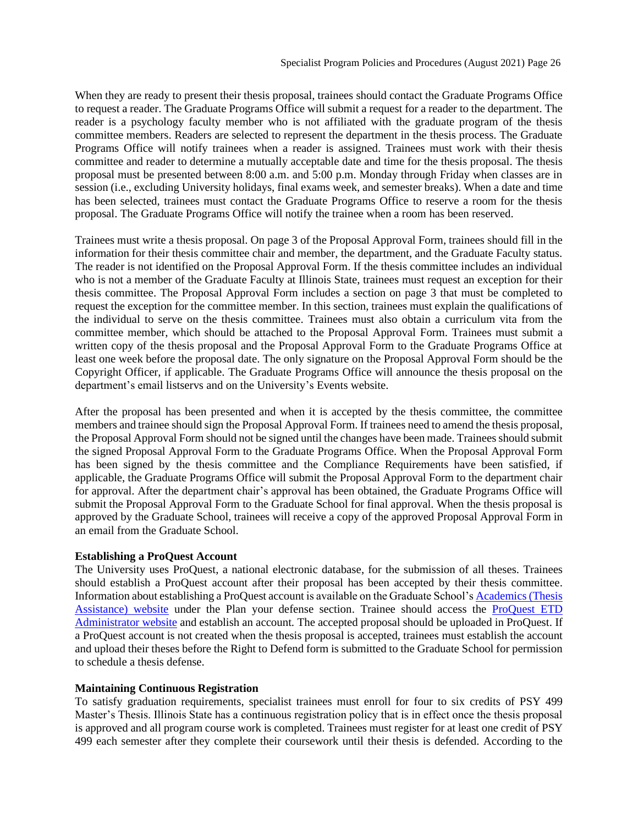When they are ready to present their thesis proposal, trainees should contact the Graduate Programs Office to request a reader. The Graduate Programs Office will submit a request for a reader to the department. The reader is a psychology faculty member who is not affiliated with the graduate program of the thesis committee members. Readers are selected to represent the department in the thesis process. The Graduate Programs Office will notify trainees when a reader is assigned. Trainees must work with their thesis committee and reader to determine a mutually acceptable date and time for the thesis proposal. The thesis proposal must be presented between 8:00 a.m. and 5:00 p.m. Monday through Friday when classes are in session (i.e., excluding University holidays, final exams week, and semester breaks). When a date and time has been selected, trainees must contact the Graduate Programs Office to reserve a room for the thesis proposal. The Graduate Programs Office will notify the trainee when a room has been reserved.

Trainees must write a thesis proposal. On page 3 of the Proposal Approval Form, trainees should fill in the information for their thesis committee chair and member, the department, and the Graduate Faculty status. The reader is not identified on the Proposal Approval Form. If the thesis committee includes an individual who is not a member of the Graduate Faculty at Illinois State, trainees must request an exception for their thesis committee. The Proposal Approval Form includes a section on page 3 that must be completed to request the exception for the committee member. In this section, trainees must explain the qualifications of the individual to serve on the thesis committee. Trainees must also obtain a curriculum vita from the committee member, which should be attached to the Proposal Approval Form. Trainees must submit a written copy of the thesis proposal and the Proposal Approval Form to the Graduate Programs Office at least one week before the proposal date. The only signature on the Proposal Approval Form should be the Copyright Officer, if applicable. The Graduate Programs Office will announce the thesis proposal on the department's email listservs and on the University's Events website.

After the proposal has been presented and when it is accepted by the thesis committee, the committee members and trainee should sign the Proposal Approval Form. If trainees need to amend the thesis proposal, the Proposal Approval Form should not be signed until the changes have been made. Trainees should submit the signed Proposal Approval Form to the Graduate Programs Office. When the Proposal Approval Form has been signed by the thesis committee and the Compliance Requirements have been satisfied, if applicable, the Graduate Programs Office will submit the Proposal Approval Form to the department chair for approval. After the department chair's approval has been obtained, the Graduate Programs Office will submit the Proposal Approval Form to the Graduate School for final approval. When the thesis proposal is approved by the Graduate School, trainees will receive a copy of the approved Proposal Approval Form in an email from the Graduate School.

## **Establishing a ProQuest Account**

The University uses ProQuest, a national electronic database, for the submission of all theses. Trainees should establish a ProQuest account after their proposal has been accepted by their thesis committee. Information about establishing a ProQuest account is available on the Graduate School'[s Academics \(Thesis](https://grad.illinoisstate.edu/students/thesis-dissertation/)  [Assistance\) website](https://grad.illinoisstate.edu/students/thesis-dissertation/) under the Plan your defense section. Trainee should access the [ProQuest ETD](http://www.etdadmin.com/cgi-bin/school?siteId=493)  [Administrator website](http://www.etdadmin.com/cgi-bin/school?siteId=493) and establish an account. The accepted proposal should be uploaded in ProQuest. If a ProQuest account is not created when the thesis proposal is accepted, trainees must establish the account and upload their theses before the Right to Defend form is submitted to the Graduate School for permission to schedule a thesis defense.

## **Maintaining Continuous Registration**

To satisfy graduation requirements, specialist trainees must enroll for four to six credits of PSY 499 Master's Thesis. Illinois State has a continuous registration policy that is in effect once the thesis proposal is approved and all program course work is completed. Trainees must register for at least one credit of PSY 499 each semester after they complete their coursework until their thesis is defended. According to the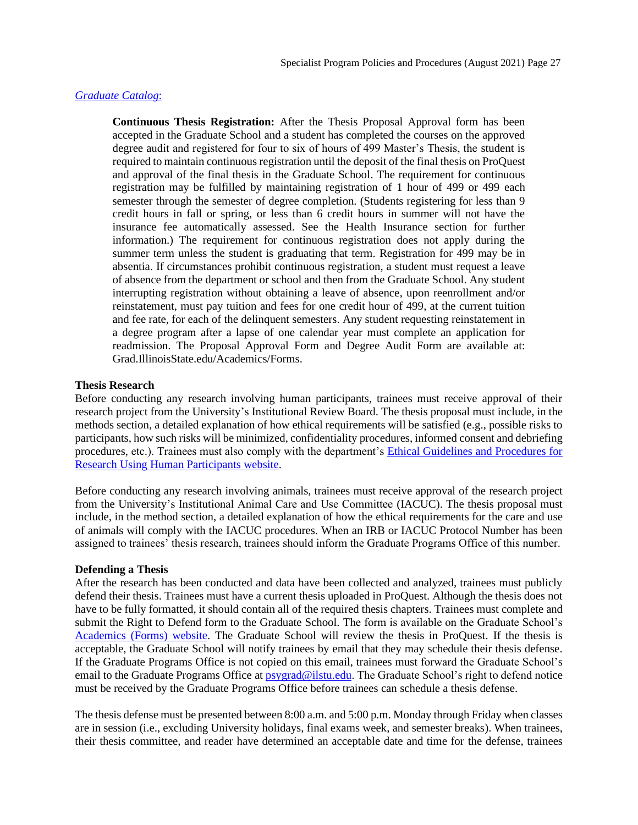## *[Graduate Catalog](https://illinoisstate.edu/catalog/graduate/)*:

**Continuous Thesis Registration:** After the Thesis Proposal Approval form has been accepted in the Graduate School and a student has completed the courses on the approved degree audit and registered for four to six of hours of 499 Master's Thesis, the student is required to maintain continuous registration until the deposit of the final thesis on ProQuest and approval of the final thesis in the Graduate School. The requirement for continuous registration may be fulfilled by maintaining registration of 1 hour of 499 or 499 each semester through the semester of degree completion. (Students registering for less than 9 credit hours in fall or spring, or less than 6 credit hours in summer will not have the insurance fee automatically assessed. See the Health Insurance section for further information.) The requirement for continuous registration does not apply during the summer term unless the student is graduating that term. Registration for 499 may be in absentia. If circumstances prohibit continuous registration, a student must request a leave of absence from the department or school and then from the Graduate School. Any student interrupting registration without obtaining a leave of absence, upon reenrollment and/or reinstatement, must pay tuition and fees for one credit hour of 499, at the current tuition and fee rate, for each of the delinquent semesters. Any student requesting reinstatement in a degree program after a lapse of one calendar year must complete an application for readmission. The Proposal Approval Form and Degree Audit Form are available at: Grad.IllinoisState.edu/Academics/Forms.

## **Thesis Research**

Before conducting any research involving human participants, trainees must receive approval of their research project from the University's Institutional Review Board. The thesis proposal must include, in the methods section, a detailed explanation of how ethical requirements will be satisfied (e.g., possible risks to participants, how such risks will be minimized, confidentiality procedures, informed consent and debriefing procedures, etc.). Trainees must also comply with the department's [Ethical Guidelines and Procedures for](https://research.illinoisstate.edu/ethics/training/)  [Research Using Human Participants website.](https://research.illinoisstate.edu/ethics/training/)

Before conducting any research involving animals, trainees must receive approval of the research project from the University's Institutional Animal Care and Use Committee (IACUC). The thesis proposal must include, in the method section, a detailed explanation of how the ethical requirements for the care and use of animals will comply with the IACUC procedures. When an IRB or IACUC Protocol Number has been assigned to trainees' thesis research, trainees should inform the Graduate Programs Office of this number.

## **Defending a Thesis**

After the research has been conducted and data have been collected and analyzed, trainees must publicly defend their thesis. Trainees must have a current thesis uploaded in ProQuest. Although the thesis does not have to be fully formatted, it should contain all of the required thesis chapters. Trainees must complete and submit the Right to Defend form to the Graduate School. The form is available on the Graduate School's [Academics \(Forms\) website.](https://grad.illinoisstate.edu/students/forms/) The Graduate School will review the thesis in ProQuest. If the thesis is acceptable, the Graduate School will notify trainees by email that they may schedule their thesis defense. If the Graduate Programs Office is not copied on this email, trainees must forward the Graduate School's email to the Graduate Programs Office at **psygrad@ilstu.edu**. The Graduate School's right to defend notice must be received by the Graduate Programs Office before trainees can schedule a thesis defense.

The thesis defense must be presented between 8:00 a.m. and 5:00 p.m. Monday through Friday when classes are in session (i.e., excluding University holidays, final exams week, and semester breaks). When trainees, their thesis committee, and reader have determined an acceptable date and time for the defense, trainees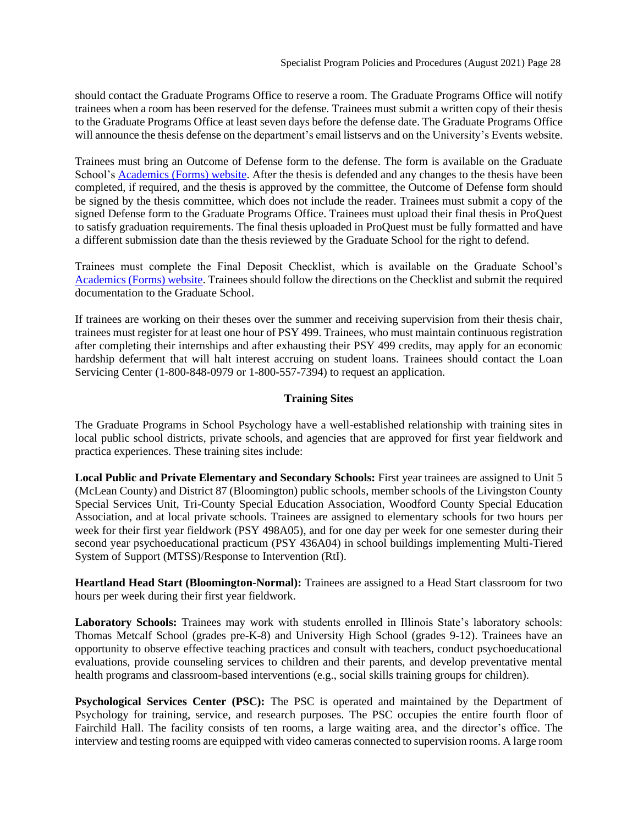should contact the Graduate Programs Office to reserve a room. The Graduate Programs Office will notify trainees when a room has been reserved for the defense. Trainees must submit a written copy of their thesis to the Graduate Programs Office at least seven days before the defense date. The Graduate Programs Office will announce the thesis defense on the department's email listservs and on the University's Events website.

Trainees must bring an Outcome of Defense form to the defense. The form is available on the Graduate School's [Academics \(Forms\) website.](https://grad.illinoisstate.edu/students/forms/) After the thesis is defended and any changes to the thesis have been completed, if required, and the thesis is approved by the committee, the Outcome of Defense form should be signed by the thesis committee, which does not include the reader. Trainees must submit a copy of the signed Defense form to the Graduate Programs Office. Trainees must upload their final thesis in ProQuest to satisfy graduation requirements. The final thesis uploaded in ProQuest must be fully formatted and have a different submission date than the thesis reviewed by the Graduate School for the right to defend.

Trainees must complete the Final Deposit Checklist, which is available on the Graduate School's [Academics \(Forms\) website.](https://grad.illinoisstate.edu/students/forms/) Trainees should follow the directions on the Checklist and submit the required documentation to the Graduate School.

If trainees are working on their theses over the summer and receiving supervision from their thesis chair, trainees must register for at least one hour of PSY 499. Trainees, who must maintain continuous registration after completing their internships and after exhausting their PSY 499 credits, may apply for an economic hardship deferment that will halt interest accruing on student loans. Trainees should contact the Loan Servicing Center (1-800-848-0979 or 1-800-557-7394) to request an application.

## **Training Sites**

<span id="page-27-0"></span>The Graduate Programs in School Psychology have a well-established relationship with training sites in local public school districts, private schools, and agencies that are approved for first year fieldwork and practica experiences. These training sites include:

**Local Public and Private Elementary and Secondary Schools:** First year trainees are assigned to Unit 5 (McLean County) and District 87 (Bloomington) public schools, member schools of the Livingston County Special Services Unit, Tri-County Special Education Association, Woodford County Special Education Association, and at local private schools. Trainees are assigned to elementary schools for two hours per week for their first year fieldwork (PSY 498A05), and for one day per week for one semester during their second year psychoeducational practicum (PSY 436A04) in school buildings implementing Multi-Tiered System of Support (MTSS)/Response to Intervention (RtI).

**Heartland Head Start (Bloomington-Normal):** Trainees are assigned to a Head Start classroom for two hours per week during their first year fieldwork.

**Laboratory Schools:** Trainees may work with students enrolled in Illinois State's laboratory schools: Thomas Metcalf School (grades pre-K-8) and University High School (grades 9-12). Trainees have an opportunity to observe effective teaching practices and consult with teachers, conduct psychoeducational evaluations, provide counseling services to children and their parents, and develop preventative mental health programs and classroom-based interventions (e.g., social skills training groups for children).

**Psychological Services Center (PSC):** The PSC is operated and maintained by the Department of Psychology for training, service, and research purposes. The PSC occupies the entire fourth floor of Fairchild Hall. The facility consists of ten rooms, a large waiting area, and the director's office. The interview and testing rooms are equipped with video cameras connected to supervision rooms. A large room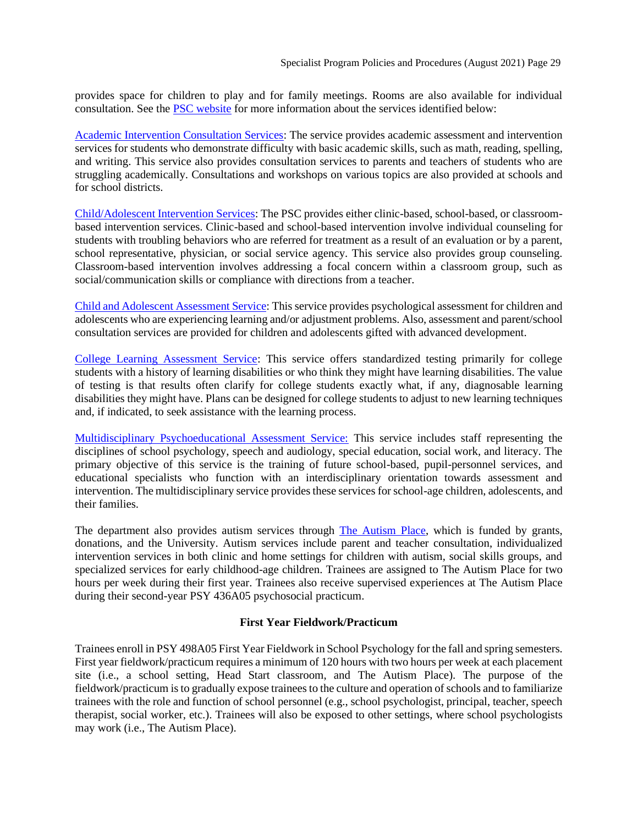provides space for children to play and for family meetings. Rooms are also available for individual consultation. See the [PSC website](https://psychology.illinoisstate.edu/centers/psc/) for more information about the services identified below:

[Academic Intervention Consultation Services:](https://psychology.illinoisstate.edu/centers/psc/academicIntervention/) The service provides academic assessment and intervention services for students who demonstrate difficulty with basic academic skills, such as math, reading, spelling, and writing. This service also provides consultation services to parents and teachers of students who are struggling academically. Consultations and workshops on various topics are also provided at schools and for school districts.

[Child/Adolescent Intervention Services:](https://psychology.illinoisstate.edu/centers/psc/childAdolIntervention/) The PSC provides either clinic-based, school-based, or classroombased intervention services. Clinic-based and school-based intervention involve individual counseling for students with troubling behaviors who are referred for treatment as a result of an evaluation or by a parent, school representative, physician, or social service agency. This service also provides group counseling. Classroom-based intervention involves addressing a focal concern within a classroom group, such as social/communication skills or compliance with directions from a teacher.

[Child and Adolescent Assessment Service:](https://psychology.illinoisstate.edu/centers/psc/childAdolAssessment/) This service provides psychological assessment for children and adolescents who are experiencing learning and/or adjustment problems. Also, assessment and parent/school consultation services are provided for children and adolescents gifted with advanced development.

[College Learning Assessment Service:](https://psychology.illinoisstate.edu/centers/psc/collegeLearning/) This service offers standardized testing primarily for college students with a history of learning disabilities or who think they might have learning disabilities. The value of testing is that results often clarify for college students exactly what, if any, diagnosable learning disabilities they might have. Plans can be designed for college students to adjust to new learning techniques and, if indicated, to seek assistance with the learning process.

[Multidisciplinary Psychoeducational Assessment Service:](https://psychology.illinoisstate.edu/centers/psc/multidisPsychAssessment/) This service includes staff representing the disciplines of school psychology, speech and audiology, special education, social work, and literacy. The primary objective of this service is the training of future school-based, pupil-personnel services, and educational specialists who function with an interdisciplinary orientation towards assessment and intervention. The multidisciplinary service provides these services for school-age children, adolescents, and their families.

The department also provides autism services through [The Autism Place,](https://psychology.illinoisstate.edu/centers/psc/autism/) which is funded by grants, donations, and the University. Autism services include parent and teacher consultation, individualized intervention services in both clinic and home settings for children with autism, social skills groups, and specialized services for early childhood-age children. Trainees are assigned to The Autism Place for two hours per week during their first year. Trainees also receive supervised experiences at The Autism Place during their second-year PSY 436A05 psychosocial practicum.

## <span id="page-28-0"></span>**First Year Fieldwork/Practicum**

Trainees enroll in PSY 498A05 First Year Fieldwork in School Psychology for the fall and spring semesters. First year fieldwork/practicum requires a minimum of 120 hours with two hours per week at each placement site (i.e., a school setting, Head Start classroom, and The Autism Place). The purpose of the fieldwork/practicum is to gradually expose trainees to the culture and operation of schools and to familiarize trainees with the role and function of school personnel (e.g., school psychologist, principal, teacher, speech therapist, social worker, etc.). Trainees will also be exposed to other settings, where school psychologists may work (i.e., The Autism Place).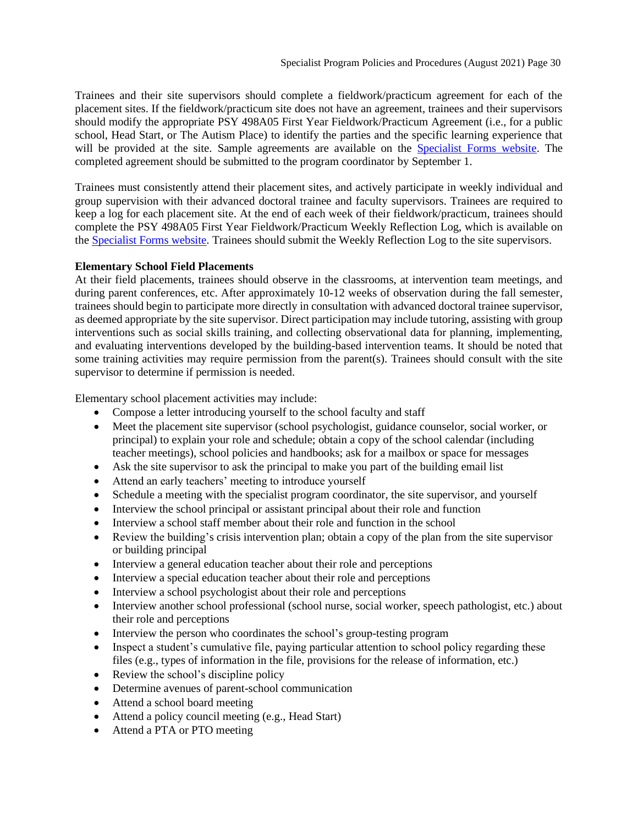Trainees and their site supervisors should complete a fieldwork/practicum agreement for each of the placement sites. If the fieldwork/practicum site does not have an agreement, trainees and their supervisors should modify the appropriate PSY 498A05 First Year Fieldwork/Practicum Agreement (i.e., for a public school, Head Start, or The Autism Place) to identify the parties and the specific learning experience that will be provided at the site. Sample agreements are available on the [Specialist Forms website.](https://psychology.illinoisstate.edu/graduate/school-psychology/specialist-in-school-psychology/forms-and-agreements/) The completed agreement should be submitted to the program coordinator by September 1.

Trainees must consistently attend their placement sites, and actively participate in weekly individual and group supervision with their advanced doctoral trainee and faculty supervisors. Trainees are required to keep a log for each placement site. At the end of each week of their fieldwork/practicum, trainees should complete the PSY 498A05 First Year Fieldwork/Practicum Weekly Reflection Log, which is available on the [Specialist Forms website.](https://psychology.illinoisstate.edu/graduate/school-psychology/specialist-in-school-psychology/forms-and-agreements/) Trainees should submit the Weekly Reflection Log to the site supervisors.

## **Elementary School Field Placements**

At their field placements, trainees should observe in the classrooms, at intervention team meetings, and during parent conferences, etc. After approximately 10-12 weeks of observation during the fall semester, trainees should begin to participate more directly in consultation with advanced doctoral trainee supervisor, as deemed appropriate by the site supervisor. Direct participation may include tutoring, assisting with group interventions such as social skills training, and collecting observational data for planning, implementing, and evaluating interventions developed by the building-based intervention teams. It should be noted that some training activities may require permission from the parent(s). Trainees should consult with the site supervisor to determine if permission is needed.

Elementary school placement activities may include:

- Compose a letter introducing yourself to the school faculty and staff
- Meet the placement site supervisor (school psychologist, guidance counselor, social worker, or principal) to explain your role and schedule; obtain a copy of the school calendar (including teacher meetings), school policies and handbooks; ask for a mailbox or space for messages
- Ask the site supervisor to ask the principal to make you part of the building email list
- Attend an early teachers' meeting to introduce yourself
- Schedule a meeting with the specialist program coordinator, the site supervisor, and yourself
- Interview the school principal or assistant principal about their role and function
- Interview a school staff member about their role and function in the school
- Review the building's crisis intervention plan; obtain a copy of the plan from the site supervisor or building principal
- Interview a general education teacher about their role and perceptions
- Interview a special education teacher about their role and perceptions
- Interview a school psychologist about their role and perceptions
- Interview another school professional (school nurse, social worker, speech pathologist, etc.) about their role and perceptions
- Interview the person who coordinates the school's group-testing program
- Inspect a student's cumulative file, paying particular attention to school policy regarding these files (e.g., types of information in the file, provisions for the release of information, etc.)
- Review the school's discipline policy
- Determine avenues of parent-school communication
- Attend a school board meeting
- Attend a policy council meeting (e.g., Head Start)
- Attend a PTA or PTO meeting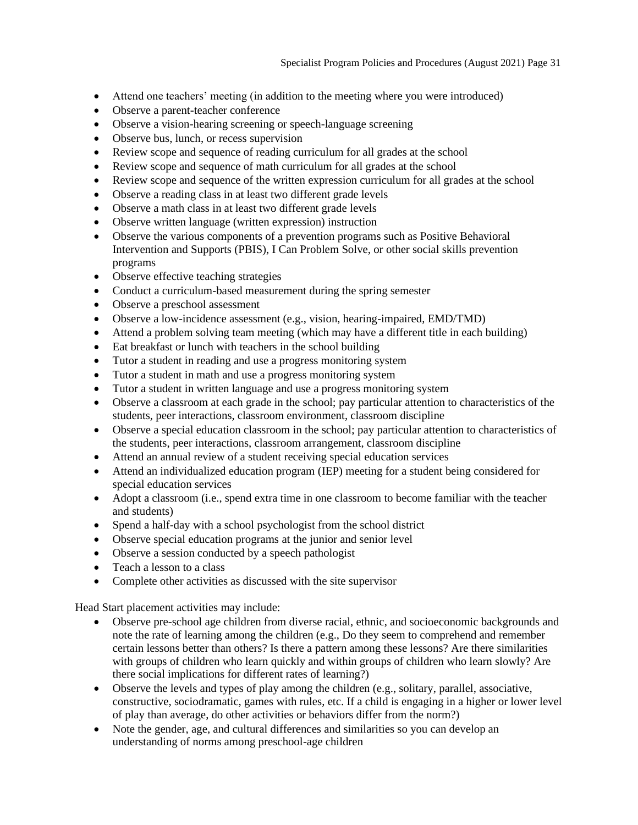- Attend one teachers' meeting (in addition to the meeting where you were introduced)
- Observe a parent-teacher conference
- Observe a vision-hearing screening or speech-language screening
- Observe bus, lunch, or recess supervision
- Review scope and sequence of reading curriculum for all grades at the school
- Review scope and sequence of math curriculum for all grades at the school
- Review scope and sequence of the written expression curriculum for all grades at the school
- Observe a reading class in at least two different grade levels
- Observe a math class in at least two different grade levels
- Observe written language (written expression) instruction
- Observe the various components of a prevention programs such as Positive Behavioral Intervention and Supports (PBIS), I Can Problem Solve, or other social skills prevention programs
- Observe effective teaching strategies
- Conduct a curriculum-based measurement during the spring semester
- Observe a preschool assessment
- Observe a low-incidence assessment (e.g., vision, hearing-impaired, EMD/TMD)
- Attend a problem solving team meeting (which may have a different title in each building)
- Eat breakfast or lunch with teachers in the school building
- Tutor a student in reading and use a progress monitoring system
- Tutor a student in math and use a progress monitoring system
- Tutor a student in written language and use a progress monitoring system
- Observe a classroom at each grade in the school; pay particular attention to characteristics of the students, peer interactions, classroom environment, classroom discipline
- Observe a special education classroom in the school; pay particular attention to characteristics of the students, peer interactions, classroom arrangement, classroom discipline
- Attend an annual review of a student receiving special education services
- Attend an individualized education program (IEP) meeting for a student being considered for special education services
- Adopt a classroom (i.e., spend extra time in one classroom to become familiar with the teacher and students)
- Spend a half-day with a school psychologist from the school district
- Observe special education programs at the junior and senior level
- Observe a session conducted by a speech pathologist
- Teach a lesson to a class
- Complete other activities as discussed with the site supervisor

Head Start placement activities may include:

- Observe pre-school age children from diverse racial, ethnic, and socioeconomic backgrounds and note the rate of learning among the children (e.g., Do they seem to comprehend and remember certain lessons better than others? Is there a pattern among these lessons? Are there similarities with groups of children who learn quickly and within groups of children who learn slowly? Are there social implications for different rates of learning?)
- Observe the levels and types of play among the children (e.g., solitary, parallel, associative, constructive, sociodramatic, games with rules, etc. If a child is engaging in a higher or lower level of play than average, do other activities or behaviors differ from the norm?)
- Note the gender, age, and cultural differences and similarities so you can develop an understanding of norms among preschool-age children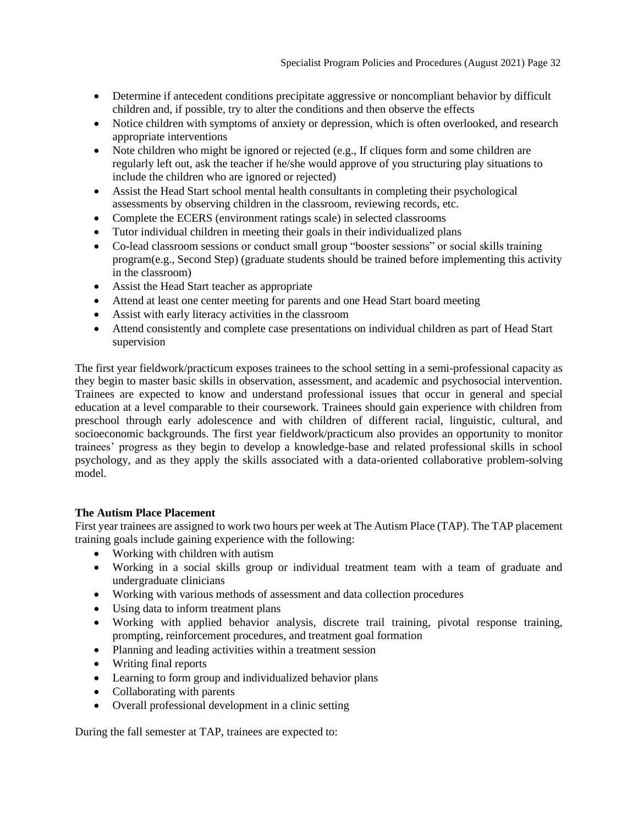- Determine if antecedent conditions precipitate aggressive or noncompliant behavior by difficult children and, if possible, try to alter the conditions and then observe the effects
- Notice children with symptoms of anxiety or depression, which is often overlooked, and research appropriate interventions
- Note children who might be ignored or rejected (e.g., If cliques form and some children are regularly left out, ask the teacher if he/she would approve of you structuring play situations to include the children who are ignored or rejected)
- Assist the Head Start school mental health consultants in completing their psychological assessments by observing children in the classroom, reviewing records, etc.
- Complete the ECERS (environment ratings scale) in selected classrooms
- Tutor individual children in meeting their goals in their individualized plans
- Co-lead classroom sessions or conduct small group "booster sessions" or social skills training program(e.g., Second Step) (graduate students should be trained before implementing this activity in the classroom)
- Assist the Head Start teacher as appropriate
- Attend at least one center meeting for parents and one Head Start board meeting
- Assist with early literacy activities in the classroom
- Attend consistently and complete case presentations on individual children as part of Head Start supervision

The first year fieldwork/practicum exposes trainees to the school setting in a semi-professional capacity as they begin to master basic skills in observation, assessment, and academic and psychosocial intervention. Trainees are expected to know and understand professional issues that occur in general and special education at a level comparable to their coursework. Trainees should gain experience with children from preschool through early adolescence and with children of different racial, linguistic, cultural, and socioeconomic backgrounds. The first year fieldwork/practicum also provides an opportunity to monitor trainees' progress as they begin to develop a knowledge-base and related professional skills in school psychology, and as they apply the skills associated with a data-oriented collaborative problem-solving model.

## **The Autism Place Placement**

First year trainees are assigned to work two hours per week at The Autism Place (TAP). The TAP placement training goals include gaining experience with the following:

- Working with children with autism
- Working in a social skills group or individual treatment team with a team of graduate and undergraduate clinicians
- Working with various methods of assessment and data collection procedures
- Using data to inform treatment plans
- Working with applied behavior analysis, discrete trail training, pivotal response training, prompting, reinforcement procedures, and treatment goal formation
- Planning and leading activities within a treatment session
- Writing final reports
- Learning to form group and individualized behavior plans
- Collaborating with parents
- Overall professional development in a clinic setting

During the fall semester at TAP, trainees are expected to: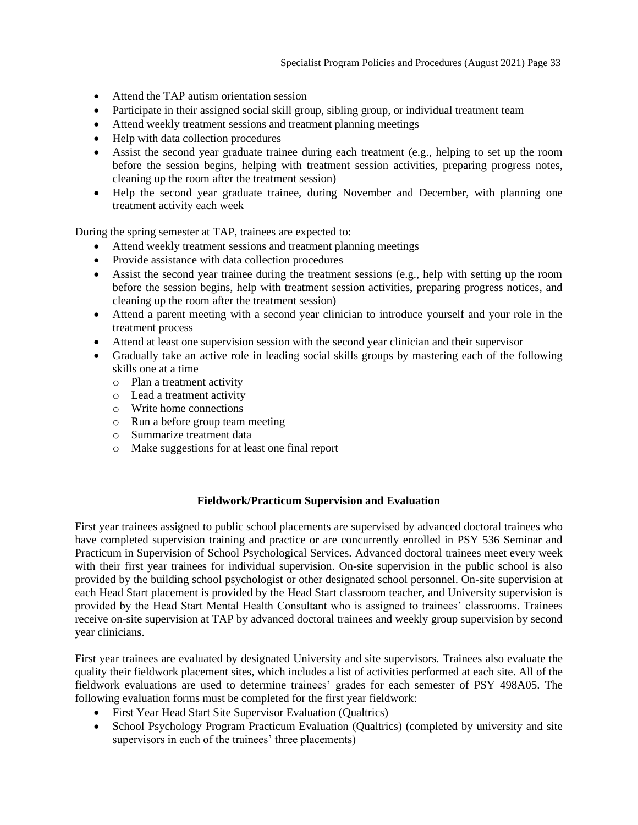- Attend the TAP autism orientation session
- Participate in their assigned social skill group, sibling group, or individual treatment team
- Attend weekly treatment sessions and treatment planning meetings
- Help with data collection procedures
- Assist the second year graduate trainee during each treatment (e.g., helping to set up the room before the session begins, helping with treatment session activities, preparing progress notes, cleaning up the room after the treatment session)
- Help the second year graduate trainee, during November and December, with planning one treatment activity each week

During the spring semester at TAP, trainees are expected to:

- Attend weekly treatment sessions and treatment planning meetings
- Provide assistance with data collection procedures
- Assist the second year trainee during the treatment sessions (e.g., help with setting up the room before the session begins, help with treatment session activities, preparing progress notices, and cleaning up the room after the treatment session)
- Attend a parent meeting with a second year clinician to introduce yourself and your role in the treatment process
- Attend at least one supervision session with the second year clinician and their supervisor
- Gradually take an active role in leading social skills groups by mastering each of the following skills one at a time
	- o Plan a treatment activity
	- o Lead a treatment activity
	- o Write home connections
	- o Run a before group team meeting
	- o Summarize treatment data
	- o Make suggestions for at least one final report

## **Fieldwork/Practicum Supervision and Evaluation**

<span id="page-32-0"></span>First year trainees assigned to public school placements are supervised by advanced doctoral trainees who have completed supervision training and practice or are concurrently enrolled in PSY 536 Seminar and Practicum in Supervision of School Psychological Services. Advanced doctoral trainees meet every week with their first year trainees for individual supervision. On-site supervision in the public school is also provided by the building school psychologist or other designated school personnel. On-site supervision at each Head Start placement is provided by the Head Start classroom teacher, and University supervision is provided by the Head Start Mental Health Consultant who is assigned to trainees' classrooms. Trainees receive on-site supervision at TAP by advanced doctoral trainees and weekly group supervision by second year clinicians.

First year trainees are evaluated by designated University and site supervisors. Trainees also evaluate the quality their fieldwork placement sites, which includes a list of activities performed at each site. All of the fieldwork evaluations are used to determine trainees' grades for each semester of PSY 498A05. The following evaluation forms must be completed for the first year fieldwork:

- First Year Head Start Site Supervisor Evaluation (Qualtrics)
- School Psychology Program Practicum Evaluation (Qualtrics) (completed by university and site supervisors in each of the trainees' three placements)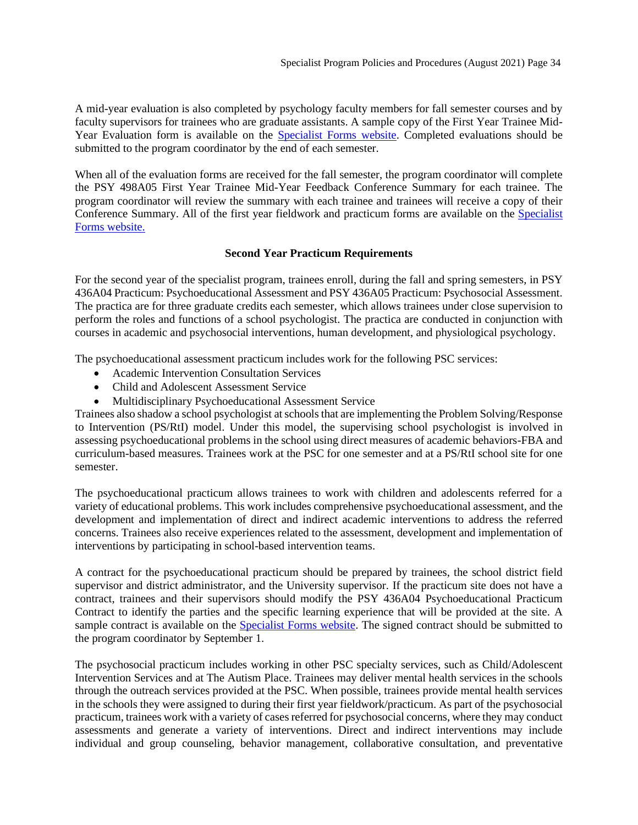A mid-year evaluation is also completed by psychology faculty members for fall semester courses and by faculty supervisors for trainees who are graduate assistants. A sample copy of the First Year Trainee Mid-Year Evaluation form is available on the [Specialist Forms website.](https://psychology.illinoisstate.edu/graduate/school-psychology/specialist-in-school-psychology/forms-and-agreements/) Completed evaluations should be submitted to the program coordinator by the end of each semester.

When all of the evaluation forms are received for the fall semester, the program coordinator will complete the PSY 498A05 First Year Trainee Mid-Year Feedback Conference Summary for each trainee. The program coordinator will review the summary with each trainee and trainees will receive a copy of their Conference Summary. All of the first year fieldwork and practicum forms are available on the [Specialist](https://psychology.illinoisstate.edu/graduate/school-psychology/specialist-in-school-psychology/forms-and-agreements/)  [Forms website.](https://psychology.illinoisstate.edu/graduate/school-psychology/specialist-in-school-psychology/forms-and-agreements/)

## **Second Year Practicum Requirements**

<span id="page-33-0"></span>For the second year of the specialist program, trainees enroll, during the fall and spring semesters, in PSY 436A04 Practicum: Psychoeducational Assessment and PSY 436A05 Practicum: Psychosocial Assessment. The practica are for three graduate credits each semester, which allows trainees under close supervision to perform the roles and functions of a school psychologist. The practica are conducted in conjunction with courses in academic and psychosocial interventions, human development, and physiological psychology.

The psychoeducational assessment practicum includes work for the following PSC services:

- Academic Intervention Consultation Services
- Child and Adolescent Assessment Service
- Multidisciplinary Psychoeducational Assessment Service

Trainees also shadow a school psychologist atschools that are implementing the Problem Solving/Response to Intervention (PS/RtI) model. Under this model, the supervising school psychologist is involved in assessing psychoeducational problems in the school using direct measures of academic behaviors-FBA and curriculum-based measures. Trainees work at the PSC for one semester and at a PS/RtI school site for one semester.

The psychoeducational practicum allows trainees to work with children and adolescents referred for a variety of educational problems. This work includes comprehensive psychoeducational assessment, and the development and implementation of direct and indirect academic interventions to address the referred concerns. Trainees also receive experiences related to the assessment, development and implementation of interventions by participating in school-based intervention teams.

A contract for the psychoeducational practicum should be prepared by trainees, the school district field supervisor and district administrator, and the University supervisor. If the practicum site does not have a contract, trainees and their supervisors should modify the PSY 436A04 Psychoeducational Practicum Contract to identify the parties and the specific learning experience that will be provided at the site. A sample contract is available on the [Specialist Forms website.](https://psychology.illinoisstate.edu/graduate/school-psychology/specialist-in-school-psychology/forms-and-agreements/) The signed contract should be submitted to the program coordinator by September 1.

The psychosocial practicum includes working in other PSC specialty services, such as Child/Adolescent Intervention Services and at The Autism Place. Trainees may deliver mental health services in the schools through the outreach services provided at the PSC. When possible, trainees provide mental health services in the schools they were assigned to during their first year fieldwork/practicum. As part of the psychosocial practicum, trainees work with a variety of cases referred for psychosocial concerns, where they may conduct assessments and generate a variety of interventions. Direct and indirect interventions may include individual and group counseling, behavior management, collaborative consultation, and preventative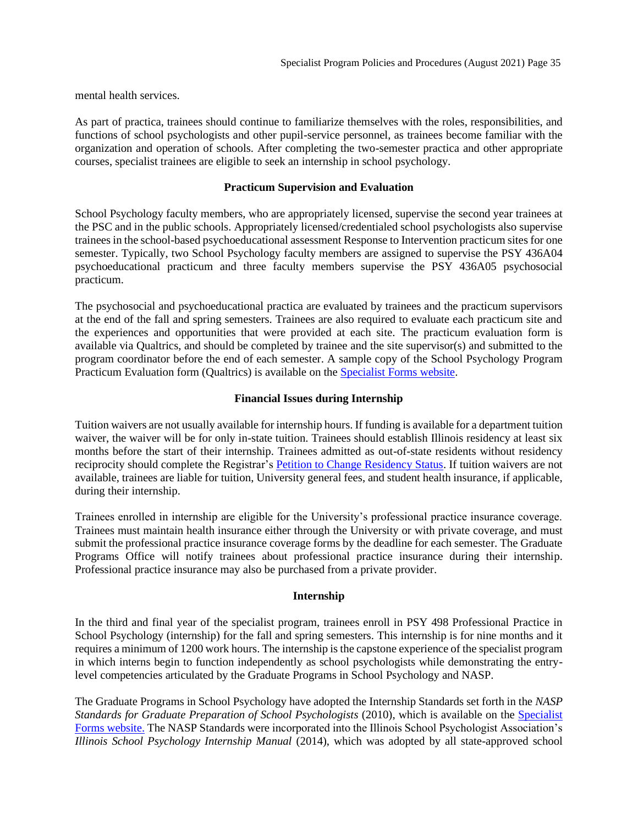mental health services.

As part of practica, trainees should continue to familiarize themselves with the roles, responsibilities, and functions of school psychologists and other pupil-service personnel, as trainees become familiar with the organization and operation of schools. After completing the two-semester practica and other appropriate courses, specialist trainees are eligible to seek an internship in school psychology.

## **Practicum Supervision and Evaluation**

<span id="page-34-0"></span>School Psychology faculty members, who are appropriately licensed, supervise the second year trainees at the PSC and in the public schools. Appropriately licensed/credentialed school psychologists also supervise trainees in the school-based psychoeducational assessment Response to Intervention practicum sites for one semester. Typically, two School Psychology faculty members are assigned to supervise the PSY 436A04 psychoeducational practicum and three faculty members supervise the PSY 436A05 psychosocial practicum.

The psychosocial and psychoeducational practica are evaluated by trainees and the practicum supervisors at the end of the fall and spring semesters. Trainees are also required to evaluate each practicum site and the experiences and opportunities that were provided at each site. The practicum evaluation form is available via Qualtrics, and should be completed by trainee and the site supervisor(s) and submitted to the program coordinator before the end of each semester. A sample copy of the School Psychology Program Practicum Evaluation form (Qualtrics) is available on the [Specialist Forms website.](https://psychology.illinoisstate.edu/graduate/school-psychology/specialist-in-school-psychology/forms-and-agreements/)

## **Financial Issues during Internship**

<span id="page-34-1"></span>Tuition waivers are not usually available for internship hours. If funding is available for a department tuition waiver, the waiver will be for only in-state tuition. Trainees should establish Illinois residency at least six months before the start of their internship. Trainees admitted as out-of-state residents without residency reciprocity should complete the Registrar's [Petition to Change Residency Status.](http://registrar.illinoisstate.edu/downloads/petitionresidencystatus.pdf) If tuition waivers are not available, trainees are liable for tuition, University general fees, and student health insurance, if applicable, during their internship.

Trainees enrolled in internship are eligible for the University's professional practice insurance coverage. Trainees must maintain health insurance either through the University or with private coverage, and must submit the professional practice insurance coverage forms by the deadline for each semester. The Graduate Programs Office will notify trainees about professional practice insurance during their internship. Professional practice insurance may also be purchased from a private provider.

## **Internship**

<span id="page-34-2"></span>In the third and final year of the specialist program, trainees enroll in PSY 498 Professional Practice in School Psychology (internship) for the fall and spring semesters. This internship is for nine months and it requires a minimum of 1200 work hours. The internship is the capstone experience of the specialist program in which interns begin to function independently as school psychologists while demonstrating the entrylevel competencies articulated by the Graduate Programs in School Psychology and NASP.

The Graduate Programs in School Psychology have adopted the Internship Standards set forth in the *NASP Standards for Graduate Preparation of School Psychologists* (2010), which is available on the [Specialist](https://psychology.illinoisstate.edu/graduate/school-psychology/specialist-in-school-psychology/forms-and-agreements/)  [Forms website.](https://psychology.illinoisstate.edu/graduate/school-psychology/specialist-in-school-psychology/forms-and-agreements/) The NASP Standards were incorporated into the Illinois School Psychologist Association's *Illinois School Psychology Internship Manual* (2014), which was adopted by all state-approved school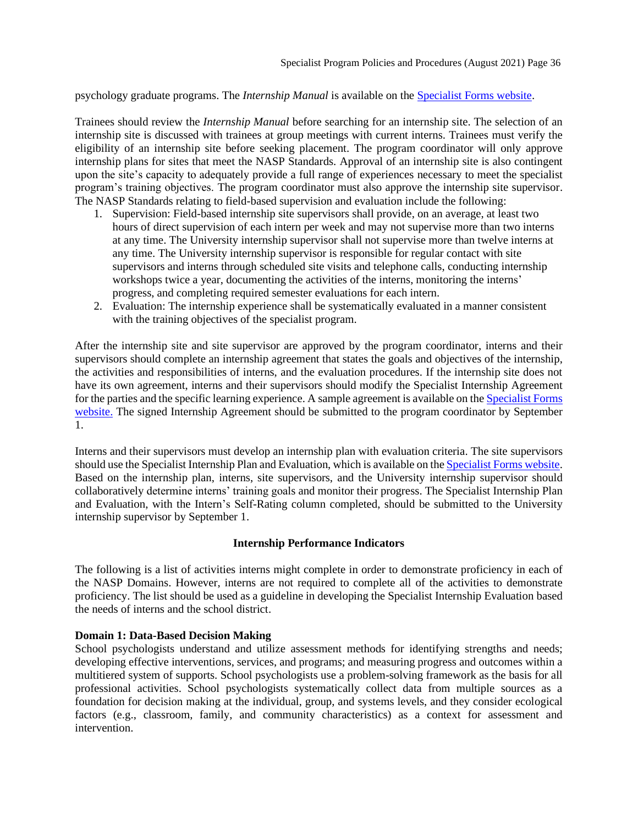psychology graduate programs. The *Internship Manual* is available on the [Specialist Forms website.](https://psychology.illinoisstate.edu/graduate/school-psychology/specialist-in-school-psychology/forms-and-agreements/)

Trainees should review the *Internship Manual* before searching for an internship site. The selection of an internship site is discussed with trainees at group meetings with current interns. Trainees must verify the eligibility of an internship site before seeking placement. The program coordinator will only approve internship plans for sites that meet the NASP Standards. Approval of an internship site is also contingent upon the site's capacity to adequately provide a full range of experiences necessary to meet the specialist program's training objectives. The program coordinator must also approve the internship site supervisor. The NASP Standards relating to field-based supervision and evaluation include the following:

- 1. Supervision: Field-based internship site supervisors shall provide, on an average, at least two hours of direct supervision of each intern per week and may not supervise more than two interns at any time. The University internship supervisor shall not supervise more than twelve interns at any time. The University internship supervisor is responsible for regular contact with site supervisors and interns through scheduled site visits and telephone calls, conducting internship workshops twice a year, documenting the activities of the interns, monitoring the interns' progress, and completing required semester evaluations for each intern.
- 2. Evaluation: The internship experience shall be systematically evaluated in a manner consistent with the training objectives of the specialist program.

After the internship site and site supervisor are approved by the program coordinator, interns and their supervisors should complete an internship agreement that states the goals and objectives of the internship, the activities and responsibilities of interns, and the evaluation procedures. If the internship site does not have its own agreement, interns and their supervisors should modify the Specialist Internship Agreement for the parties and the specific learning experience. A sample agreement is available on the [Specialist Forms](https://psychology.illinoisstate.edu/graduate/school-psychology/specialist-in-school-psychology/forms-and-agreements/)  [website.](https://psychology.illinoisstate.edu/graduate/school-psychology/specialist-in-school-psychology/forms-and-agreements/) The signed Internship Agreement should be submitted to the program coordinator by September 1.

Interns and their supervisors must develop an internship plan with evaluation criteria. The site supervisors should use the Specialist Internship Plan and Evaluation, which is available on the [Specialist Forms website.](https://psychology.illinoisstate.edu/graduate/school-psychology/specialist-in-school-psychology/forms-and-agreements/) Based on the internship plan, interns, site supervisors, and the University internship supervisor should collaboratively determine interns' training goals and monitor their progress. The Specialist Internship Plan and Evaluation, with the Intern's Self-Rating column completed, should be submitted to the University internship supervisor by September 1.

## **Internship Performance Indicators**

<span id="page-35-0"></span>The following is a list of activities interns might complete in order to demonstrate proficiency in each of the NASP Domains. However, interns are not required to complete all of the activities to demonstrate proficiency. The list should be used as a guideline in developing the Specialist Internship Evaluation based the needs of interns and the school district.

## **Domain 1: Data-Based Decision Making**

School psychologists understand and utilize assessment methods for identifying strengths and needs; developing effective interventions, services, and programs; and measuring progress and outcomes within a multitiered system of supports. School psychologists use a problem-solving framework as the basis for all professional activities. School psychologists systematically collect data from multiple sources as a foundation for decision making at the individual, group, and systems levels, and they consider ecological factors (e.g., classroom, family, and community characteristics) as a context for assessment and intervention.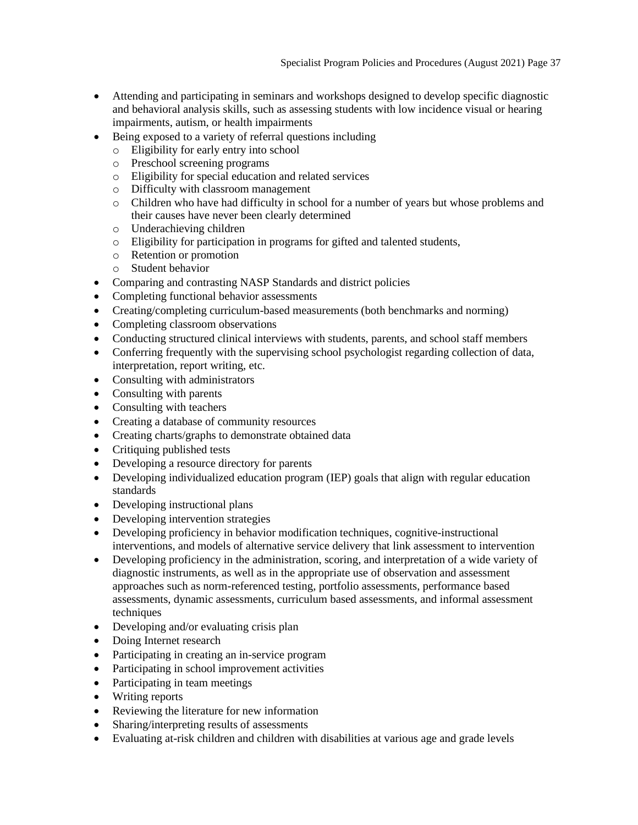- Attending and participating in seminars and workshops designed to develop specific diagnostic and behavioral analysis skills, such as assessing students with low incidence visual or hearing impairments, autism, or health impairments
- Being exposed to a variety of referral questions including
	- o Eligibility for early entry into school
	- o Preschool screening programs
	- o Eligibility for special education and related services
	- o Difficulty with classroom management
	- o Children who have had difficulty in school for a number of years but whose problems and their causes have never been clearly determined
	- o Underachieving children
	- o Eligibility for participation in programs for gifted and talented students,
	- o Retention or promotion
	- o Student behavior
- Comparing and contrasting NASP Standards and district policies
- Completing functional behavior assessments
- Creating/completing curriculum-based measurements (both benchmarks and norming)
- Completing classroom observations
- Conducting structured clinical interviews with students, parents, and school staff members
- Conferring frequently with the supervising school psychologist regarding collection of data, interpretation, report writing, etc.
- Consulting with administrators
- Consulting with parents
- Consulting with teachers
- Creating a database of community resources
- Creating charts/graphs to demonstrate obtained data
- Critiquing published tests
- Developing a resource directory for parents
- Developing individualized education program (IEP) goals that align with regular education standards
- Developing instructional plans
- Developing intervention strategies
- Developing proficiency in behavior modification techniques, cognitive-instructional interventions, and models of alternative service delivery that link assessment to intervention
- Developing proficiency in the administration, scoring, and interpretation of a wide variety of diagnostic instruments, as well as in the appropriate use of observation and assessment approaches such as norm-referenced testing, portfolio assessments, performance based assessments, dynamic assessments, curriculum based assessments, and informal assessment techniques
- Developing and/or evaluating crisis plan
- Doing Internet research
- Participating in creating an in-service program
- Participating in school improvement activities
- Participating in team meetings
- Writing reports
- Reviewing the literature for new information
- Sharing/interpreting results of assessments
- Evaluating at-risk children and children with disabilities at various age and grade levels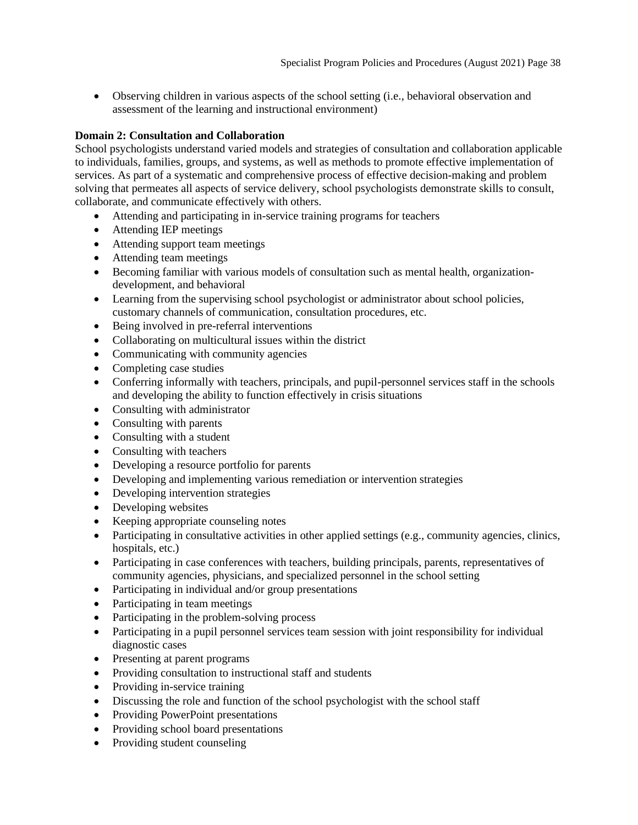• Observing children in various aspects of the school setting (i.e., behavioral observation and assessment of the learning and instructional environment)

## **Domain 2: Consultation and Collaboration**

School psychologists understand varied models and strategies of consultation and collaboration applicable to individuals, families, groups, and systems, as well as methods to promote effective implementation of services. As part of a systematic and comprehensive process of effective decision-making and problem solving that permeates all aspects of service delivery, school psychologists demonstrate skills to consult, collaborate, and communicate effectively with others.

- Attending and participating in in-service training programs for teachers
- Attending IEP meetings
- Attending support team meetings
- Attending team meetings
- Becoming familiar with various models of consultation such as mental health, organizationdevelopment, and behavioral
- Learning from the supervising school psychologist or administrator about school policies, customary channels of communication, consultation procedures, etc.
- Being involved in pre-referral interventions
- Collaborating on multicultural issues within the district
- Communicating with community agencies
- Completing case studies
- Conferring informally with teachers, principals, and pupil-personnel services staff in the schools and developing the ability to function effectively in crisis situations
- Consulting with administrator
- Consulting with parents
- Consulting with a student
- Consulting with teachers
- Developing a resource portfolio for parents
- Developing and implementing various remediation or intervention strategies
- Developing intervention strategies
- Developing websites
- Keeping appropriate counseling notes
- Participating in consultative activities in other applied settings (e.g., community agencies, clinics, hospitals, etc.)
- Participating in case conferences with teachers, building principals, parents, representatives of community agencies, physicians, and specialized personnel in the school setting
- Participating in individual and/or group presentations
- Participating in team meetings
- Participating in the problem-solving process
- Participating in a pupil personnel services team session with joint responsibility for individual diagnostic cases
- Presenting at parent programs
- Providing consultation to instructional staff and students
- Providing in-service training
- Discussing the role and function of the school psychologist with the school staff
- Providing PowerPoint presentations
- Providing school board presentations
- Providing student counseling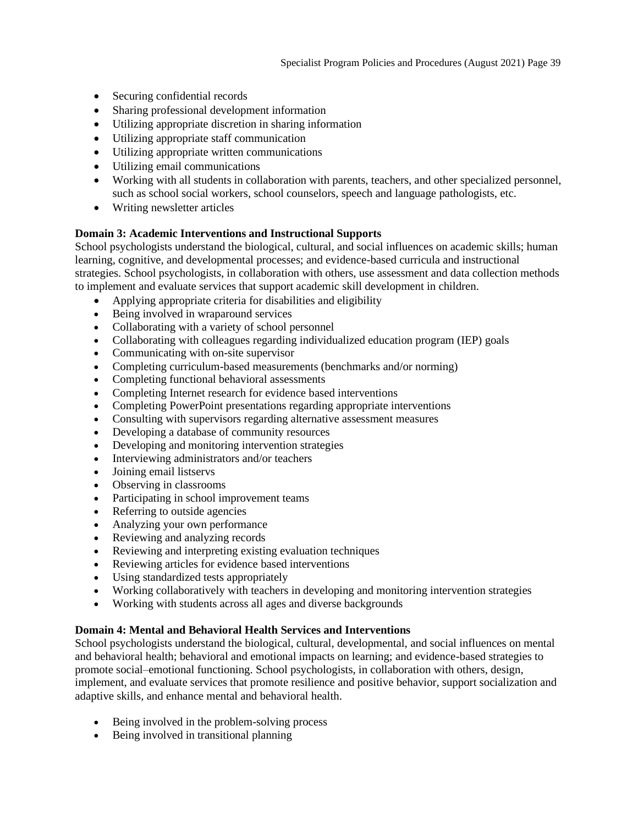- Securing confidential records
- Sharing professional development information
- Utilizing appropriate discretion in sharing information
- Utilizing appropriate staff communication
- Utilizing appropriate written communications
- Utilizing email communications
- Working with all students in collaboration with parents, teachers, and other specialized personnel, such as school social workers, school counselors, speech and language pathologists, etc.
- Writing newsletter articles

## **Domain 3: Academic Interventions and Instructional Supports**

School psychologists understand the biological, cultural, and social influences on academic skills; human learning, cognitive, and developmental processes; and evidence-based curricula and instructional strategies. School psychologists, in collaboration with others, use assessment and data collection methods to implement and evaluate services that support academic skill development in children.

- Applying appropriate criteria for disabilities and eligibility
- Being involved in wraparound services
- Collaborating with a variety of school personnel
- Collaborating with colleagues regarding individualized education program (IEP) goals
- Communicating with on-site supervisor
- Completing curriculum-based measurements (benchmarks and/or norming)
- Completing functional behavioral assessments
- Completing Internet research for evidence based interventions
- Completing PowerPoint presentations regarding appropriate interventions
- Consulting with supervisors regarding alternative assessment measures
- Developing a database of community resources
- Developing and monitoring intervention strategies
- Interviewing administrators and/or teachers
- Joining email listservs
- Observing in classrooms
- Participating in school improvement teams
- Referring to outside agencies
- Analyzing your own performance
- Reviewing and analyzing records
- Reviewing and interpreting existing evaluation techniques
- Reviewing articles for evidence based interventions
- Using standardized tests appropriately
- Working collaboratively with teachers in developing and monitoring intervention strategies
- Working with students across all ages and diverse backgrounds

## **Domain 4: Mental and Behavioral Health Services and Interventions**

School psychologists understand the biological, cultural, developmental, and social influences on mental and behavioral health; behavioral and emotional impacts on learning; and evidence-based strategies to promote social–emotional functioning. School psychologists, in collaboration with others, design, implement, and evaluate services that promote resilience and positive behavior, support socialization and adaptive skills, and enhance mental and behavioral health.

- Being involved in the problem-solving process
- Being involved in transitional planning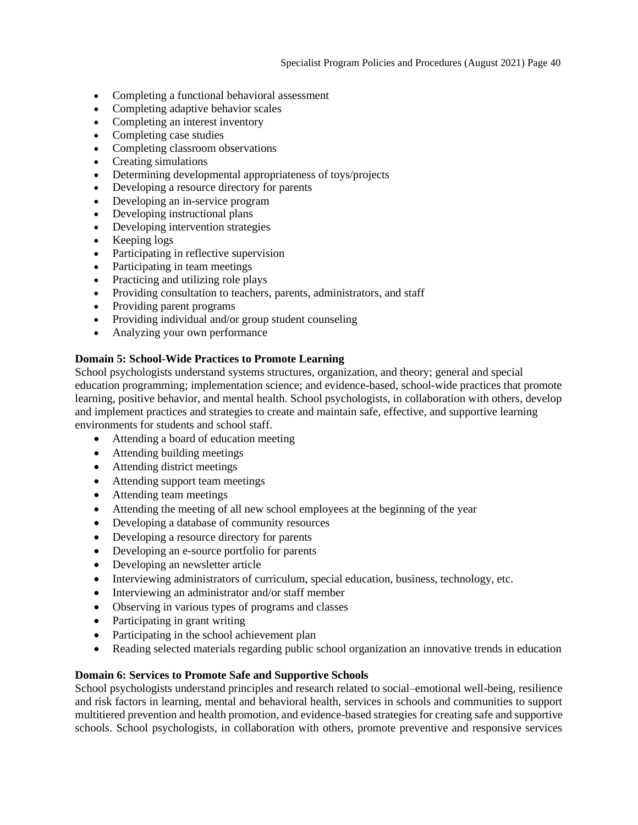- Completing a functional behavioral assessment
- Completing adaptive behavior scales
- Completing an interest inventory
- Completing case studies
- Completing classroom observations
- Creating simulations
- Determining developmental appropriateness of toys/projects
- Developing a resource directory for parents
- Developing an in-service program
- Developing instructional plans
- Developing intervention strategies
- Keeping logs
- Participating in reflective supervision
- Participating in team meetings
- Practicing and utilizing role plays
- Providing consultation to teachers, parents, administrators, and staff
- Providing parent programs
- Providing individual and/or group student counseling
- Analyzing your own performance

## **Domain 5: School-Wide Practices to Promote Learning**

School psychologists understand systems structures, organization, and theory; general and special education programming; implementation science; and evidence-based, school-wide practices that promote learning, positive behavior, and mental health. School psychologists, in collaboration with others, develop and implement practices and strategies to create and maintain safe, effective, and supportive learning environments for students and school staff.

- Attending a board of education meeting
- Attending building meetings
- Attending district meetings
- Attending support team meetings
- Attending team meetings
- Attending the meeting of all new school employees at the beginning of the year
- Developing a database of community resources
- Developing a resource directory for parents
- Developing an e-source portfolio for parents
- Developing an newsletter article
- Interviewing administrators of curriculum, special education, business, technology, etc.
- Interviewing an administrator and/or staff member
- Observing in various types of programs and classes
- Participating in grant writing
- Participating in the school achievement plan
- Reading selected materials regarding public school organization an innovative trends in education

## **Domain 6: Services to Promote Safe and Supportive Schools**

School psychologists understand principles and research related to social–emotional well-being, resilience and risk factors in learning, mental and behavioral health, services in schools and communities to support multitiered prevention and health promotion, and evidence-based strategies for creating safe and supportive schools. School psychologists, in collaboration with others, promote preventive and responsive services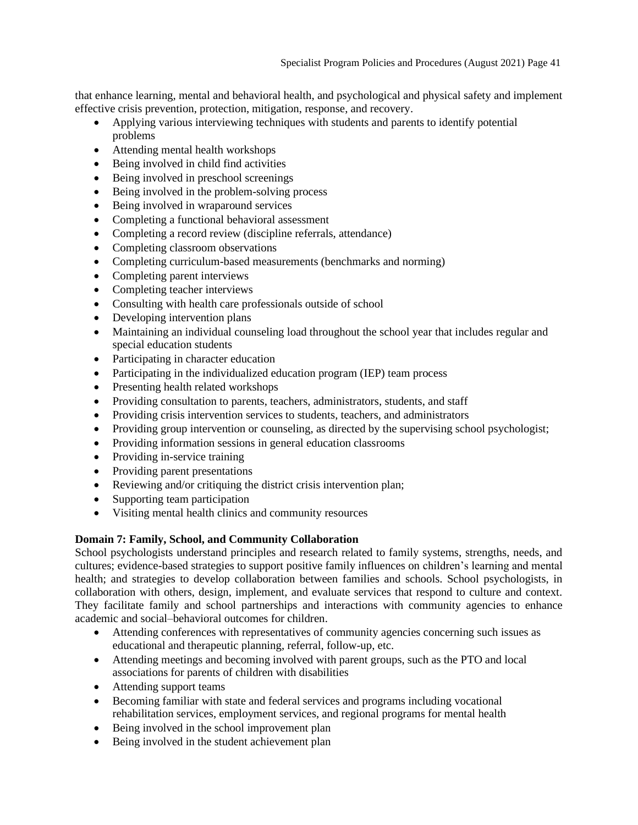that enhance learning, mental and behavioral health, and psychological and physical safety and implement effective crisis prevention, protection, mitigation, response, and recovery.

- Applying various interviewing techniques with students and parents to identify potential problems
- Attending mental health workshops
- Being involved in child find activities
- Being involved in preschool screenings
- Being involved in the problem-solving process
- Being involved in wraparound services
- Completing a functional behavioral assessment
- Completing a record review (discipline referrals, attendance)
- Completing classroom observations
- Completing curriculum-based measurements (benchmarks and norming)
- Completing parent interviews
- Completing teacher interviews
- Consulting with health care professionals outside of school
- Developing intervention plans
- Maintaining an individual counseling load throughout the school year that includes regular and special education students
- Participating in character education
- Participating in the individualized education program (IEP) team process
- Presenting health related workshops
- Providing consultation to parents, teachers, administrators, students, and staff
- Providing crisis intervention services to students, teachers, and administrators
- Providing group intervention or counseling, as directed by the supervising school psychologist;
- Providing information sessions in general education classrooms
- Providing in-service training
- Providing parent presentations
- Reviewing and/or critiquing the district crisis intervention plan;
- Supporting team participation
- Visiting mental health clinics and community resources

## **Domain 7: Family, School, and Community Collaboration**

School psychologists understand principles and research related to family systems, strengths, needs, and cultures; evidence-based strategies to support positive family influences on children's learning and mental health; and strategies to develop collaboration between families and schools. School psychologists, in collaboration with others, design, implement, and evaluate services that respond to culture and context. They facilitate family and school partnerships and interactions with community agencies to enhance academic and social–behavioral outcomes for children.

- Attending conferences with representatives of community agencies concerning such issues as educational and therapeutic planning, referral, follow-up, etc.
- Attending meetings and becoming involved with parent groups, such as the PTO and local associations for parents of children with disabilities
- Attending support teams
- Becoming familiar with state and federal services and programs including vocational rehabilitation services, employment services, and regional programs for mental health
- Being involved in the school improvement plan
- Being involved in the student achievement plan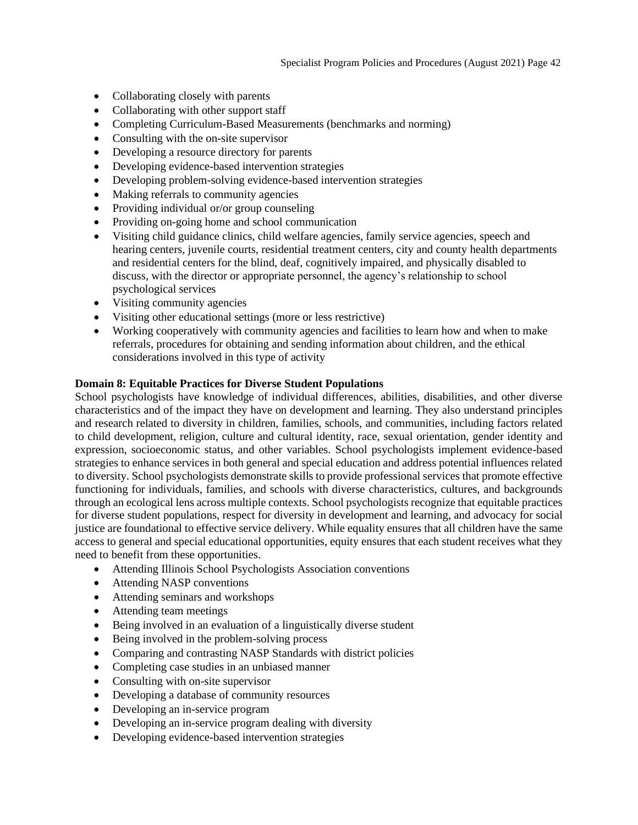- Collaborating closely with parents
- Collaborating with other support staff
- Completing Curriculum-Based Measurements (benchmarks and norming)
- Consulting with the on-site supervisor
- Developing a resource directory for parents
- Developing evidence-based intervention strategies
- Developing problem-solving evidence-based intervention strategies
- Making referrals to community agencies
- Providing individual or/or group counseling
- Providing on-going home and school communication
- Visiting child guidance clinics, child welfare agencies, family service agencies, speech and hearing centers, juvenile courts, residential treatment centers, city and county health departments and residential centers for the blind, deaf, cognitively impaired, and physically disabled to discuss, with the director or appropriate personnel, the agency's relationship to school psychological services
- Visiting community agencies
- Visiting other educational settings (more or less restrictive)
- Working cooperatively with community agencies and facilities to learn how and when to make referrals, procedures for obtaining and sending information about children, and the ethical considerations involved in this type of activity

## **Domain 8: Equitable Practices for Diverse Student Populations**

School psychologists have knowledge of individual differences, abilities, disabilities, and other diverse characteristics and of the impact they have on development and learning. They also understand principles and research related to diversity in children, families, schools, and communities, including factors related to child development, religion, culture and cultural identity, race, sexual orientation, gender identity and expression, socioeconomic status, and other variables. School psychologists implement evidence-based strategies to enhance services in both general and special education and address potential influences related to diversity. School psychologists demonstrate skills to provide professional services that promote effective functioning for individuals, families, and schools with diverse characteristics, cultures, and backgrounds through an ecological lens across multiple contexts. School psychologists recognize that equitable practices for diverse student populations, respect for diversity in development and learning, and advocacy for social justice are foundational to effective service delivery. While equality ensures that all children have the same access to general and special educational opportunities, equity ensures that each student receives what they need to benefit from these opportunities.

- Attending Illinois School Psychologists Association conventions
- Attending NASP conventions
- Attending seminars and workshops
- Attending team meetings
- Being involved in an evaluation of a linguistically diverse student
- Being involved in the problem-solving process
- Comparing and contrasting NASP Standards with district policies
- Completing case studies in an unbiased manner
- Consulting with on-site supervisor
- Developing a database of community resources
- Developing an in-service program
- Developing an in-service program dealing with diversity
- Developing evidence-based intervention strategies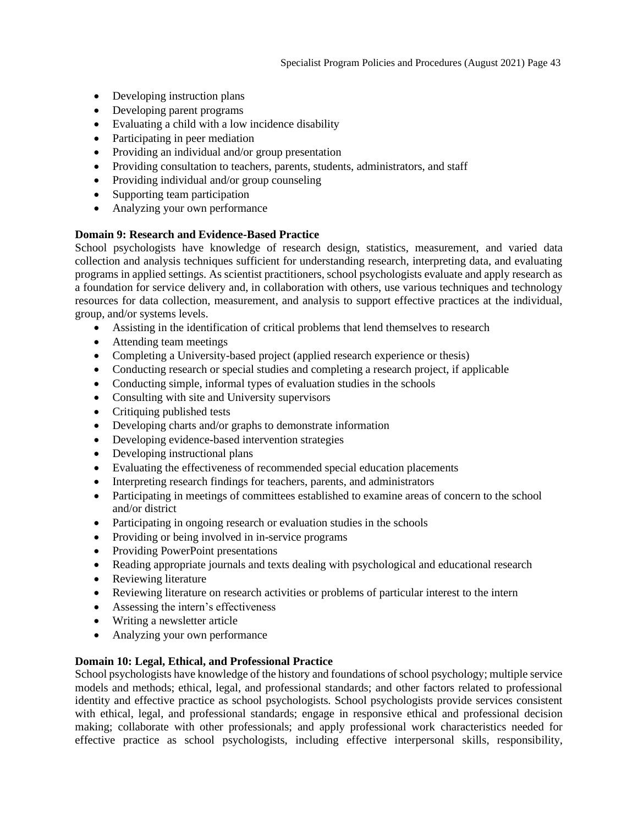- Developing instruction plans
- Developing parent programs
- Evaluating a child with a low incidence disability
- Participating in peer mediation
- Providing an individual and/or group presentation
- Providing consultation to teachers, parents, students, administrators, and staff
- Providing individual and/or group counseling
- Supporting team participation
- Analyzing your own performance

## **Domain 9: Research and Evidence-Based Practice**

School psychologists have knowledge of research design, statistics, measurement, and varied data collection and analysis techniques sufficient for understanding research, interpreting data, and evaluating programs in applied settings. As scientist practitioners, school psychologists evaluate and apply research as a foundation for service delivery and, in collaboration with others, use various techniques and technology resources for data collection, measurement, and analysis to support effective practices at the individual, group, and/or systems levels.

- Assisting in the identification of critical problems that lend themselves to research
- Attending team meetings
- Completing a University-based project (applied research experience or thesis)
- Conducting research or special studies and completing a research project, if applicable
- Conducting simple, informal types of evaluation studies in the schools
- Consulting with site and University supervisors
- Critiquing published tests
- Developing charts and/or graphs to demonstrate information
- Developing evidence-based intervention strategies
- Developing instructional plans
- Evaluating the effectiveness of recommended special education placements
- Interpreting research findings for teachers, parents, and administrators
- Participating in meetings of committees established to examine areas of concern to the school and/or district
- Participating in ongoing research or evaluation studies in the schools
- Providing or being involved in in-service programs
- Providing PowerPoint presentations
- Reading appropriate journals and texts dealing with psychological and educational research
- Reviewing literature
- Reviewing literature on research activities or problems of particular interest to the intern
- Assessing the intern's effectiveness
- Writing a new sletter article
- Analyzing your own performance

## **Domain 10: Legal, Ethical, and Professional Practice**

School psychologists have knowledge of the history and foundations of school psychology; multiple service models and methods; ethical, legal, and professional standards; and other factors related to professional identity and effective practice as school psychologists. School psychologists provide services consistent with ethical, legal, and professional standards; engage in responsive ethical and professional decision making; collaborate with other professionals; and apply professional work characteristics needed for effective practice as school psychologists, including effective interpersonal skills, responsibility,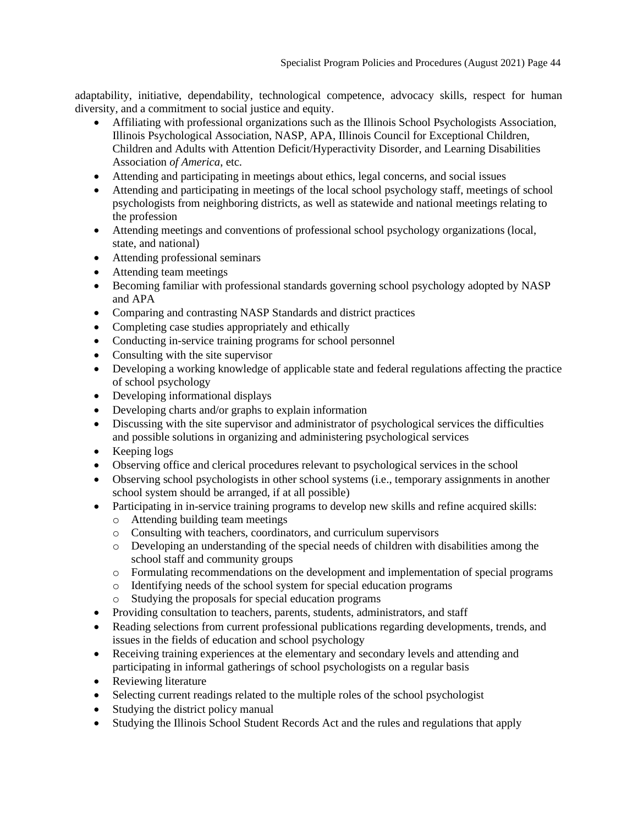adaptability, initiative, dependability, technological competence, advocacy skills, respect for human diversity, and a commitment to social justice and equity.

- Affiliating with professional organizations such as the Illinois School Psychologists Association, Illinois Psychological Association, NASP, APA, Illinois Council for Exceptional Children, Children and Adults with Attention Deficit/Hyperactivity Disorder, and Learning Disabilities Association *of America*, etc.
- Attending and participating in meetings about ethics, legal concerns, and social issues
- Attending and participating in meetings of the local school psychology staff, meetings of school psychologists from neighboring districts, as well as statewide and national meetings relating to the profession
- Attending meetings and conventions of professional school psychology organizations (local, state, and national)
- Attending professional seminars
- Attending team meetings
- Becoming familiar with professional standards governing school psychology adopted by NASP and APA
- Comparing and contrasting NASP Standards and district practices
- Completing case studies appropriately and ethically
- Conducting in-service training programs for school personnel
- Consulting with the site supervisor
- Developing a working knowledge of applicable state and federal regulations affecting the practice of school psychology
- Developing informational displays
- Developing charts and/or graphs to explain information
- Discussing with the site supervisor and administrator of psychological services the difficulties and possible solutions in organizing and administering psychological services
- Keeping logs
- Observing office and clerical procedures relevant to psychological services in the school
- Observing school psychologists in other school systems (i.e., temporary assignments in another school system should be arranged, if at all possible)
- Participating in in-service training programs to develop new skills and refine acquired skills:
	- o Attending building team meetings
	- o Consulting with teachers, coordinators, and curriculum supervisors
	- o Developing an understanding of the special needs of children with disabilities among the school staff and community groups
	- o Formulating recommendations on the development and implementation of special programs
	- o Identifying needs of the school system for special education programs
	- o Studying the proposals for special education programs
- Providing consultation to teachers, parents, students, administrators, and staff
- Reading selections from current professional publications regarding developments, trends, and issues in the fields of education and school psychology
- Receiving training experiences at the elementary and secondary levels and attending and participating in informal gatherings of school psychologists on a regular basis
- Reviewing literature
- Selecting current readings related to the multiple roles of the school psychologist
- Studying the district policy manual
- Studying the Illinois School Student Records Act and the rules and regulations that apply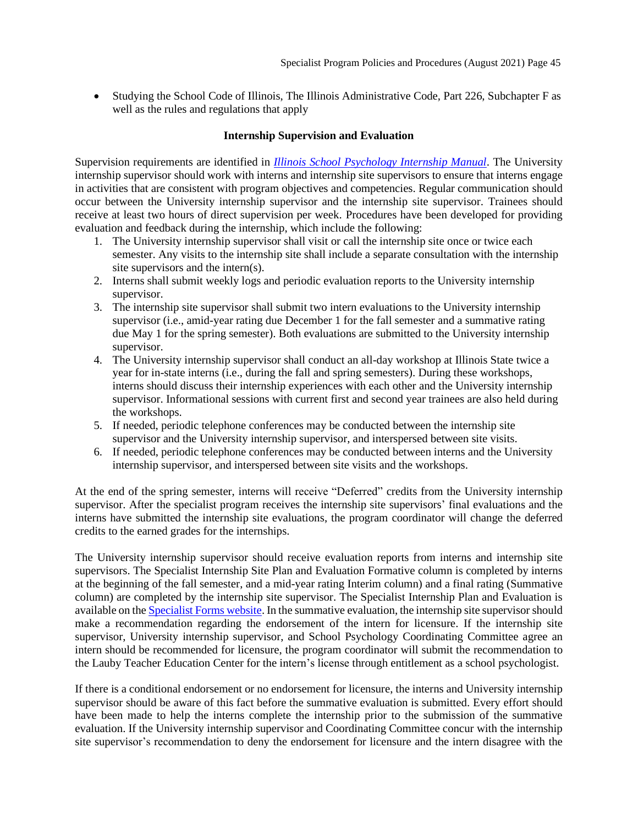• Studying the School Code of Illinois, The Illinois Administrative Code, Part 226, Subchapter F as well as the rules and regulations that apply

## **Internship Supervision and Evaluation**

<span id="page-44-0"></span>Supervision requirements are identified in *[Illinois School Psychology Internship Manual](https://psychology.illinoisstate.edu/graduate/school-psychology/specialist-in-school-psychology/forms-and-agreements/)*. The University internship supervisor should work with interns and internship site supervisors to ensure that interns engage in activities that are consistent with program objectives and competencies. Regular communication should occur between the University internship supervisor and the internship site supervisor. Trainees should receive at least two hours of direct supervision per week. Procedures have been developed for providing evaluation and feedback during the internship, which include the following:

- 1. The University internship supervisor shall visit or call the internship site once or twice each semester. Any visits to the internship site shall include a separate consultation with the internship site supervisors and the intern(s).
- 2. Interns shall submit weekly logs and periodic evaluation reports to the University internship supervisor.
- 3. The internship site supervisor shall submit two intern evaluations to the University internship supervisor (i.e., amid-year rating due December 1 for the fall semester and a summative rating due May 1 for the spring semester). Both evaluations are submitted to the University internship supervisor.
- 4. The University internship supervisor shall conduct an all-day workshop at Illinois State twice a year for in-state interns (i.e., during the fall and spring semesters). During these workshops, interns should discuss their internship experiences with each other and the University internship supervisor. Informational sessions with current first and second year trainees are also held during the workshops.
- 5. If needed, periodic telephone conferences may be conducted between the internship site supervisor and the University internship supervisor, and interspersed between site visits.
- 6. If needed, periodic telephone conferences may be conducted between interns and the University internship supervisor, and interspersed between site visits and the workshops.

At the end of the spring semester, interns will receive "Deferred" credits from the University internship supervisor. After the specialist program receives the internship site supervisors' final evaluations and the interns have submitted the internship site evaluations, the program coordinator will change the deferred credits to the earned grades for the internships.

The University internship supervisor should receive evaluation reports from interns and internship site supervisors. The Specialist Internship Site Plan and Evaluation Formative column is completed by interns at the beginning of the fall semester, and a mid-year rating Interim column) and a final rating (Summative column) are completed by the internship site supervisor. The Specialist Internship Plan and Evaluation is available on the [Specialist Forms website.](https://psychology.illinoisstate.edu/graduate/school-psychology/specialist-in-school-psychology/forms-and-agreements/) In the summative evaluation, the internship site supervisor should make a recommendation regarding the endorsement of the intern for licensure. If the internship site supervisor, University internship supervisor, and School Psychology Coordinating Committee agree an intern should be recommended for licensure, the program coordinator will submit the recommendation to the Lauby Teacher Education Center for the intern's license through entitlement as a school psychologist.

If there is a conditional endorsement or no endorsement for licensure, the interns and University internship supervisor should be aware of this fact before the summative evaluation is submitted. Every effort should have been made to help the interns complete the internship prior to the submission of the summative evaluation. If the University internship supervisor and Coordinating Committee concur with the internship site supervisor's recommendation to deny the endorsement for licensure and the intern disagree with the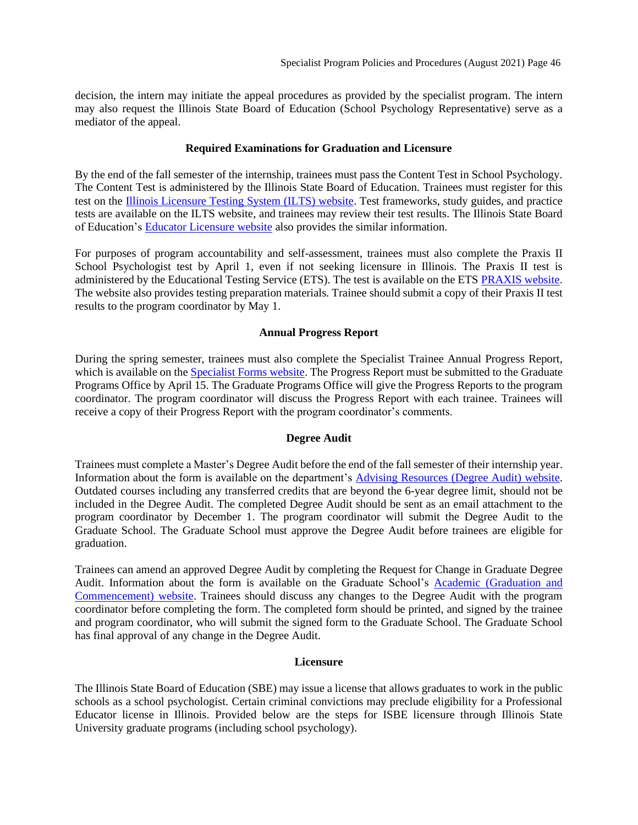decision, the intern may initiate the appeal procedures as provided by the specialist program. The intern may also request the Illinois State Board of Education (School Psychology Representative) serve as a mediator of the appeal.

#### **Required Examinations for Graduation and Licensure**

<span id="page-45-0"></span>By the end of the fall semester of the internship, trainees must pass the Content Test in School Psychology. The Content Test is administered by the Illinois State Board of Education. Trainees must register for this test on the [Illinois Licensure Testing System \(ILTS\) website.](http://www.icts.nesinc.com/) Test frameworks, study guides, and practice tests are available on the ILTS website, and trainees may review their test results. The Illinois State Board of Education's [Educator Licensure website](https://www.isbe.net/licensure/) also provides the similar information.

For purposes of program accountability and self-assessment, trainees must also complete the Praxis II School Psychologist test by April 1, even if not seeking licensure in Illinois. The Praxis II test is administered by the Educational Testing Service (ETS). The test is available on the ETS [PRAXIS website.](http://www.ets.org/praxis/nasp) The website also provides testing preparation materials. Trainee should submit a copy of their Praxis II test results to the program coordinator by May 1.

#### **Annual Progress Report**

<span id="page-45-1"></span>During the spring semester, trainees must also complete the Specialist Trainee Annual Progress Report, which is available on the **Specialist Forms website**. The Progress Report must be submitted to the Graduate Programs Office by April 15. The Graduate Programs Office will give the Progress Reports to the program coordinator. The program coordinator will discuss the Progress Report with each trainee. Trainees will receive a copy of their Progress Report with the program coordinator's comments.

## **Degree Audit**

<span id="page-45-2"></span>Trainees must complete a Master's Degree Audit before the end of the fall semester of their internship year. Information about the form is available on the department's [Advising Resources \(Degree Audit\)](https://psychology.illinoisstate.edu/graduate/gradAdvisingResources/degreeAudit/) website. Outdated courses including any transferred credits that are beyond the 6-year degree limit, should not be included in the Degree Audit. The completed Degree Audit should be sent as an email attachment to the program coordinator by December 1. The program coordinator will submit the Degree Audit to the Graduate School. The Graduate School must approve the Degree Audit before trainees are eligible for graduation.

Trainees can amend an approved Degree Audit by completing the Request for Change in Graduate Degree Audit. Information about the form is available on the Graduate School's [Academic \(Graduation and](https://grad.illinoisstate.edu/students/graduation/)  [Commencement\) website.](https://grad.illinoisstate.edu/students/graduation/) Trainees should discuss any changes to the Degree Audit with the program coordinator before completing the form. The completed form should be printed, and signed by the trainee and program coordinator, who will submit the signed form to the Graduate School. The Graduate School has final approval of any change in the Degree Audit.

#### **Licensure**

<span id="page-45-3"></span>The Illinois State Board of Education (SBE) may issue a license that allows graduates to work in the public schools as a school psychologist. Certain criminal convictions may preclude eligibility for a Professional Educator license in Illinois. Provided below are the steps for ISBE licensure through Illinois State University graduate programs (including school psychology).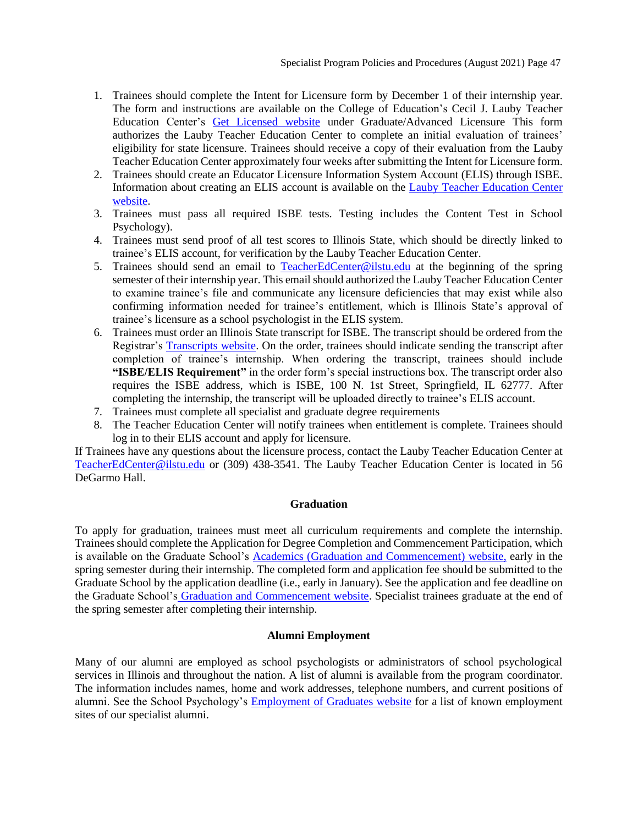- 1. Trainees should complete the Intent for Licensure form by December 1 of their internship year. The form and instructions are available on the College of Education's Cecil J. Lauby Teacher Education Center's [Get Licensed website](https://education.illinoisstate.edu/teacher/licensures/) under Graduate/Advanced Licensure This form authorizes the Lauby Teacher Education Center to complete an initial evaluation of trainees' eligibility for state licensure. Trainees should receive a copy of their evaluation from the Lauby Teacher Education Center approximately four weeks after submitting the Intent for Licensure form.
- 2. Trainees should create an Educator Licensure Information System Account (ELIS) through ISBE. Information about creating an ELIS account is available on the Lauby [Teacher Education Center](https://education.illinoisstate.edu/teacher/gateways/elis.php)  [website.](https://education.illinoisstate.edu/teacher/gateways/elis.php)
- 3. Trainees must pass all required ISBE tests. Testing includes the Content Test in School Psychology).
- 4. Trainees must send proof of all test scores to Illinois State, which should be directly linked to trainee's ELIS account, for verification by the Lauby Teacher Education Center.
- 5. Trainees should send an email to [TeacherEdCenter@ilstu.edu](mailto:TeacherEdCenter@ilstu.edu) at the beginning of the spring semester of their internship year. This email should authorized the Lauby Teacher Education Center to examine trainee's file and communicate any licensure deficiencies that may exist while also confirming information needed for trainee's entitlement, which is Illinois State's approval of trainee's licensure as a school psychologist in the ELIS system.
- 6. Trainees must order an Illinois State transcript for ISBE. The transcript should be ordered from the Registrar's [Transcripts website.](http://registrar.illinoisstate.edu/transcripts/) On the order, trainees should indicate sending the transcript after completion of trainee's internship. When ordering the transcript, trainees should include **"ISBE/ELIS Requirement"** in the order form's special instructions box. The transcript order also requires the ISBE address, which is ISBE, 100 N. 1st Street, Springfield, IL 62777. After completing the internship, the transcript will be uploaded directly to trainee's ELIS account.
- 7. Trainees must complete all specialist and graduate degree requirements
- 8. The Teacher Education Center will notify trainees when entitlement is complete. Trainees should log in to their ELIS account and apply for licensure.

If Trainees have any questions about the licensure process, contact the Lauby Teacher Education Center at [TeacherEdCenter@ilstu.edu](mailto:TeacherEdCenter@ilstu.edu) or (309) 438-3541. The Lauby Teacher Education Center is located in 56 DeGarmo Hall.

## **Graduation**

<span id="page-46-0"></span>To apply for graduation, trainees must meet all curriculum requirements and complete the internship. Trainees should complete the Application for Degree Completion and Commencement Participation, which is available on the Graduate School's [Academics \(Graduation and Commencement\)](https://grad.illinoisstate.edu/students/graduation/) website, early in the spring semester during their internship. The completed form and application fee should be submitted to the Graduate School by the application deadline (i.e., early in January). See the application and fee deadline on the Graduate School's [Graduation and Commencement website.](https://grad.illinoisstate.edu/students/graduation/) Specialist trainees graduate at the end of the spring semester after completing their internship.

## **Alumni Employment**

<span id="page-46-1"></span>Many of our alumni are employed as school psychologists or administrators of school psychological services in Illinois and throughout the nation. A list of alumni is available from the program coordinator. The information includes names, home and work addresses, telephone numbers, and current positions of alumni. See the School Psychology's [Employment of Graduates website](https://psychology.illinoisstate.edu/graduate/school-psychology/employment-of-graduates/) for a list of known employment sites of our specialist alumni.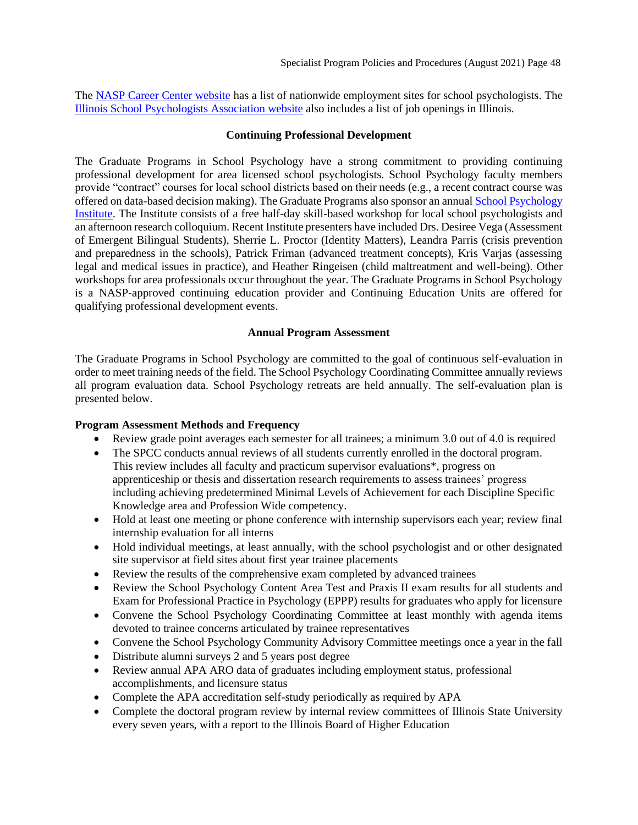The [NASP Career Center website](https://nasponline-jobs.careerwebsite.com/) has a list of nationwide employment sites for school psychologists. The [Illinois School Psychologists Association website](http://www.ilispa.org/) also includes a list of job openings in Illinois.

## <span id="page-47-0"></span>**[Continuing Professional Development](#page-47-0)**

The Graduate Programs in School Psychology have a strong commitment to providing continuing professional development for area licensed school psychologists. School Psychology faculty members provide "contract" courses for local school districts based on their needs (e.g., a recent contract course was offered on data-based decision making). The Graduate Programs also sponsor an annual [School Psychology](https://psychology.illinoisstate.edu/graduate/school-psychology/annual-institute/)  [Institute.](https://psychology.illinoisstate.edu/graduate/school-psychology/annual-institute/) The Institute consists of a free half-day skill-based workshop for local school psychologists and an afternoon research colloquium. Recent Institute presenters have included Drs. Desiree Vega (Assessment of Emergent Bilingual Students), Sherrie L. Proctor (Identity Matters), Leandra Parris (crisis prevention and preparedness in the schools), Patrick Friman (advanced treatment concepts), Kris Varjas (assessing legal and medical issues in practice), and Heather Ringeisen (child maltreatment and well-being). Other workshops for area professionals occur throughout the year. The Graduate Programs in School Psychology is a NASP-approved continuing education provider and Continuing Education Units are offered for qualifying professional development events.

## <span id="page-47-1"></span>**[Annual Program Assessment](#page-47-2)**

<span id="page-47-2"></span>The Graduate Programs in School Psychology are committed to the goal of continuous self-evaluation in order to meet training needs of the field. The School Psychology Coordinating Committee annually reviews all program evaluation data. School Psychology retreats are held annually. The self-evaluation plan is presented below.

## **Program Assessment Methods and Frequency**

- Review grade point averages each semester for all trainees; a minimum 3.0 out of 4.0 is required
- The SPCC conducts annual reviews of all students currently enrolled in the doctoral program. This review includes all faculty and practicum supervisor evaluations\*, progress on apprenticeship or thesis and dissertation research requirements to assess trainees' progress including achieving predetermined Minimal Levels of Achievement for each Discipline Specific Knowledge area and Profession Wide competency.
- Hold at least one meeting or phone conference with internship supervisors each year; review final internship evaluation for all interns
- Hold individual meetings, at least annually, with the school psychologist and or other designated site supervisor at field sites about first year trainee placements
- Review the results of the comprehensive exam completed by advanced trainees
- Review the School Psychology Content Area Test and Praxis II exam results for all students and Exam for Professional Practice in Psychology (EPPP) results for graduates who apply for licensure
- Convene the School Psychology Coordinating Committee at least monthly with agenda items devoted to trainee concerns articulated by trainee representatives
- Convene the School Psychology Community Advisory Committee meetings once a year in the fall
- Distribute alumni surveys 2 and 5 years post degree
- Review annual APA ARO data of graduates including employment status, professional accomplishments, and licensure status
- Complete the APA accreditation self-study periodically as required by APA
- Complete the doctoral program review by internal review committees of Illinois State University every seven years, with a report to the Illinois Board of Higher Education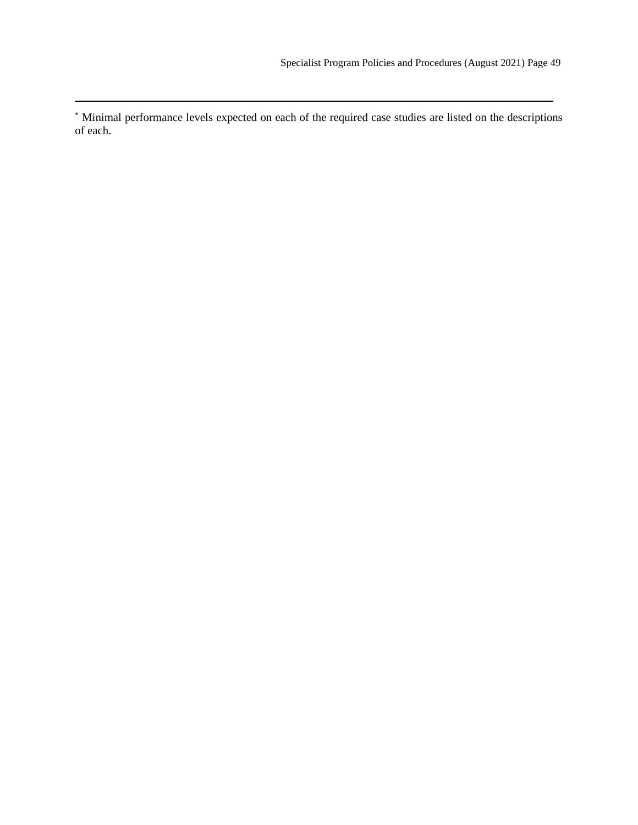\* Minimal performance levels expected on each of the required case studies are listed on the descriptions of each.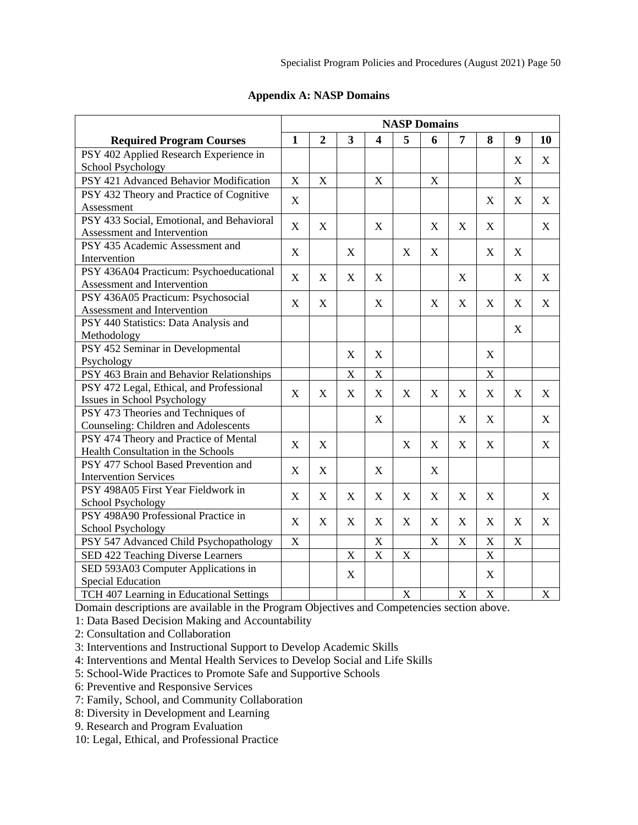<span id="page-49-0"></span>

| 5<br>$\mathbf{1}$<br>$\boldsymbol{2}$<br>3<br>$\overline{\mathbf{4}}$<br>6<br>7<br>8<br>9<br>10<br><b>Required Program Courses</b><br>PSY 402 Applied Research Experience in<br>X<br>X<br><b>School Psychology</b><br>PSY 421 Advanced Behavior Modification<br>X<br>$\mathbf X$<br>X<br>X<br>X<br>PSY 432 Theory and Practice of Cognitive<br>$\mathbf X$<br>$\mathbf X$<br>$\mathbf X$<br>X<br>Assessment<br>PSY 433 Social, Emotional, and Behavioral<br>$\boldsymbol{\mathrm{X}}$<br>$\boldsymbol{\mathrm{X}}$<br>$\mathbf X$<br>X<br>X<br>X<br>X<br>Assessment and Intervention<br>PSY 435 Academic Assessment and<br>$\mathbf X$<br>$\boldsymbol{\mathrm{X}}$<br>$\boldsymbol{\mathrm{X}}$<br>X<br>X<br>X<br>Intervention<br>PSY 436A04 Practicum: Psychoeducational<br>$\boldsymbol{\mathrm{X}}$<br>$\boldsymbol{\mathrm{X}}$<br>$\mathbf X$<br>X<br>X<br>X<br>X<br>Assessment and Intervention<br>PSY 436A05 Practicum: Psychosocial<br>$\mathbf X$<br>$\boldsymbol{\mathrm{X}}$<br>$\boldsymbol{\mathrm{X}}$<br>$\boldsymbol{\mathrm{X}}$<br>$\boldsymbol{\mathrm{X}}$<br>$\mathbf X$<br>$\boldsymbol{\mathrm{X}}$<br>X<br>Assessment and Intervention<br>PSY 440 Statistics: Data Analysis and<br>X<br>Methodology |                                  | <b>NASP Domains</b> |  |  |  |  |  |  |  |  |  |
|------------------------------------------------------------------------------------------------------------------------------------------------------------------------------------------------------------------------------------------------------------------------------------------------------------------------------------------------------------------------------------------------------------------------------------------------------------------------------------------------------------------------------------------------------------------------------------------------------------------------------------------------------------------------------------------------------------------------------------------------------------------------------------------------------------------------------------------------------------------------------------------------------------------------------------------------------------------------------------------------------------------------------------------------------------------------------------------------------------------------------------------------------------------------------------------------------------------------------|----------------------------------|---------------------|--|--|--|--|--|--|--|--|--|
|                                                                                                                                                                                                                                                                                                                                                                                                                                                                                                                                                                                                                                                                                                                                                                                                                                                                                                                                                                                                                                                                                                                                                                                                                              |                                  |                     |  |  |  |  |  |  |  |  |  |
|                                                                                                                                                                                                                                                                                                                                                                                                                                                                                                                                                                                                                                                                                                                                                                                                                                                                                                                                                                                                                                                                                                                                                                                                                              |                                  |                     |  |  |  |  |  |  |  |  |  |
|                                                                                                                                                                                                                                                                                                                                                                                                                                                                                                                                                                                                                                                                                                                                                                                                                                                                                                                                                                                                                                                                                                                                                                                                                              |                                  |                     |  |  |  |  |  |  |  |  |  |
|                                                                                                                                                                                                                                                                                                                                                                                                                                                                                                                                                                                                                                                                                                                                                                                                                                                                                                                                                                                                                                                                                                                                                                                                                              |                                  |                     |  |  |  |  |  |  |  |  |  |
|                                                                                                                                                                                                                                                                                                                                                                                                                                                                                                                                                                                                                                                                                                                                                                                                                                                                                                                                                                                                                                                                                                                                                                                                                              |                                  |                     |  |  |  |  |  |  |  |  |  |
|                                                                                                                                                                                                                                                                                                                                                                                                                                                                                                                                                                                                                                                                                                                                                                                                                                                                                                                                                                                                                                                                                                                                                                                                                              |                                  |                     |  |  |  |  |  |  |  |  |  |
|                                                                                                                                                                                                                                                                                                                                                                                                                                                                                                                                                                                                                                                                                                                                                                                                                                                                                                                                                                                                                                                                                                                                                                                                                              |                                  |                     |  |  |  |  |  |  |  |  |  |
|                                                                                                                                                                                                                                                                                                                                                                                                                                                                                                                                                                                                                                                                                                                                                                                                                                                                                                                                                                                                                                                                                                                                                                                                                              |                                  |                     |  |  |  |  |  |  |  |  |  |
|                                                                                                                                                                                                                                                                                                                                                                                                                                                                                                                                                                                                                                                                                                                                                                                                                                                                                                                                                                                                                                                                                                                                                                                                                              |                                  |                     |  |  |  |  |  |  |  |  |  |
|                                                                                                                                                                                                                                                                                                                                                                                                                                                                                                                                                                                                                                                                                                                                                                                                                                                                                                                                                                                                                                                                                                                                                                                                                              |                                  |                     |  |  |  |  |  |  |  |  |  |
|                                                                                                                                                                                                                                                                                                                                                                                                                                                                                                                                                                                                                                                                                                                                                                                                                                                                                                                                                                                                                                                                                                                                                                                                                              |                                  |                     |  |  |  |  |  |  |  |  |  |
|                                                                                                                                                                                                                                                                                                                                                                                                                                                                                                                                                                                                                                                                                                                                                                                                                                                                                                                                                                                                                                                                                                                                                                                                                              |                                  |                     |  |  |  |  |  |  |  |  |  |
|                                                                                                                                                                                                                                                                                                                                                                                                                                                                                                                                                                                                                                                                                                                                                                                                                                                                                                                                                                                                                                                                                                                                                                                                                              |                                  |                     |  |  |  |  |  |  |  |  |  |
|                                                                                                                                                                                                                                                                                                                                                                                                                                                                                                                                                                                                                                                                                                                                                                                                                                                                                                                                                                                                                                                                                                                                                                                                                              |                                  |                     |  |  |  |  |  |  |  |  |  |
|                                                                                                                                                                                                                                                                                                                                                                                                                                                                                                                                                                                                                                                                                                                                                                                                                                                                                                                                                                                                                                                                                                                                                                                                                              |                                  |                     |  |  |  |  |  |  |  |  |  |
|                                                                                                                                                                                                                                                                                                                                                                                                                                                                                                                                                                                                                                                                                                                                                                                                                                                                                                                                                                                                                                                                                                                                                                                                                              | PSY 452 Seminar in Developmental |                     |  |  |  |  |  |  |  |  |  |
| X<br>X<br>X<br>Psychology                                                                                                                                                                                                                                                                                                                                                                                                                                                                                                                                                                                                                                                                                                                                                                                                                                                                                                                                                                                                                                                                                                                                                                                                    |                                  |                     |  |  |  |  |  |  |  |  |  |
| PSY 463 Brain and Behavior Relationships<br>X<br>X<br>$\mathbf X$                                                                                                                                                                                                                                                                                                                                                                                                                                                                                                                                                                                                                                                                                                                                                                                                                                                                                                                                                                                                                                                                                                                                                            |                                  |                     |  |  |  |  |  |  |  |  |  |
| PSY 472 Legal, Ethical, and Professional<br>$\boldsymbol{\mathrm{X}}$<br>X<br>X<br>X<br>X<br>X<br>X<br>X<br>X<br>X                                                                                                                                                                                                                                                                                                                                                                                                                                                                                                                                                                                                                                                                                                                                                                                                                                                                                                                                                                                                                                                                                                           |                                  |                     |  |  |  |  |  |  |  |  |  |
| Issues in School Psychology                                                                                                                                                                                                                                                                                                                                                                                                                                                                                                                                                                                                                                                                                                                                                                                                                                                                                                                                                                                                                                                                                                                                                                                                  |                                  |                     |  |  |  |  |  |  |  |  |  |
| PSY 473 Theories and Techniques of<br>$\boldsymbol{\mathrm{X}}$<br>X<br>X<br>X                                                                                                                                                                                                                                                                                                                                                                                                                                                                                                                                                                                                                                                                                                                                                                                                                                                                                                                                                                                                                                                                                                                                               |                                  |                     |  |  |  |  |  |  |  |  |  |
| Counseling: Children and Adolescents                                                                                                                                                                                                                                                                                                                                                                                                                                                                                                                                                                                                                                                                                                                                                                                                                                                                                                                                                                                                                                                                                                                                                                                         |                                  |                     |  |  |  |  |  |  |  |  |  |
| PSY 474 Theory and Practice of Mental<br>X<br>X<br>X<br>X<br>X<br>X<br>X                                                                                                                                                                                                                                                                                                                                                                                                                                                                                                                                                                                                                                                                                                                                                                                                                                                                                                                                                                                                                                                                                                                                                     |                                  |                     |  |  |  |  |  |  |  |  |  |
| Health Consultation in the Schools                                                                                                                                                                                                                                                                                                                                                                                                                                                                                                                                                                                                                                                                                                                                                                                                                                                                                                                                                                                                                                                                                                                                                                                           |                                  |                     |  |  |  |  |  |  |  |  |  |
| PSY 477 School Based Prevention and<br>X<br>X<br>X<br>X                                                                                                                                                                                                                                                                                                                                                                                                                                                                                                                                                                                                                                                                                                                                                                                                                                                                                                                                                                                                                                                                                                                                                                      |                                  |                     |  |  |  |  |  |  |  |  |  |
| <b>Intervention Services</b>                                                                                                                                                                                                                                                                                                                                                                                                                                                                                                                                                                                                                                                                                                                                                                                                                                                                                                                                                                                                                                                                                                                                                                                                 |                                  |                     |  |  |  |  |  |  |  |  |  |
| PSY 498A05 First Year Fieldwork in<br>$\mathbf X$<br>$\mathbf X$<br>X<br>X<br>X<br>X<br>X<br>X<br>X                                                                                                                                                                                                                                                                                                                                                                                                                                                                                                                                                                                                                                                                                                                                                                                                                                                                                                                                                                                                                                                                                                                          |                                  |                     |  |  |  |  |  |  |  |  |  |
| School Psychology                                                                                                                                                                                                                                                                                                                                                                                                                                                                                                                                                                                                                                                                                                                                                                                                                                                                                                                                                                                                                                                                                                                                                                                                            |                                  |                     |  |  |  |  |  |  |  |  |  |
| PSY 498A90 Professional Practice in<br>X<br>$\mathbf X$<br>X<br>X<br>X<br>X<br>X<br>X<br>X<br>X                                                                                                                                                                                                                                                                                                                                                                                                                                                                                                                                                                                                                                                                                                                                                                                                                                                                                                                                                                                                                                                                                                                              |                                  |                     |  |  |  |  |  |  |  |  |  |
| <b>School Psychology</b><br>X                                                                                                                                                                                                                                                                                                                                                                                                                                                                                                                                                                                                                                                                                                                                                                                                                                                                                                                                                                                                                                                                                                                                                                                                |                                  |                     |  |  |  |  |  |  |  |  |  |
| $\mathbf X$<br>X<br>$\mathbf X$<br>$\mathbf X$<br>PSY 547 Advanced Child Psychopathology<br>X                                                                                                                                                                                                                                                                                                                                                                                                                                                                                                                                                                                                                                                                                                                                                                                                                                                                                                                                                                                                                                                                                                                                |                                  |                     |  |  |  |  |  |  |  |  |  |
| $\overline{\text{X}}$<br>X<br>SED 422 Teaching Diverse Learners<br>X<br>$\boldsymbol{\mathrm{X}}$                                                                                                                                                                                                                                                                                                                                                                                                                                                                                                                                                                                                                                                                                                                                                                                                                                                                                                                                                                                                                                                                                                                            |                                  |                     |  |  |  |  |  |  |  |  |  |
| SED 593A03 Computer Applications in<br>X<br>X                                                                                                                                                                                                                                                                                                                                                                                                                                                                                                                                                                                                                                                                                                                                                                                                                                                                                                                                                                                                                                                                                                                                                                                |                                  |                     |  |  |  |  |  |  |  |  |  |
| <b>Special Education</b><br>TCH 407 Learning in Educational Settings<br>$\mathbf X$<br>X<br>$\boldsymbol{\mathrm{X}}$<br>$\mathbf X$                                                                                                                                                                                                                                                                                                                                                                                                                                                                                                                                                                                                                                                                                                                                                                                                                                                                                                                                                                                                                                                                                         |                                  |                     |  |  |  |  |  |  |  |  |  |

## **Appendix A: NASP Domains**

Domain descriptions are available in the Program Objectives and Competencies section above.

1: Data Based Decision Making and Accountability

2: Consultation and Collaboration

3: Interventions and Instructional Support to Develop Academic Skills

4: Interventions and Mental Health Services to Develop Social and Life Skills

5: School-Wide Practices to Promote Safe and Supportive Schools

6: Preventive and Responsive Services

7: Family, School, and Community Collaboration

8: Diversity in Development and Learning

9. Research and Program Evaluation

10: Legal, Ethical, and Professional Practice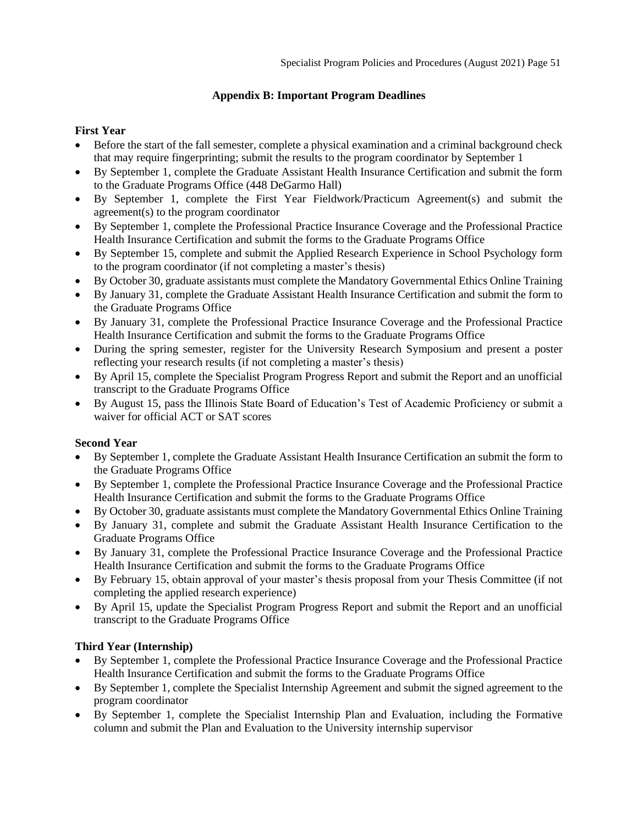## **Appendix B: Important Program Deadlines**

## <span id="page-50-0"></span>**First Year**

- Before the start of the fall semester, complete a physical examination and a criminal background check that may require fingerprinting; submit the results to the program coordinator by September 1
- By September 1, complete the Graduate Assistant Health Insurance Certification and submit the form to the Graduate Programs Office (448 DeGarmo Hall)
- By September 1, complete the First Year Fieldwork/Practicum Agreement(s) and submit the agreement(s) to the program coordinator
- By September 1, complete the Professional Practice Insurance Coverage and the Professional Practice Health Insurance Certification and submit the forms to the Graduate Programs Office
- By September 15, complete and submit the Applied Research Experience in School Psychology form to the program coordinator (if not completing a master's thesis)
- By October 30, graduate assistants must complete the Mandatory Governmental Ethics Online Training
- By January 31, complete the Graduate Assistant Health Insurance Certification and submit the form to the Graduate Programs Office
- By January 31, complete the Professional Practice Insurance Coverage and the Professional Practice Health Insurance Certification and submit the forms to the Graduate Programs Office
- During the spring semester, register for the University Research Symposium and present a poster reflecting your research results (if not completing a master's thesis)
- By April 15, complete the Specialist Program Progress Report and submit the Report and an unofficial transcript to the Graduate Programs Office
- By August 15, pass the Illinois State Board of Education's Test of Academic Proficiency or submit a waiver for official ACT or SAT scores

## **Second Year**

- By September 1, complete the Graduate Assistant Health Insurance Certification an submit the form to the Graduate Programs Office
- By September 1, complete the Professional Practice Insurance Coverage and the Professional Practice Health Insurance Certification and submit the forms to the Graduate Programs Office
- By October 30, graduate assistants must complete the Mandatory Governmental Ethics Online Training
- By January 31, complete and submit the Graduate Assistant Health Insurance Certification to the Graduate Programs Office
- By January 31, complete the Professional Practice Insurance Coverage and the Professional Practice Health Insurance Certification and submit the forms to the Graduate Programs Office
- By February 15, obtain approval of your master's thesis proposal from your Thesis Committee (if not completing the applied research experience)
- By April 15, update the Specialist Program Progress Report and submit the Report and an unofficial transcript to the Graduate Programs Office

## **Third Year (Internship)**

- By September 1, complete the Professional Practice Insurance Coverage and the Professional Practice Health Insurance Certification and submit the forms to the Graduate Programs Office
- By September 1, complete the Specialist Internship Agreement and submit the signed agreement to the program coordinator
- By September 1, complete the Specialist Internship Plan and Evaluation, including the Formative column and submit the Plan and Evaluation to the University internship supervisor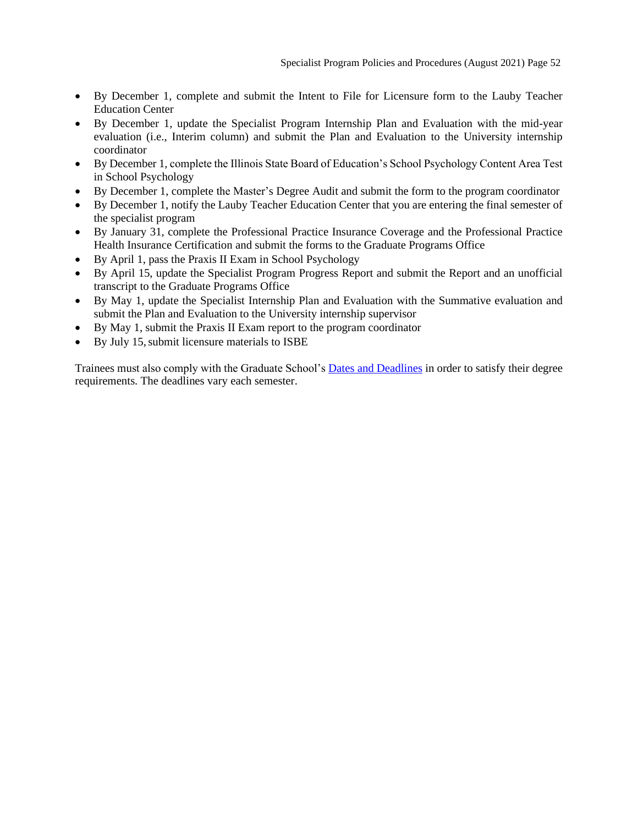- By December 1, complete and submit the Intent to File for Licensure form to the Lauby Teacher Education Center
- By December 1, update the Specialist Program Internship Plan and Evaluation with the mid-year evaluation (i.e., Interim column) and submit the Plan and Evaluation to the University internship coordinator
- By December 1, complete the Illinois State Board of Education's School Psychology Content Area Test in School Psychology
- By December 1, complete the Master's Degree Audit and submit the form to the program coordinator
- By December 1, notify the Lauby Teacher Education Center that you are entering the final semester of the specialist program
- By January 31, complete the Professional Practice Insurance Coverage and the Professional Practice Health Insurance Certification and submit the forms to the Graduate Programs Office
- By April 1, pass the Praxis II Exam in School Psychology
- By April 15, update the Specialist Program Progress Report and submit the Report and an unofficial transcript to the Graduate Programs Office
- By May 1, update the Specialist Internship Plan and Evaluation with the Summative evaluation and submit the Plan and Evaluation to the University internship supervisor
- By May 1, submit the Praxis II Exam report to the program coordinator
- By July 15, submit licensure materials to ISBE

Trainees must also comply with the Graduate School's [Dates and Deadlines](https://grad.illinoisstate.edu/students/thesis-dissertation/deadlines/) in order to satisfy their degree requirements. The deadlines vary each semester.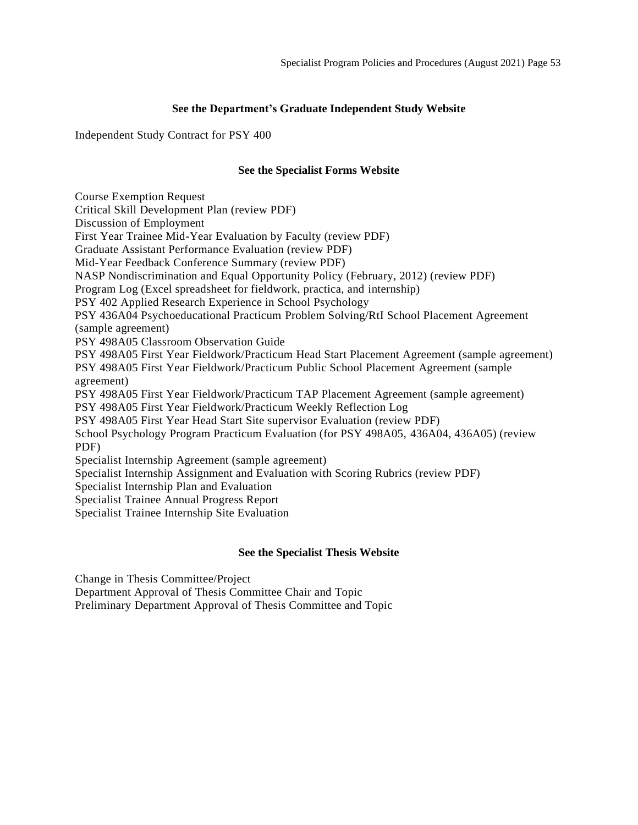## **See the Department's Graduate Independent Study Website**

<span id="page-52-1"></span><span id="page-52-0"></span>Independent Study Contract for PSY 400

## **See the Specialist Forms Website**

<span id="page-52-15"></span><span id="page-52-14"></span><span id="page-52-13"></span><span id="page-52-12"></span><span id="page-52-11"></span><span id="page-52-10"></span><span id="page-52-9"></span><span id="page-52-8"></span><span id="page-52-7"></span><span id="page-52-6"></span><span id="page-52-5"></span><span id="page-52-4"></span><span id="page-52-3"></span><span id="page-52-2"></span>Course Exemption Request Critical Skill Development Plan (review PDF) Discussion of Employment First Year Trainee Mid-Year Evaluation by Faculty (review PDF) Graduate Assistant Performance Evaluation (review PDF) Mid-Year Feedback Conference Summary (review PDF) NASP Nondiscrimination and Equal Opportunity Policy (February, 2012) (review PDF) Program Log (Excel spreadsheet for fieldwork, practica, and internship) PSY 402 Applied Research Experience in School Psychology PSY 436A04 Psychoeducational Practicum Problem Solving/RtI School Placement Agreement (sample agreement) PSY 498A05 Classroom Observation Guide PSY 498A05 First Year Fieldwork/Practicum Head Start Placement Agreement (sample agreement) PSY 498A05 First Year Fieldwork/Practicum Public School Placement Agreement (sample agreement) PSY 498A05 First Year Fieldwork/Practicum TAP Placement Agreement (sample agreement) PSY 498A05 First Year Fieldwork/Practicum Weekly Reflection Log PSY 498A05 First Year Head Start Site supervisor Evaluation (review PDF) School Psychology Program Practicum Evaluation (for PSY 498A05, 436A04, 436A05) (review PDF) Specialist Internship Agreement (sample agreement) Specialist Internship Assignment and Evaluation with Scoring Rubrics (review PDF) Specialist Internship Plan and Evaluation Specialist Trainee Annual Progress Report Specialist Trainee Internship Site Evaluation

## **See the Specialist Thesis Website**

<span id="page-52-26"></span><span id="page-52-25"></span><span id="page-52-24"></span><span id="page-52-23"></span><span id="page-52-22"></span><span id="page-52-21"></span><span id="page-52-20"></span><span id="page-52-19"></span><span id="page-52-18"></span><span id="page-52-17"></span><span id="page-52-16"></span>Change in Thesis Committee/Project

<span id="page-52-27"></span>Department Approval of Thesis Committee Chair and Topic

<span id="page-52-28"></span>Preliminary Department Approval of Thesis Committee and Topic